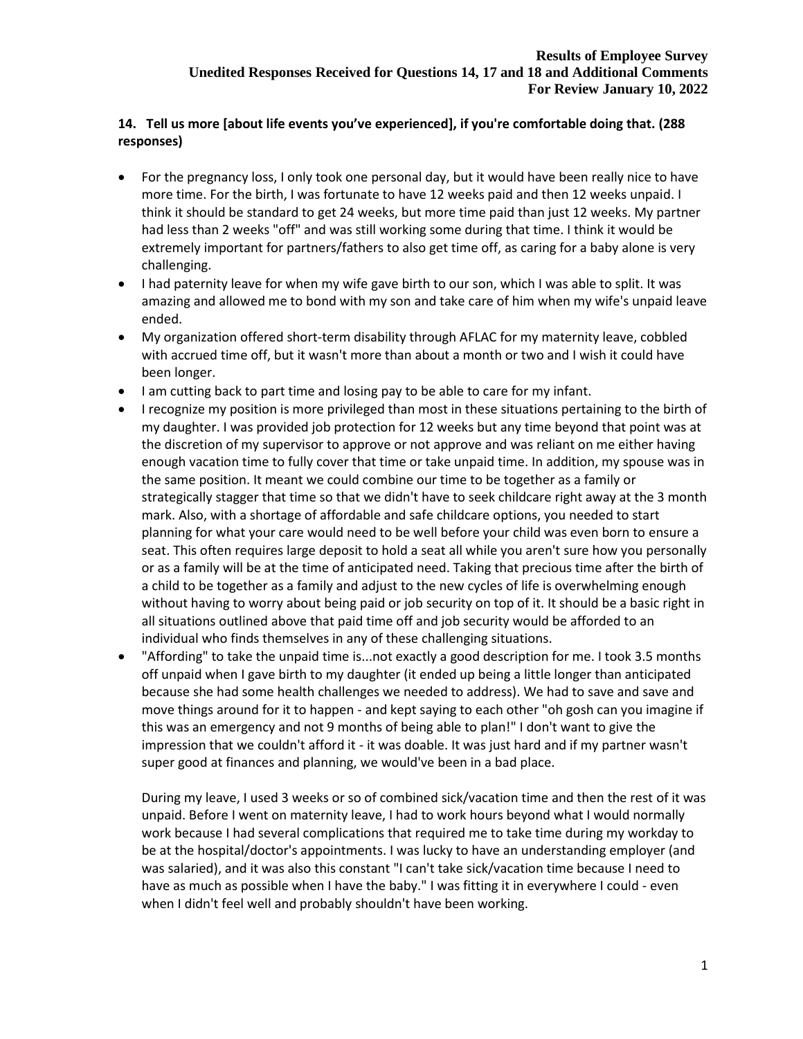# **14. Tell us more [about life events you've experienced], if you're comfortable doing that. (288 responses)**

- For the pregnancy loss, I only took one personal day, but it would have been really nice to have more time. For the birth, I was fortunate to have 12 weeks paid and then 12 weeks unpaid. I think it should be standard to get 24 weeks, but more time paid than just 12 weeks. My partner had less than 2 weeks "off" and was still working some during that time. I think it would be extremely important for partners/fathers to also get time off, as caring for a baby alone is very challenging.
- I had paternity leave for when my wife gave birth to our son, which I was able to split. It was amazing and allowed me to bond with my son and take care of him when my wife's unpaid leave ended.
- My organization offered short-term disability through AFLAC for my maternity leave, cobbled with accrued time off, but it wasn't more than about a month or two and I wish it could have been longer.
- I am cutting back to part time and losing pay to be able to care for my infant.
- I recognize my position is more privileged than most in these situations pertaining to the birth of my daughter. I was provided job protection for 12 weeks but any time beyond that point was at the discretion of my supervisor to approve or not approve and was reliant on me either having enough vacation time to fully cover that time or take unpaid time. In addition, my spouse was in the same position. It meant we could combine our time to be together as a family or strategically stagger that time so that we didn't have to seek childcare right away at the 3 month mark. Also, with a shortage of affordable and safe childcare options, you needed to start planning for what your care would need to be well before your child was even born to ensure a seat. This often requires large deposit to hold a seat all while you aren't sure how you personally or as a family will be at the time of anticipated need. Taking that precious time after the birth of a child to be together as a family and adjust to the new cycles of life is overwhelming enough without having to worry about being paid or job security on top of it. It should be a basic right in all situations outlined above that paid time off and job security would be afforded to an individual who finds themselves in any of these challenging situations.
- "Affording" to take the unpaid time is...not exactly a good description for me. I took 3.5 months off unpaid when I gave birth to my daughter (it ended up being a little longer than anticipated because she had some health challenges we needed to address). We had to save and save and move things around for it to happen - and kept saying to each other "oh gosh can you imagine if this was an emergency and not 9 months of being able to plan!" I don't want to give the impression that we couldn't afford it - it was doable. It was just hard and if my partner wasn't super good at finances and planning, we would've been in a bad place.

During my leave, I used 3 weeks or so of combined sick/vacation time and then the rest of it was unpaid. Before I went on maternity leave, I had to work hours beyond what I would normally work because I had several complications that required me to take time during my workday to be at the hospital/doctor's appointments. I was lucky to have an understanding employer (and was salaried), and it was also this constant "I can't take sick/vacation time because I need to have as much as possible when I have the baby." I was fitting it in everywhere I could - even when I didn't feel well and probably shouldn't have been working.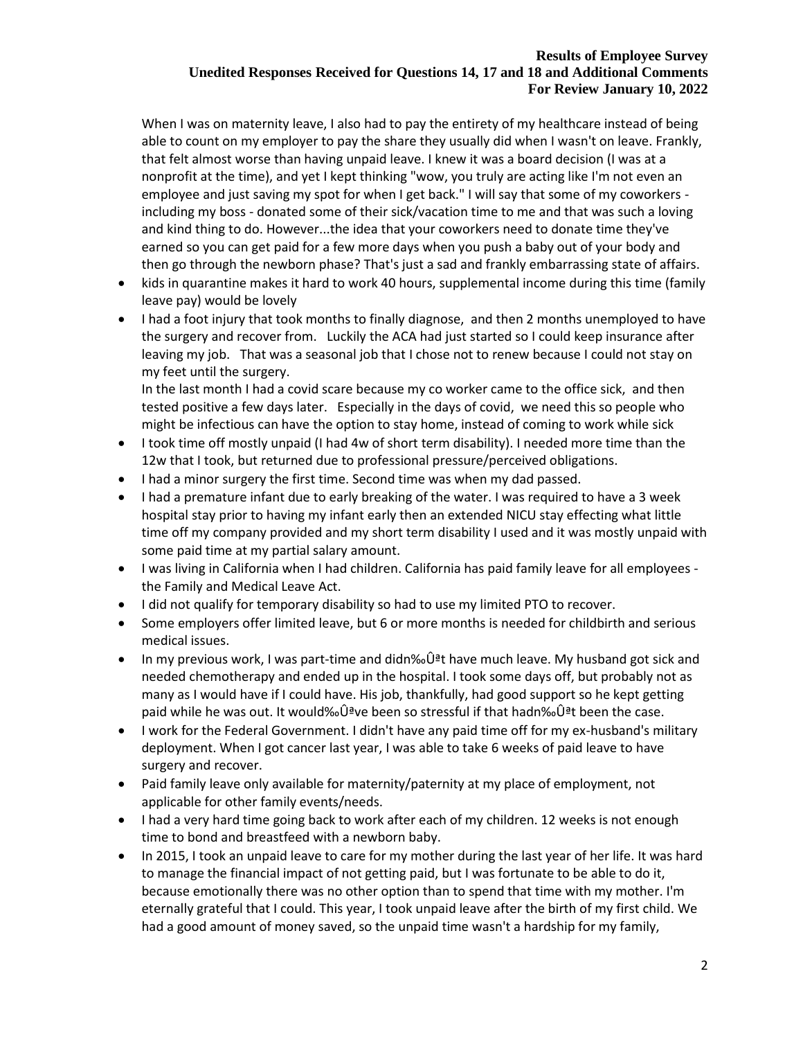When I was on maternity leave, I also had to pay the entirety of my healthcare instead of being able to count on my employer to pay the share they usually did when I wasn't on leave. Frankly, that felt almost worse than having unpaid leave. I knew it was a board decision (I was at a nonprofit at the time), and yet I kept thinking "wow, you truly are acting like I'm not even an employee and just saving my spot for when I get back." I will say that some of my coworkers including my boss - donated some of their sick/vacation time to me and that was such a loving and kind thing to do. However...the idea that your coworkers need to donate time they've earned so you can get paid for a few more days when you push a baby out of your body and then go through the newborn phase? That's just a sad and frankly embarrassing state of affairs.

- kids in quarantine makes it hard to work 40 hours, supplemental income during this time (family leave pay) would be lovely
- I had a foot injury that took months to finally diagnose, and then 2 months unemployed to have the surgery and recover from. Luckily the ACA had just started so I could keep insurance after leaving my job. That was a seasonal job that I chose not to renew because I could not stay on my feet until the surgery.

In the last month I had a covid scare because my co worker came to the office sick, and then tested positive a few days later. Especially in the days of covid, we need this so people who might be infectious can have the option to stay home, instead of coming to work while sick

- I took time off mostly unpaid (I had 4w of short term disability). I needed more time than the 12w that I took, but returned due to professional pressure/perceived obligations.
- I had a minor surgery the first time. Second time was when my dad passed.
- I had a premature infant due to early breaking of the water. I was required to have a 3 week hospital stay prior to having my infant early then an extended NICU stay effecting what little time off my company provided and my short term disability I used and it was mostly unpaid with some paid time at my partial salary amount.
- I was living in California when I had children. California has paid family leave for all employees the Family and Medical Leave Act.
- I did not qualify for temporary disability so had to use my limited PTO to recover.
- Some employers offer limited leave, but 6 or more months is needed for childbirth and serious medical issues.
- In my previous work, I was part-time and didn‰Ûªt have much leave. My husband got sick and needed chemotherapy and ended up in the hospital. I took some days off, but probably not as many as I would have if I could have. His job, thankfully, had good support so he kept getting paid while he was out. It would‰Ûªve been so stressful if that hadn‰Ûªt been the case.
- I work for the Federal Government. I didn't have any paid time off for my ex-husband's military deployment. When I got cancer last year, I was able to take 6 weeks of paid leave to have surgery and recover.
- Paid family leave only available for maternity/paternity at my place of employment, not applicable for other family events/needs.
- I had a very hard time going back to work after each of my children. 12 weeks is not enough time to bond and breastfeed with a newborn baby.
- In 2015, I took an unpaid leave to care for my mother during the last year of her life. It was hard to manage the financial impact of not getting paid, but I was fortunate to be able to do it, because emotionally there was no other option than to spend that time with my mother. I'm eternally grateful that I could. This year, I took unpaid leave after the birth of my first child. We had a good amount of money saved, so the unpaid time wasn't a hardship for my family,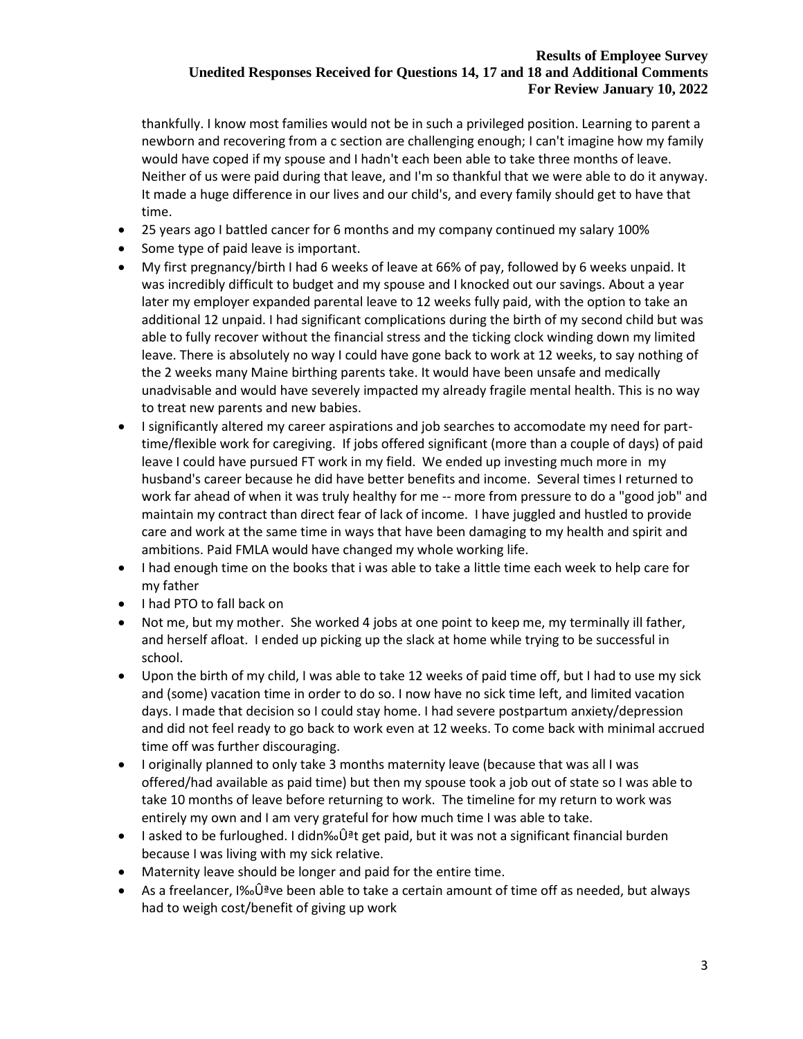thankfully. I know most families would not be in such a privileged position. Learning to parent a newborn and recovering from a c section are challenging enough; I can't imagine how my family would have coped if my spouse and I hadn't each been able to take three months of leave. Neither of us were paid during that leave, and I'm so thankful that we were able to do it anyway. It made a huge difference in our lives and our child's, and every family should get to have that time.

- 25 years ago I battled cancer for 6 months and my company continued my salary 100%
- Some type of paid leave is important.
- My first pregnancy/birth I had 6 weeks of leave at 66% of pay, followed by 6 weeks unpaid. It was incredibly difficult to budget and my spouse and I knocked out our savings. About a year later my employer expanded parental leave to 12 weeks fully paid, with the option to take an additional 12 unpaid. I had significant complications during the birth of my second child but was able to fully recover without the financial stress and the ticking clock winding down my limited leave. There is absolutely no way I could have gone back to work at 12 weeks, to say nothing of the 2 weeks many Maine birthing parents take. It would have been unsafe and medically unadvisable and would have severely impacted my already fragile mental health. This is no way to treat new parents and new babies.
- I significantly altered my career aspirations and job searches to accomodate my need for parttime/flexible work for caregiving. If jobs offered significant (more than a couple of days) of paid leave I could have pursued FT work in my field. We ended up investing much more in my husband's career because he did have better benefits and income. Several times I returned to work far ahead of when it was truly healthy for me -- more from pressure to do a "good job" and maintain my contract than direct fear of lack of income. I have juggled and hustled to provide care and work at the same time in ways that have been damaging to my health and spirit and ambitions. Paid FMLA would have changed my whole working life.
- I had enough time on the books that i was able to take a little time each week to help care for my father
- I had PTO to fall back on
- Not me, but my mother. She worked 4 jobs at one point to keep me, my terminally ill father, and herself afloat. I ended up picking up the slack at home while trying to be successful in school.
- Upon the birth of my child, I was able to take 12 weeks of paid time off, but I had to use my sick and (some) vacation time in order to do so. I now have no sick time left, and limited vacation days. I made that decision so I could stay home. I had severe postpartum anxiety/depression and did not feel ready to go back to work even at 12 weeks. To come back with minimal accrued time off was further discouraging.
- I originally planned to only take 3 months maternity leave (because that was all I was offered/had available as paid time) but then my spouse took a job out of state so I was able to take 10 months of leave before returning to work. The timeline for my return to work was entirely my own and I am very grateful for how much time I was able to take.
- I asked to be furloughed. I didn‰Ûªt get paid, but it was not a significant financial burden because I was living with my sick relative.
- Maternity leave should be longer and paid for the entire time.
- As a freelancer, I‰Ûªve been able to take a certain amount of time off as needed, but always had to weigh cost/benefit of giving up work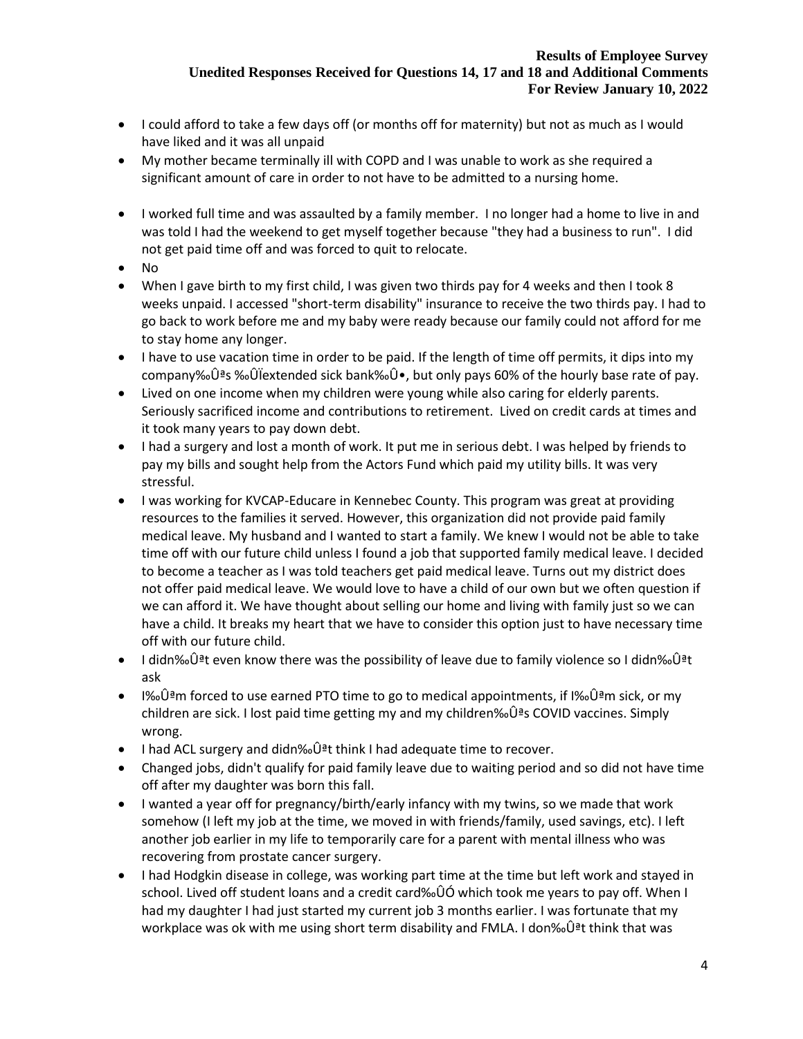- I could afford to take a few days off (or months off for maternity) but not as much as I would have liked and it was all unpaid
- My mother became terminally ill with COPD and I was unable to work as she required a significant amount of care in order to not have to be admitted to a nursing home.
- I worked full time and was assaulted by a family member. I no longer had a home to live in and was told I had the weekend to get myself together because "they had a business to run". I did not get paid time off and was forced to quit to relocate.
- No
- When I gave birth to my first child, I was given two thirds pay for 4 weeks and then I took 8 weeks unpaid. I accessed "short-term disability" insurance to receive the two thirds pay. I had to go back to work before me and my baby were ready because our family could not afford for me to stay home any longer.
- I have to use vacation time in order to be paid. If the length of time off permits, it dips into my company‰Ûªs ‰ÛÏextended sick bank‰Û•, but only pays 60% of the hourly base rate of pay.
- Lived on one income when my children were young while also caring for elderly parents. Seriously sacrificed income and contributions to retirement. Lived on credit cards at times and it took many years to pay down debt.
- I had a surgery and lost a month of work. It put me in serious debt. I was helped by friends to pay my bills and sought help from the Actors Fund which paid my utility bills. It was very stressful.
- I was working for KVCAP-Educare in Kennebec County. This program was great at providing resources to the families it served. However, this organization did not provide paid family medical leave. My husband and I wanted to start a family. We knew I would not be able to take time off with our future child unless I found a job that supported family medical leave. I decided to become a teacher as I was told teachers get paid medical leave. Turns out my district does not offer paid medical leave. We would love to have a child of our own but we often question if we can afford it. We have thought about selling our home and living with family just so we can have a child. It breaks my heart that we have to consider this option just to have necessary time off with our future child.
- I didn‰Ûªt even know there was the possibility of leave due to family violence so I didn‰Ûªt ask
- I‰Ûªm forced to use earned PTO time to go to medical appointments, if I‰Ûªm sick, or my children are sick. I lost paid time getting my and my children‰Ûªs COVID vaccines. Simply wrong.
- I had ACL surgery and didn‰Ûªt think I had adequate time to recover.
- Changed jobs, didn't qualify for paid family leave due to waiting period and so did not have time off after my daughter was born this fall.
- I wanted a year off for pregnancy/birth/early infancy with my twins, so we made that work somehow (I left my job at the time, we moved in with friends/family, used savings, etc). I left another job earlier in my life to temporarily care for a parent with mental illness who was recovering from prostate cancer surgery.
- I had Hodgkin disease in college, was working part time at the time but left work and stayed in school. Lived off student loans and a credit card‰ÛÓ which took me years to pay off. When I had my daughter I had just started my current job 3 months earlier. I was fortunate that my workplace was ok with me using short term disability and FMLA. I don‰Ûªt think that was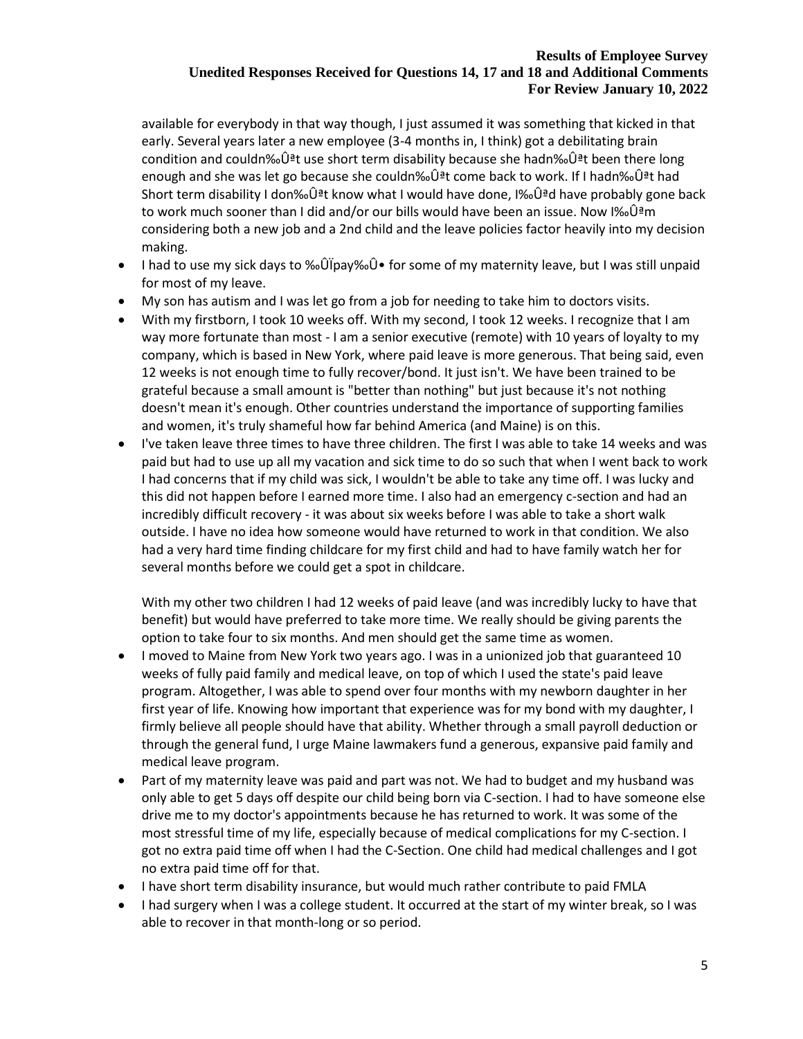available for everybody in that way though, I just assumed it was something that kicked in that early. Several years later a new employee (3-4 months in, I think) got a debilitating brain condition and couldn‰Ûªt use short term disability because she hadn‰Ûªt been there long enough and she was let go because she couldn‰Ûªt come back to work. If I hadn‰Ûªt had Short term disability I don‰Ûªt know what I would have done, I‰Ûªd have probably gone back to work much sooner than I did and/or our bills would have been an issue. Now I‰Ûªm considering both a new job and a 2nd child and the leave policies factor heavily into my decision making.

- I had to use my sick days to ‰ÛÏpay‰Û• for some of my maternity leave, but I was still unpaid for most of my leave.
- My son has autism and I was let go from a job for needing to take him to doctors visits.
- With my firstborn, I took 10 weeks off. With my second, I took 12 weeks. I recognize that I am way more fortunate than most - I am a senior executive (remote) with 10 years of loyalty to my company, which is based in New York, where paid leave is more generous. That being said, even 12 weeks is not enough time to fully recover/bond. It just isn't. We have been trained to be grateful because a small amount is "better than nothing" but just because it's not nothing doesn't mean it's enough. Other countries understand the importance of supporting families and women, it's truly shameful how far behind America (and Maine) is on this.
- I've taken leave three times to have three children. The first I was able to take 14 weeks and was paid but had to use up all my vacation and sick time to do so such that when I went back to work I had concerns that if my child was sick, I wouldn't be able to take any time off. I was lucky and this did not happen before I earned more time. I also had an emergency c-section and had an incredibly difficult recovery - it was about six weeks before I was able to take a short walk outside. I have no idea how someone would have returned to work in that condition. We also had a very hard time finding childcare for my first child and had to have family watch her for several months before we could get a spot in childcare.

With my other two children I had 12 weeks of paid leave (and was incredibly lucky to have that benefit) but would have preferred to take more time. We really should be giving parents the option to take four to six months. And men should get the same time as women.

- I moved to Maine from New York two years ago. I was in a unionized job that guaranteed 10 weeks of fully paid family and medical leave, on top of which I used the state's paid leave program. Altogether, I was able to spend over four months with my newborn daughter in her first year of life. Knowing how important that experience was for my bond with my daughter, I firmly believe all people should have that ability. Whether through a small payroll deduction or through the general fund, I urge Maine lawmakers fund a generous, expansive paid family and medical leave program.
- Part of my maternity leave was paid and part was not. We had to budget and my husband was only able to get 5 days off despite our child being born via C-section. I had to have someone else drive me to my doctor's appointments because he has returned to work. It was some of the most stressful time of my life, especially because of medical complications for my C-section. I got no extra paid time off when I had the C-Section. One child had medical challenges and I got no extra paid time off for that.
- I have short term disability insurance, but would much rather contribute to paid FMLA
- I had surgery when I was a college student. It occurred at the start of my winter break, so I was able to recover in that month-long or so period.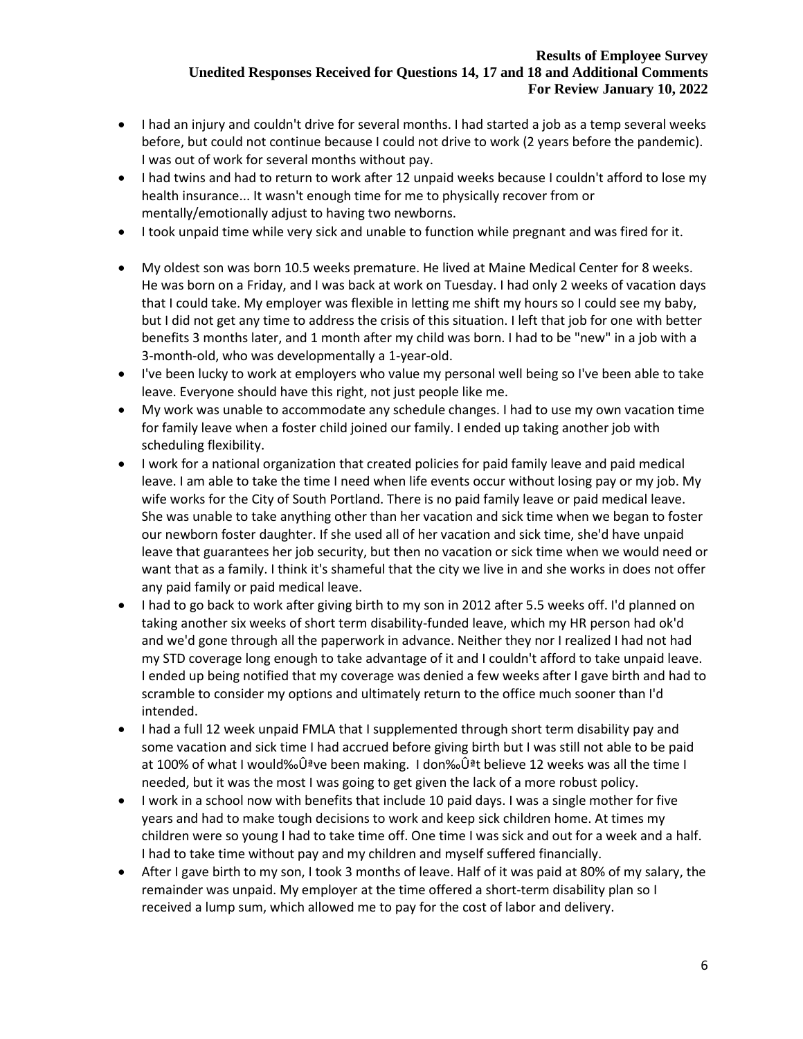- I had an injury and couldn't drive for several months. I had started a job as a temp several weeks before, but could not continue because I could not drive to work (2 years before the pandemic). I was out of work for several months without pay.
- I had twins and had to return to work after 12 unpaid weeks because I couldn't afford to lose my health insurance... It wasn't enough time for me to physically recover from or mentally/emotionally adjust to having two newborns.
- I took unpaid time while very sick and unable to function while pregnant and was fired for it.
- My oldest son was born 10.5 weeks premature. He lived at Maine Medical Center for 8 weeks. He was born on a Friday, and I was back at work on Tuesday. I had only 2 weeks of vacation days that I could take. My employer was flexible in letting me shift my hours so I could see my baby, but I did not get any time to address the crisis of this situation. I left that job for one with better benefits 3 months later, and 1 month after my child was born. I had to be "new" in a job with a 3-month-old, who was developmentally a 1-year-old.
- I've been lucky to work at employers who value my personal well being so I've been able to take leave. Everyone should have this right, not just people like me.
- My work was unable to accommodate any schedule changes. I had to use my own vacation time for family leave when a foster child joined our family. I ended up taking another job with scheduling flexibility.
- I work for a national organization that created policies for paid family leave and paid medical leave. I am able to take the time I need when life events occur without losing pay or my job. My wife works for the City of South Portland. There is no paid family leave or paid medical leave. She was unable to take anything other than her vacation and sick time when we began to foster our newborn foster daughter. If she used all of her vacation and sick time, she'd have unpaid leave that guarantees her job security, but then no vacation or sick time when we would need or want that as a family. I think it's shameful that the city we live in and she works in does not offer any paid family or paid medical leave.
- I had to go back to work after giving birth to my son in 2012 after 5.5 weeks off. I'd planned on taking another six weeks of short term disability-funded leave, which my HR person had ok'd and we'd gone through all the paperwork in advance. Neither they nor I realized I had not had my STD coverage long enough to take advantage of it and I couldn't afford to take unpaid leave. I ended up being notified that my coverage was denied a few weeks after I gave birth and had to scramble to consider my options and ultimately return to the office much sooner than I'd intended.
- I had a full 12 week unpaid FMLA that I supplemented through short term disability pay and some vacation and sick time I had accrued before giving birth but I was still not able to be paid at 100% of what I would‰Ûªve been making. I don‰Ûªt believe 12 weeks was all the time I needed, but it was the most I was going to get given the lack of a more robust policy.
- I work in a school now with benefits that include 10 paid days. I was a single mother for five years and had to make tough decisions to work and keep sick children home. At times my children were so young I had to take time off. One time I was sick and out for a week and a half. I had to take time without pay and my children and myself suffered financially.
- After I gave birth to my son, I took 3 months of leave. Half of it was paid at 80% of my salary, the remainder was unpaid. My employer at the time offered a short-term disability plan so I received a lump sum, which allowed me to pay for the cost of labor and delivery.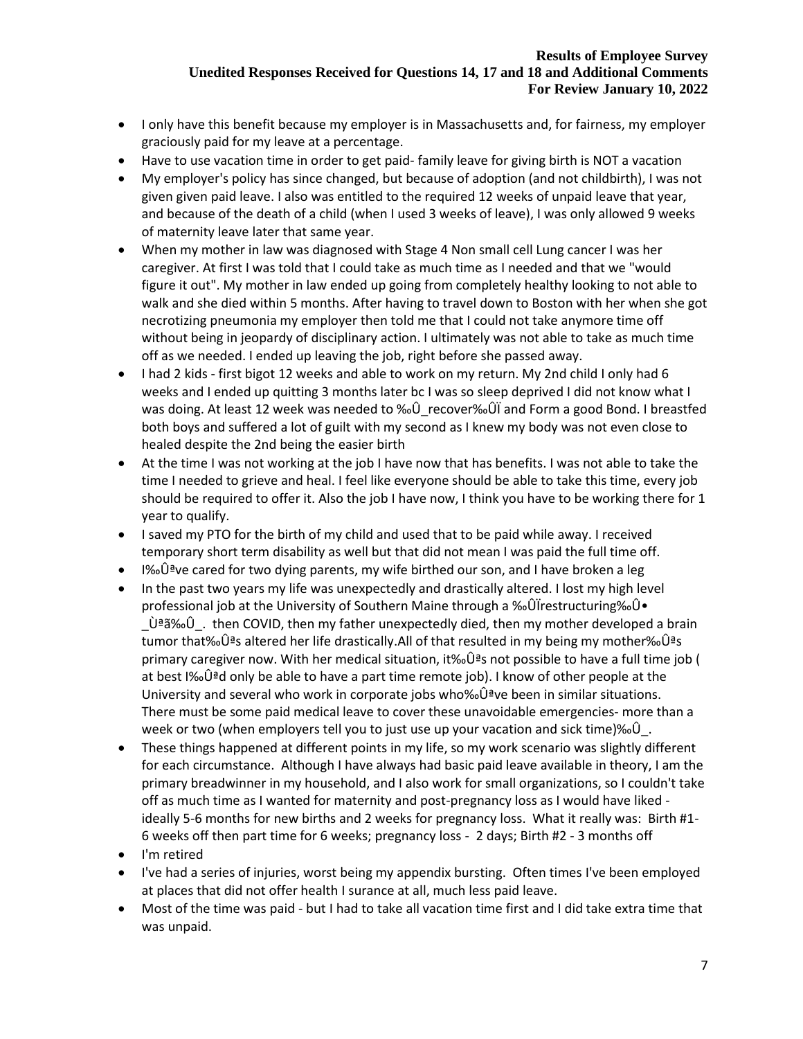- I only have this benefit because my employer is in Massachusetts and, for fairness, my employer graciously paid for my leave at a percentage.
- Have to use vacation time in order to get paid- family leave for giving birth is NOT a vacation
- My employer's policy has since changed, but because of adoption (and not childbirth), I was not given given paid leave. I also was entitled to the required 12 weeks of unpaid leave that year, and because of the death of a child (when I used 3 weeks of leave), I was only allowed 9 weeks of maternity leave later that same year.
- When my mother in law was diagnosed with Stage 4 Non small cell Lung cancer I was her caregiver. At first I was told that I could take as much time as I needed and that we "would figure it out". My mother in law ended up going from completely healthy looking to not able to walk and she died within 5 months. After having to travel down to Boston with her when she got necrotizing pneumonia my employer then told me that I could not take anymore time off without being in jeopardy of disciplinary action. I ultimately was not able to take as much time off as we needed. I ended up leaving the job, right before she passed away.
- I had 2 kids first bigot 12 weeks and able to work on my return. My 2nd child I only had 6 weeks and I ended up quitting 3 months later bc I was so sleep deprived I did not know what I was doing. At least 12 week was needed to ‰Û\_recover‰ÛÏ and Form a good Bond. I breastfed both boys and suffered a lot of guilt with my second as I knew my body was not even close to healed despite the 2nd being the easier birth
- At the time I was not working at the job I have now that has benefits. I was not able to take the time I needed to grieve and heal. I feel like everyone should be able to take this time, every job should be required to offer it. Also the job I have now, I think you have to be working there for 1 year to qualify.
- I saved my PTO for the birth of my child and used that to be paid while away. I received temporary short term disability as well but that did not mean I was paid the full time off.
- I‰Ûªve cared for two dying parents, my wife birthed our son, and I have broken a leg
- In the past two years my life was unexpectedly and drastically altered. I lost my high level professional job at the University of Southern Maine through a ‰ÛIrestructuring‰Û•  $\rho$ <sup> $\dot{\theta}$ ªã‰Û $\ldots$  then COVID, then my father unexpectedly died, then my mother developed a brain</sup> tumor that‰Ûªs altered her life drastically.All of that resulted in my being my mother‰Ûªs primary caregiver now. With her medical situation, it‰Ûªs not possible to have a full time job ( at best I‰Ûªd only be able to have a part time remote job). I know of other people at the University and several who work in corporate jobs who‰Ûªve been in similar situations. There must be some paid medical leave to cover these unavoidable emergencies- more than a week or two (when employers tell you to just use up your vacation and sick time)‰Û\_.
- These things happened at different points in my life, so my work scenario was slightly different for each circumstance. Although I have always had basic paid leave available in theory, I am the primary breadwinner in my household, and I also work for small organizations, so I couldn't take off as much time as I wanted for maternity and post-pregnancy loss as I would have liked ideally 5-6 months for new births and 2 weeks for pregnancy loss. What it really was: Birth #1- 6 weeks off then part time for 6 weeks; pregnancy loss - 2 days; Birth #2 - 3 months off
- I'm retired
- I've had a series of injuries, worst being my appendix bursting. Often times I've been employed at places that did not offer health I surance at all, much less paid leave.
- Most of the time was paid but I had to take all vacation time first and I did take extra time that was unpaid.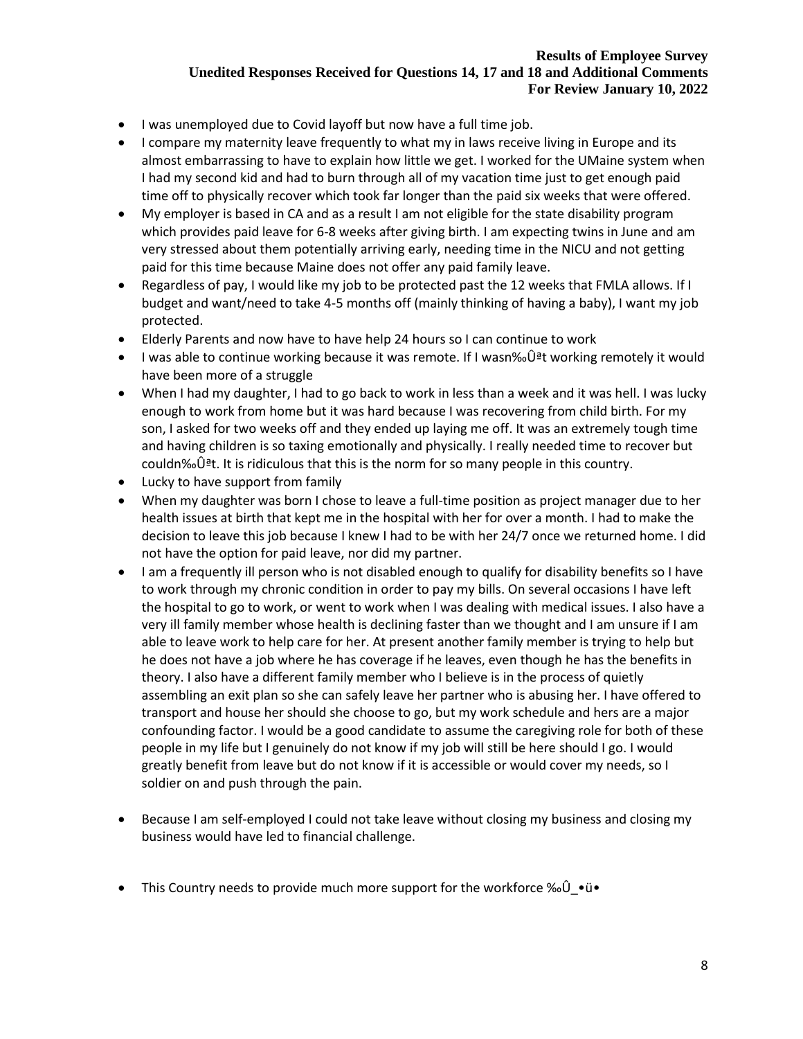- I was unemployed due to Covid layoff but now have a full time job.
- I compare my maternity leave frequently to what my in laws receive living in Europe and its almost embarrassing to have to explain how little we get. I worked for the UMaine system when I had my second kid and had to burn through all of my vacation time just to get enough paid time off to physically recover which took far longer than the paid six weeks that were offered.
- My employer is based in CA and as a result I am not eligible for the state disability program which provides paid leave for 6-8 weeks after giving birth. I am expecting twins in June and am very stressed about them potentially arriving early, needing time in the NICU and not getting paid for this time because Maine does not offer any paid family leave.
- Regardless of pay, I would like my job to be protected past the 12 weeks that FMLA allows. If I budget and want/need to take 4-5 months off (mainly thinking of having a baby), I want my job protected.
- Elderly Parents and now have to have help 24 hours so I can continue to work
- I was able to continue working because it was remote. If I wasn‰Ûªt working remotely it would have been more of a struggle
- When I had my daughter, I had to go back to work in less than a week and it was hell. I was lucky enough to work from home but it was hard because I was recovering from child birth. For my son, I asked for two weeks off and they ended up laying me off. It was an extremely tough time and having children is so taxing emotionally and physically. I really needed time to recover but couldn‰Û<sup>a</sup>t. It is ridiculous that this is the norm for so many people in this country.
- Lucky to have support from family
- When my daughter was born I chose to leave a full-time position as project manager due to her health issues at birth that kept me in the hospital with her for over a month. I had to make the decision to leave this job because I knew I had to be with her 24/7 once we returned home. I did not have the option for paid leave, nor did my partner.
- I am a frequently ill person who is not disabled enough to qualify for disability benefits so I have to work through my chronic condition in order to pay my bills. On several occasions I have left the hospital to go to work, or went to work when I was dealing with medical issues. I also have a very ill family member whose health is declining faster than we thought and I am unsure if I am able to leave work to help care for her. At present another family member is trying to help but he does not have a job where he has coverage if he leaves, even though he has the benefits in theory. I also have a different family member who I believe is in the process of quietly assembling an exit plan so she can safely leave her partner who is abusing her. I have offered to transport and house her should she choose to go, but my work schedule and hers are a major confounding factor. I would be a good candidate to assume the caregiving role for both of these people in my life but I genuinely do not know if my job will still be here should I go. I would greatly benefit from leave but do not know if it is accessible or would cover my needs, so I soldier on and push through the pain.
- Because I am self-employed I could not take leave without closing my business and closing my business would have led to financial challenge.
- This Country needs to provide much more support for the workforce ‰Û\_•ü•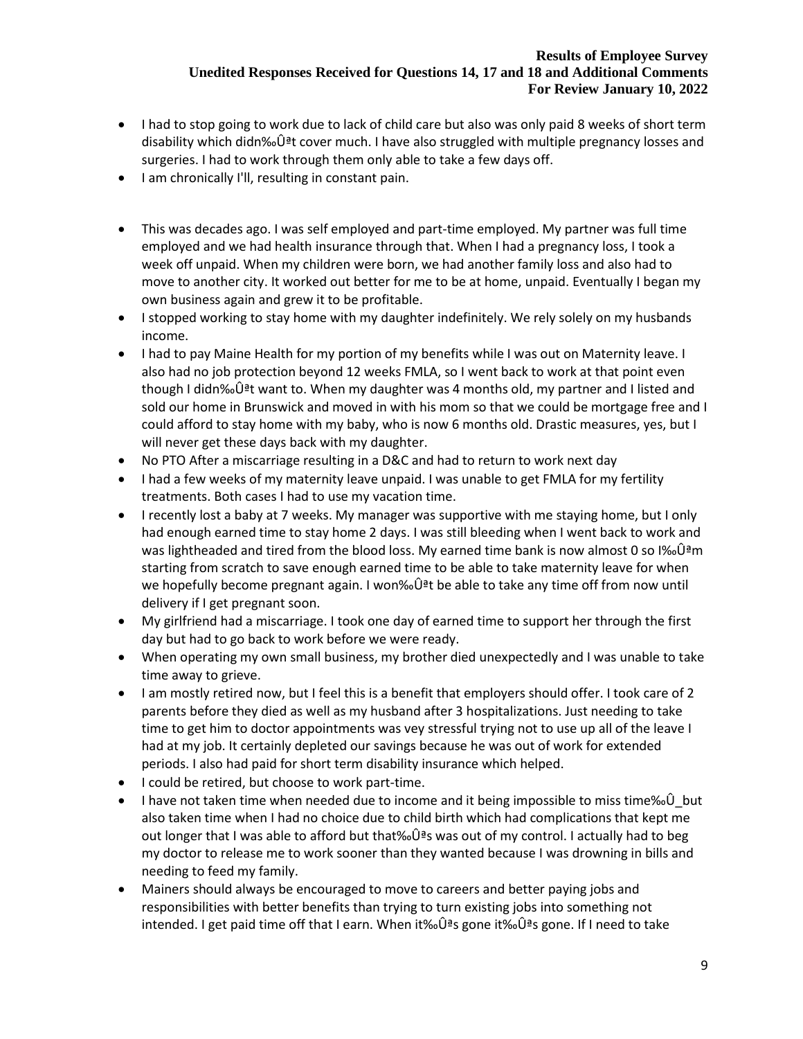- I had to stop going to work due to lack of child care but also was only paid 8 weeks of short term disability which didn‰Ûªt cover much. I have also struggled with multiple pregnancy losses and surgeries. I had to work through them only able to take a few days off.
- I am chronically I'll, resulting in constant pain.
- This was decades ago. I was self employed and part-time employed. My partner was full time employed and we had health insurance through that. When I had a pregnancy loss, I took a week off unpaid. When my children were born, we had another family loss and also had to move to another city. It worked out better for me to be at home, unpaid. Eventually I began my own business again and grew it to be profitable.
- I stopped working to stay home with my daughter indefinitely. We rely solely on my husbands income.
- I had to pay Maine Health for my portion of my benefits while I was out on Maternity leave. I also had no job protection beyond 12 weeks FMLA, so I went back to work at that point even though I didn‰Ûªt want to. When my daughter was 4 months old, my partner and I listed and sold our home in Brunswick and moved in with his mom so that we could be mortgage free and I could afford to stay home with my baby, who is now 6 months old. Drastic measures, yes, but I will never get these days back with my daughter.
- No PTO After a miscarriage resulting in a D&C and had to return to work next day
- I had a few weeks of my maternity leave unpaid. I was unable to get FMLA for my fertility treatments. Both cases I had to use my vacation time.
- I recently lost a baby at 7 weeks. My manager was supportive with me staying home, but I only had enough earned time to stay home 2 days. I was still bleeding when I went back to work and was lightheaded and tired from the blood loss. My earned time bank is now almost 0 so  $1\%$  $0^{\frac{1}{2}}$ m starting from scratch to save enough earned time to be able to take maternity leave for when we hopefully become pregnant again. I won‰Ûªt be able to take any time off from now until delivery if I get pregnant soon.
- My girlfriend had a miscarriage. I took one day of earned time to support her through the first day but had to go back to work before we were ready.
- When operating my own small business, my brother died unexpectedly and I was unable to take time away to grieve.
- I am mostly retired now, but I feel this is a benefit that employers should offer. I took care of 2 parents before they died as well as my husband after 3 hospitalizations. Just needing to take time to get him to doctor appointments was vey stressful trying not to use up all of the leave I had at my job. It certainly depleted our savings because he was out of work for extended periods. I also had paid for short term disability insurance which helped.
- I could be retired, but choose to work part-time.
- I have not taken time when needed due to income and it being impossible to miss time‰Û\_but also taken time when I had no choice due to child birth which had complications that kept me out longer that I was able to afford but that‰Û<sup>ª</sup>s was out of my control. I actually had to beg my doctor to release me to work sooner than they wanted because I was drowning in bills and needing to feed my family.
- Mainers should always be encouraged to move to careers and better paying jobs and responsibilities with better benefits than trying to turn existing jobs into something not intended. I get paid time off that I earn. When it‰Ûªs gone it‰Ûªs gone. If I need to take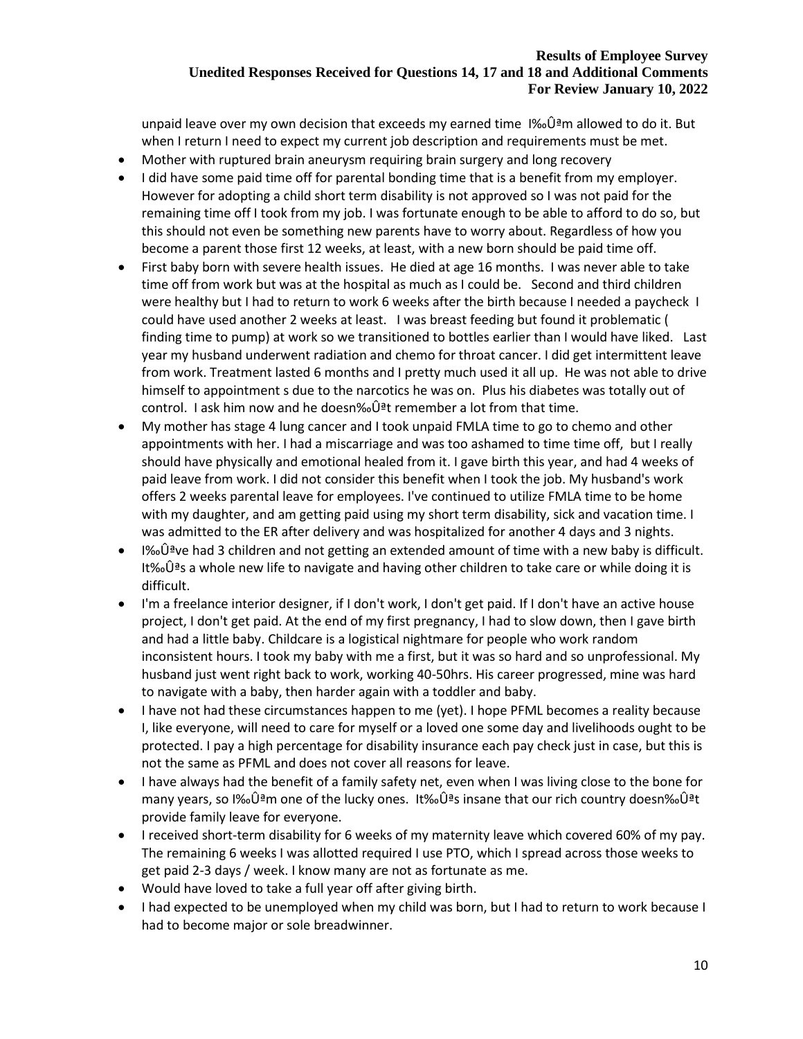unpaid leave over my own decision that exceeds my earned time I‰Ûªm allowed to do it. But when I return I need to expect my current job description and requirements must be met.

- Mother with ruptured brain aneurysm requiring brain surgery and long recovery
- I did have some paid time off for parental bonding time that is a benefit from my employer. However for adopting a child short term disability is not approved so I was not paid for the remaining time off I took from my job. I was fortunate enough to be able to afford to do so, but this should not even be something new parents have to worry about. Regardless of how you become a parent those first 12 weeks, at least, with a new born should be paid time off.
- First baby born with severe health issues. He died at age 16 months. I was never able to take time off from work but was at the hospital as much as I could be. Second and third children were healthy but I had to return to work 6 weeks after the birth because I needed a paycheck I could have used another 2 weeks at least. I was breast feeding but found it problematic ( finding time to pump) at work so we transitioned to bottles earlier than I would have liked. Last year my husband underwent radiation and chemo for throat cancer. I did get intermittent leave from work. Treatment lasted 6 months and I pretty much used it all up. He was not able to drive himself to appointment s due to the narcotics he was on. Plus his diabetes was totally out of control. I ask him now and he doesn‰Û<sup>a</sup>t remember a lot from that time.
- My mother has stage 4 lung cancer and I took unpaid FMLA time to go to chemo and other appointments with her. I had a miscarriage and was too ashamed to time time off, but I really should have physically and emotional healed from it. I gave birth this year, and had 4 weeks of paid leave from work. I did not consider this benefit when I took the job. My husband's work offers 2 weeks parental leave for employees. I've continued to utilize FMLA time to be home with my daughter, and am getting paid using my short term disability, sick and vacation time. I was admitted to the ER after delivery and was hospitalized for another 4 days and 3 nights.
- $1\%$  $\theta$ <sup>2</sup>ve had 3 children and not getting an extended amount of time with a new baby is difficult. It‰Ûªs a whole new life to navigate and having other children to take care or while doing it is difficult.
- I'm a freelance interior designer, if I don't work, I don't get paid. If I don't have an active house project, I don't get paid. At the end of my first pregnancy, I had to slow down, then I gave birth and had a little baby. Childcare is a logistical nightmare for people who work random inconsistent hours. I took my baby with me a first, but it was so hard and so unprofessional. My husband just went right back to work, working 40-50hrs. His career progressed, mine was hard to navigate with a baby, then harder again with a toddler and baby.
- I have not had these circumstances happen to me (yet). I hope PFML becomes a reality because I, like everyone, will need to care for myself or a loved one some day and livelihoods ought to be protected. I pay a high percentage for disability insurance each pay check just in case, but this is not the same as PFML and does not cover all reasons for leave.
- I have always had the benefit of a family safety net, even when I was living close to the bone for many years, so I‰Ûªm one of the lucky ones. It‰Ûªs insane that our rich country doesn‰Ûªt provide family leave for everyone.
- I received short-term disability for 6 weeks of my maternity leave which covered 60% of my pay. The remaining 6 weeks I was allotted required I use PTO, which I spread across those weeks to get paid 2-3 days / week. I know many are not as fortunate as me.
- Would have loved to take a full year off after giving birth.
- I had expected to be unemployed when my child was born, but I had to return to work because I had to become major or sole breadwinner.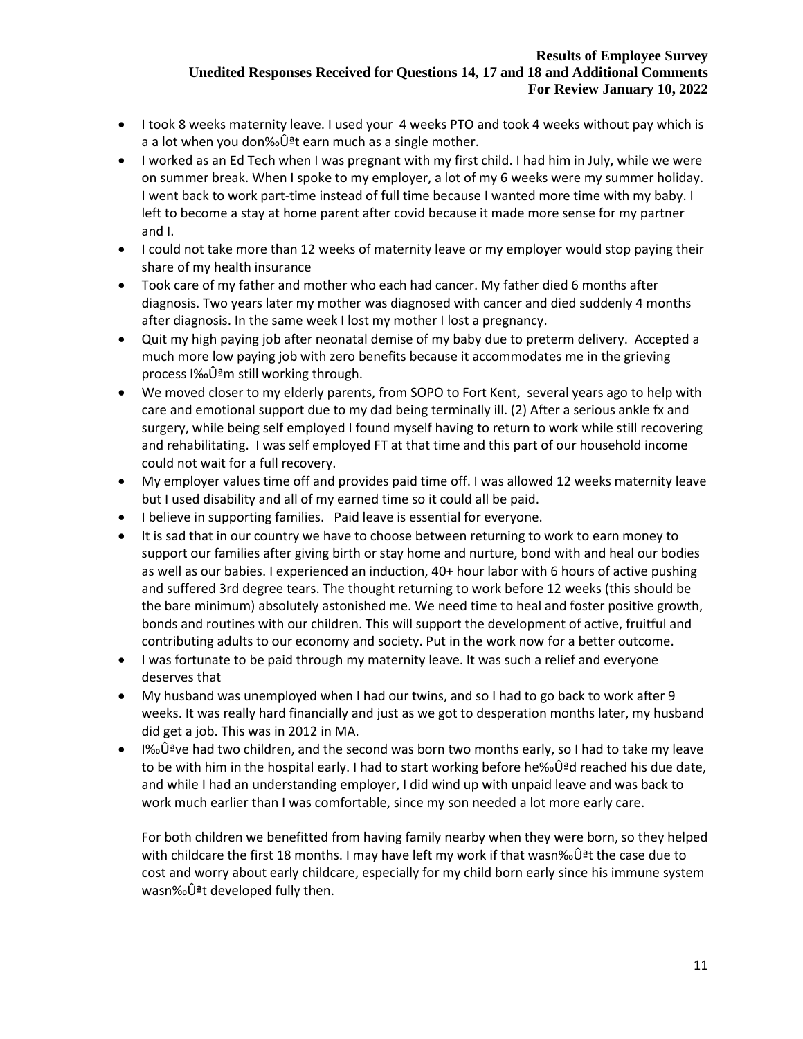- I took 8 weeks maternity leave. I used your 4 weeks PTO and took 4 weeks without pay which is a a lot when you don‰Ûªt earn much as a single mother.
- I worked as an Ed Tech when I was pregnant with my first child. I had him in July, while we were on summer break. When I spoke to my employer, a lot of my 6 weeks were my summer holiday. I went back to work part-time instead of full time because I wanted more time with my baby. I left to become a stay at home parent after covid because it made more sense for my partner and I.
- I could not take more than 12 weeks of maternity leave or my employer would stop paying their share of my health insurance
- Took care of my father and mother who each had cancer. My father died 6 months after diagnosis. Two years later my mother was diagnosed with cancer and died suddenly 4 months after diagnosis. In the same week I lost my mother I lost a pregnancy.
- Quit my high paying job after neonatal demise of my baby due to preterm delivery. Accepted a much more low paying job with zero benefits because it accommodates me in the grieving process I‰Ûªm still working through.
- We moved closer to my elderly parents, from SOPO to Fort Kent, several years ago to help with care and emotional support due to my dad being terminally ill. (2) After a serious ankle fx and surgery, while being self employed I found myself having to return to work while still recovering and rehabilitating. I was self employed FT at that time and this part of our household income could not wait for a full recovery.
- My employer values time off and provides paid time off. I was allowed 12 weeks maternity leave but I used disability and all of my earned time so it could all be paid.
- I believe in supporting families. Paid leave is essential for everyone.
- It is sad that in our country we have to choose between returning to work to earn money to support our families after giving birth or stay home and nurture, bond with and heal our bodies as well as our babies. I experienced an induction, 40+ hour labor with 6 hours of active pushing and suffered 3rd degree tears. The thought returning to work before 12 weeks (this should be the bare minimum) absolutely astonished me. We need time to heal and foster positive growth, bonds and routines with our children. This will support the development of active, fruitful and contributing adults to our economy and society. Put in the work now for a better outcome.
- I was fortunate to be paid through my maternity leave. It was such a relief and everyone deserves that
- My husband was unemployed when I had our twins, and so I had to go back to work after 9 weeks. It was really hard financially and just as we got to desperation months later, my husband did get a job. This was in 2012 in MA.
- I‰Ûªve had two children, and the second was born two months early, so I had to take my leave to be with him in the hospital early. I had to start working before he‰Ûªd reached his due date, and while I had an understanding employer, I did wind up with unpaid leave and was back to work much earlier than I was comfortable, since my son needed a lot more early care.

For both children we benefitted from having family nearby when they were born, so they helped with childcare the first 18 months. I may have left my work if that wasn‰Ûªt the case due to cost and worry about early childcare, especially for my child born early since his immune system wasn‰Ûªt developed fully then.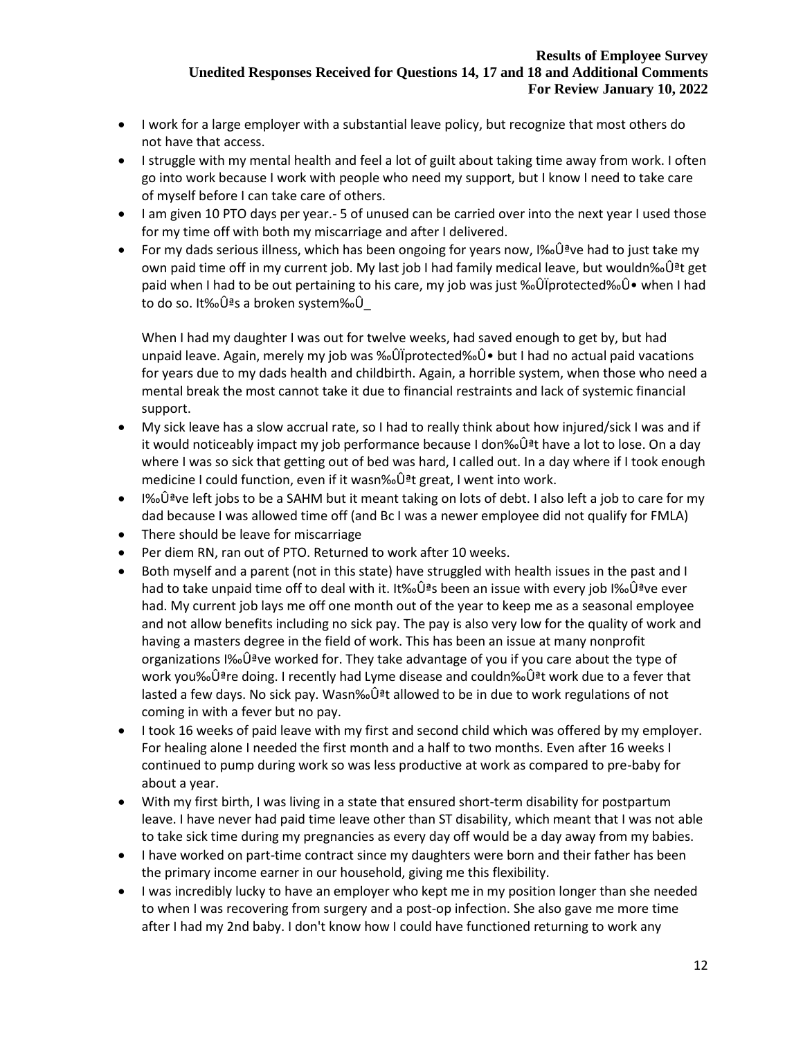- I work for a large employer with a substantial leave policy, but recognize that most others do not have that access.
- I struggle with my mental health and feel a lot of guilt about taking time away from work. I often go into work because I work with people who need my support, but I know I need to take care of myself before I can take care of others.
- I am given 10 PTO days per year.- 5 of unused can be carried over into the next year I used those for my time off with both my miscarriage and after I delivered.
- For my dads serious illness, which has been ongoing for years now, I‰Ûªve had to just take my own paid time off in my current job. My last job I had family medical leave, but wouldn‰Ûªt get paid when I had to be out pertaining to his care, my job was just ‰Ûïprotected‰Û• when I had to do so. It‰Ûªs a broken system‰Û\_

When I had my daughter I was out for twelve weeks, had saved enough to get by, but had unpaid leave. Again, merely my job was ‰ÛÏprotected‰Û• but I had no actual paid vacations for years due to my dads health and childbirth. Again, a horrible system, when those who need a mental break the most cannot take it due to financial restraints and lack of systemic financial support.

- My sick leave has a slow accrual rate, so I had to really think about how injured/sick I was and if it would noticeably impact my job performance because I don‰Ûªt have a lot to lose. On a day where I was so sick that getting out of bed was hard, I called out. In a day where if I took enough medicine I could function, even if it wasn‰Ûªt great, I went into work.
- I‰Ûªve left jobs to be a SAHM but it meant taking on lots of debt. I also left a job to care for my dad because I was allowed time off (and Bc I was a newer employee did not qualify for FMLA)
- There should be leave for miscarriage
- Per diem RN, ran out of PTO. Returned to work after 10 weeks.
- Both myself and a parent (not in this state) have struggled with health issues in the past and I had to take unpaid time off to deal with it. It‰Û<sup>ª</sup>s been an issue with every job I‰Ûªve ever had. My current job lays me off one month out of the year to keep me as a seasonal employee and not allow benefits including no sick pay. The pay is also very low for the quality of work and having a masters degree in the field of work. This has been an issue at many nonprofit organizations I‰Ûªve worked for. They take advantage of you if you care about the type of work you‰Ûªre doing. I recently had Lyme disease and couldn‰Ûªt work due to a fever that lasted a few days. No sick pay. Wasn‰Û $\text{d}t$  allowed to be in due to work regulations of not coming in with a fever but no pay.
- I took 16 weeks of paid leave with my first and second child which was offered by my employer. For healing alone I needed the first month and a half to two months. Even after 16 weeks I continued to pump during work so was less productive at work as compared to pre-baby for about a year.
- With my first birth, I was living in a state that ensured short-term disability for postpartum leave. I have never had paid time leave other than ST disability, which meant that I was not able to take sick time during my pregnancies as every day off would be a day away from my babies.
- I have worked on part-time contract since my daughters were born and their father has been the primary income earner in our household, giving me this flexibility.
- I was incredibly lucky to have an employer who kept me in my position longer than she needed to when I was recovering from surgery and a post-op infection. She also gave me more time after I had my 2nd baby. I don't know how I could have functioned returning to work any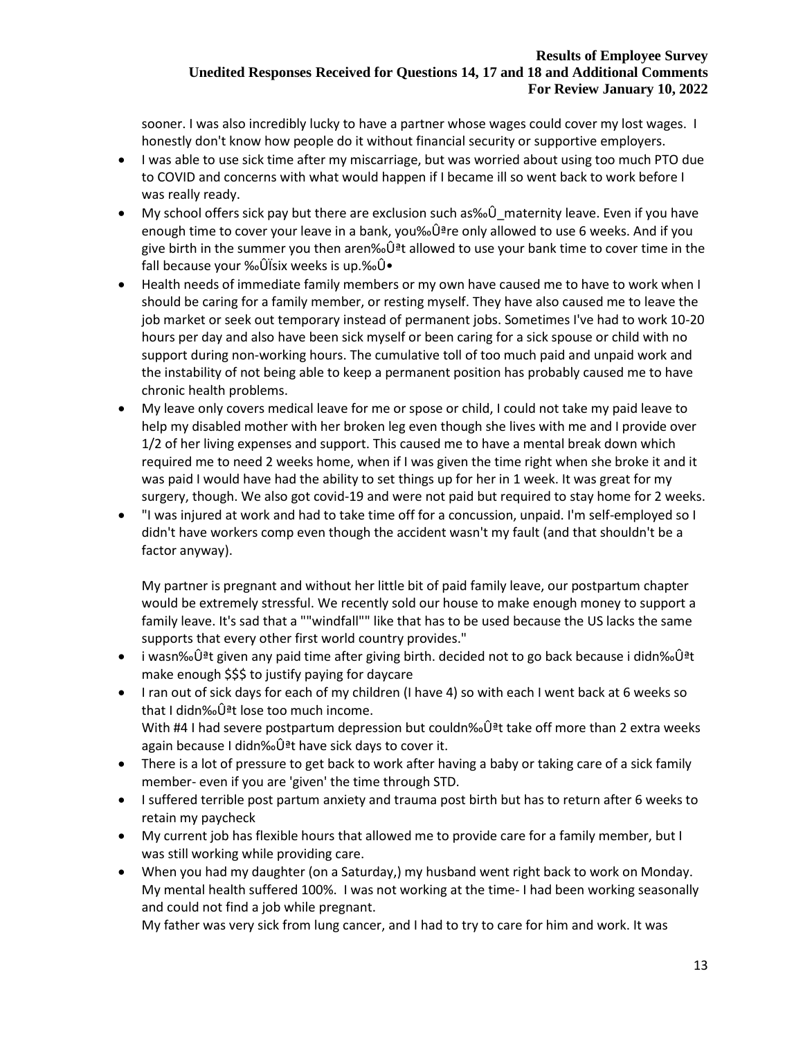sooner. I was also incredibly lucky to have a partner whose wages could cover my lost wages. I honestly don't know how people do it without financial security or supportive employers.

- I was able to use sick time after my miscarriage, but was worried about using too much PTO due to COVID and concerns with what would happen if I became ill so went back to work before I was really ready.
- My school offers sick pay but there are exclusion such as‰Û\_maternity leave. Even if you have enough time to cover your leave in a bank, you‰Ûªre only allowed to use 6 weeks. And if you give birth in the summer you then aren‰Û<sup>ª</sup>t allowed to use your bank time to cover time in the fall because your ‰ÛÏsix weeks is up.‰Û•
- Health needs of immediate family members or my own have caused me to have to work when I should be caring for a family member, or resting myself. They have also caused me to leave the job market or seek out temporary instead of permanent jobs. Sometimes I've had to work 10-20 hours per day and also have been sick myself or been caring for a sick spouse or child with no support during non-working hours. The cumulative toll of too much paid and unpaid work and the instability of not being able to keep a permanent position has probably caused me to have chronic health problems.
- My leave only covers medical leave for me or spose or child, I could not take my paid leave to help my disabled mother with her broken leg even though she lives with me and I provide over 1/2 of her living expenses and support. This caused me to have a mental break down which required me to need 2 weeks home, when if I was given the time right when she broke it and it was paid I would have had the ability to set things up for her in 1 week. It was great for my surgery, though. We also got covid-19 and were not paid but required to stay home for 2 weeks.
- "I was injured at work and had to take time off for a concussion, unpaid. I'm self-employed so I didn't have workers comp even though the accident wasn't my fault (and that shouldn't be a factor anyway).

My partner is pregnant and without her little bit of paid family leave, our postpartum chapter would be extremely stressful. We recently sold our house to make enough money to support a family leave. It's sad that a ""windfall"" like that has to be used because the US lacks the same supports that every other first world country provides."

- i wasn‰Ûªt given any paid time after giving birth. decided not to go back because i didn‰Ûªt make enough \$\$\$ to justify paying for daycare
- I ran out of sick days for each of my children (I have 4) so with each I went back at 6 weeks so that I didn‰Ûªt lose too much income. With #4 I had severe postpartum depression but couldn‰Ûªt take off more than 2 extra weeks again because I didn‰Ûªt have sick days to cover it.
- There is a lot of pressure to get back to work after having a baby or taking care of a sick family member- even if you are 'given' the time through STD.
- I suffered terrible post partum anxiety and trauma post birth but has to return after 6 weeks to retain my paycheck
- My current job has flexible hours that allowed me to provide care for a family member, but I was still working while providing care.
- When you had my daughter (on a Saturday,) my husband went right back to work on Monday. My mental health suffered 100%. I was not working at the time- I had been working seasonally and could not find a job while pregnant.

My father was very sick from lung cancer, and I had to try to care for him and work. It was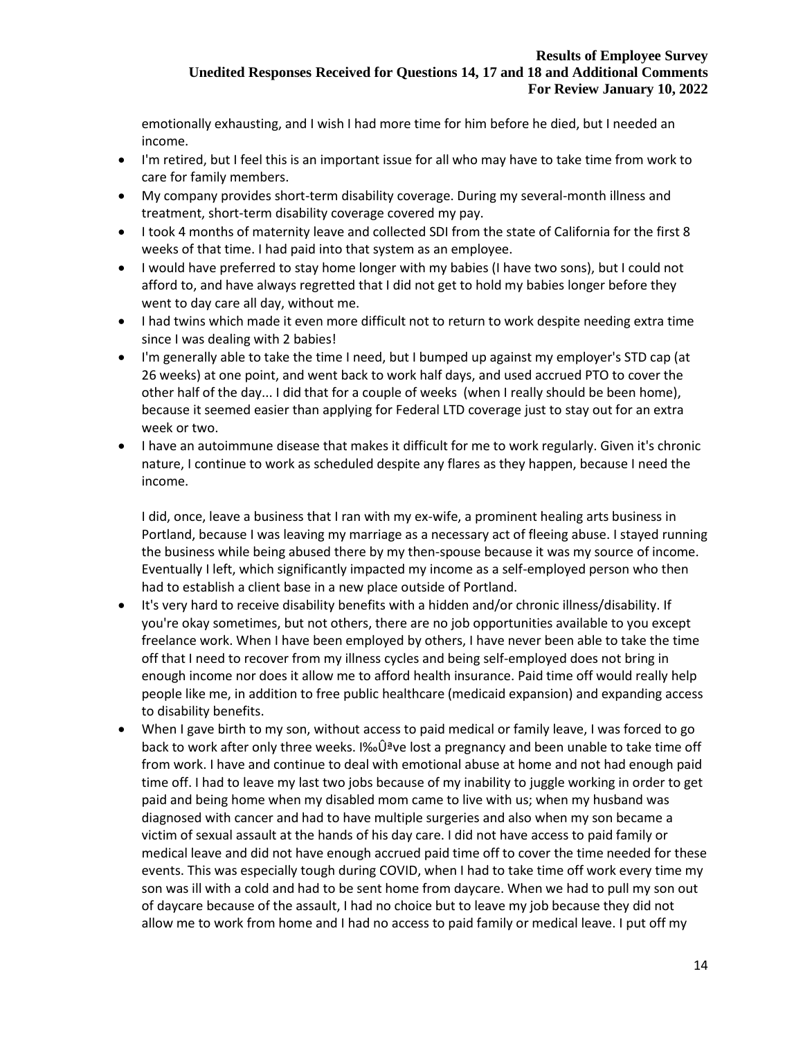emotionally exhausting, and I wish I had more time for him before he died, but I needed an income.

- I'm retired, but I feel this is an important issue for all who may have to take time from work to care for family members.
- My company provides short-term disability coverage. During my several-month illness and treatment, short-term disability coverage covered my pay.
- I took 4 months of maternity leave and collected SDI from the state of California for the first 8 weeks of that time. I had paid into that system as an employee.
- I would have preferred to stay home longer with my babies (I have two sons), but I could not afford to, and have always regretted that I did not get to hold my babies longer before they went to day care all day, without me.
- I had twins which made it even more difficult not to return to work despite needing extra time since I was dealing with 2 babies!
- I'm generally able to take the time I need, but I bumped up against my employer's STD cap (at 26 weeks) at one point, and went back to work half days, and used accrued PTO to cover the other half of the day... I did that for a couple of weeks (when I really should be been home), because it seemed easier than applying for Federal LTD coverage just to stay out for an extra week or two.
- I have an autoimmune disease that makes it difficult for me to work regularly. Given it's chronic nature, I continue to work as scheduled despite any flares as they happen, because I need the income.

I did, once, leave a business that I ran with my ex-wife, a prominent healing arts business in Portland, because I was leaving my marriage as a necessary act of fleeing abuse. I stayed running the business while being abused there by my then-spouse because it was my source of income. Eventually I left, which significantly impacted my income as a self-employed person who then had to establish a client base in a new place outside of Portland.

- It's very hard to receive disability benefits with a hidden and/or chronic illness/disability. If you're okay sometimes, but not others, there are no job opportunities available to you except freelance work. When I have been employed by others, I have never been able to take the time off that I need to recover from my illness cycles and being self-employed does not bring in enough income nor does it allow me to afford health insurance. Paid time off would really help people like me, in addition to free public healthcare (medicaid expansion) and expanding access to disability benefits.
- When I gave birth to my son, without access to paid medical or family leave, I was forced to go back to work after only three weeks. I‰Ûªve lost a pregnancy and been unable to take time off from work. I have and continue to deal with emotional abuse at home and not had enough paid time off. I had to leave my last two jobs because of my inability to juggle working in order to get paid and being home when my disabled mom came to live with us; when my husband was diagnosed with cancer and had to have multiple surgeries and also when my son became a victim of sexual assault at the hands of his day care. I did not have access to paid family or medical leave and did not have enough accrued paid time off to cover the time needed for these events. This was especially tough during COVID, when I had to take time off work every time my son was ill with a cold and had to be sent home from daycare. When we had to pull my son out of daycare because of the assault, I had no choice but to leave my job because they did not allow me to work from home and I had no access to paid family or medical leave. I put off my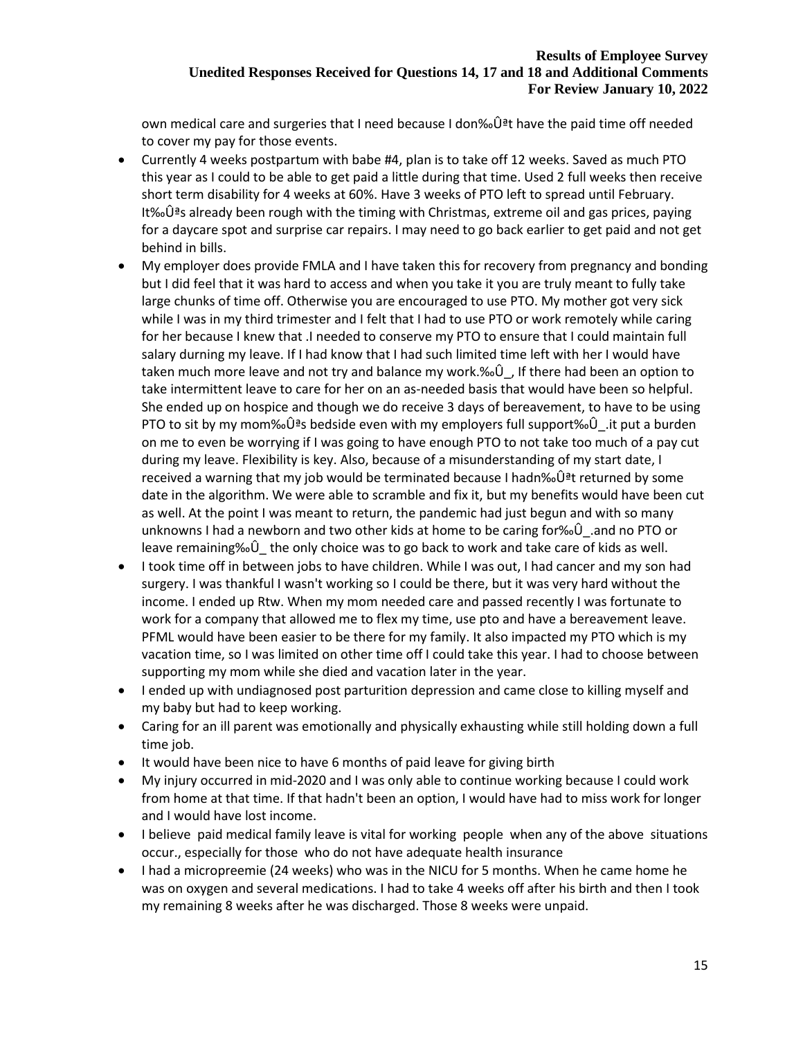own medical care and surgeries that I need because I don‰Ûªt have the paid time off needed to cover my pay for those events.

- Currently 4 weeks postpartum with babe #4, plan is to take off 12 weeks. Saved as much PTO this year as I could to be able to get paid a little during that time. Used 2 full weeks then receive short term disability for 4 weeks at 60%. Have 3 weeks of PTO left to spread until February. It‰Ûªs already been rough with the timing with Christmas, extreme oil and gas prices, paying for a daycare spot and surprise car repairs. I may need to go back earlier to get paid and not get behind in bills.
- My employer does provide FMLA and I have taken this for recovery from pregnancy and bonding but I did feel that it was hard to access and when you take it you are truly meant to fully take large chunks of time off. Otherwise you are encouraged to use PTO. My mother got very sick while I was in my third trimester and I felt that I had to use PTO or work remotely while caring for her because I knew that .I needed to conserve my PTO to ensure that I could maintain full salary durning my leave. If I had know that I had such limited time left with her I would have taken much more leave and not try and balance my work.‰Û\_, If there had been an option to take intermittent leave to care for her on an as-needed basis that would have been so helpful. She ended up on hospice and though we do receive 3 days of bereavement, to have to be using PTO to sit by my mom‰Û<sup>a</sup>s bedside even with my employers full support‰Û\_.it put a burden on me to even be worrying if I was going to have enough PTO to not take too much of a pay cut during my leave. Flexibility is key. Also, because of a misunderstanding of my start date, I received a warning that my job would be terminated because I hadn‰Ûªt returned by some date in the algorithm. We were able to scramble and fix it, but my benefits would have been cut as well. At the point I was meant to return, the pandemic had just begun and with so many unknowns I had a newborn and two other kids at home to be caring for‰Û\_.and no PTO or leave remaining‰Û\_ the only choice was to go back to work and take care of kids as well.
- I took time off in between jobs to have children. While I was out, I had cancer and my son had surgery. I was thankful I wasn't working so I could be there, but it was very hard without the income. I ended up Rtw. When my mom needed care and passed recently I was fortunate to work for a company that allowed me to flex my time, use pto and have a bereavement leave. PFML would have been easier to be there for my family. It also impacted my PTO which is my vacation time, so I was limited on other time off I could take this year. I had to choose between supporting my mom while she died and vacation later in the year.
- I ended up with undiagnosed post parturition depression and came close to killing myself and my baby but had to keep working.
- Caring for an ill parent was emotionally and physically exhausting while still holding down a full time job.
- It would have been nice to have 6 months of paid leave for giving birth
- My injury occurred in mid-2020 and I was only able to continue working because I could work from home at that time. If that hadn't been an option, I would have had to miss work for longer and I would have lost income.
- I believe paid medical family leave is vital for working people when any of the above situations occur., especially for those who do not have adequate health insurance
- I had a micropreemie (24 weeks) who was in the NICU for 5 months. When he came home he was on oxygen and several medications. I had to take 4 weeks off after his birth and then I took my remaining 8 weeks after he was discharged. Those 8 weeks were unpaid.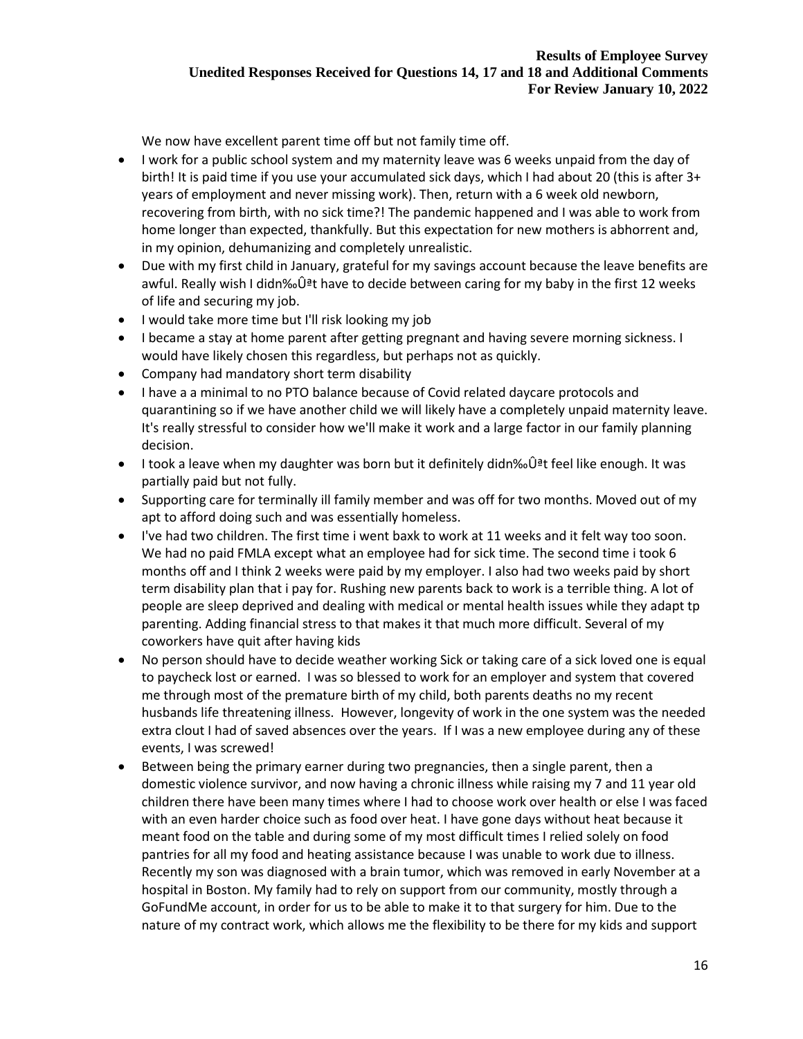We now have excellent parent time off but not family time off.

- I work for a public school system and my maternity leave was 6 weeks unpaid from the day of birth! It is paid time if you use your accumulated sick days, which I had about 20 (this is after 3+ years of employment and never missing work). Then, return with a 6 week old newborn, recovering from birth, with no sick time?! The pandemic happened and I was able to work from home longer than expected, thankfully. But this expectation for new mothers is abhorrent and, in my opinion, dehumanizing and completely unrealistic.
- Due with my first child in January, grateful for my savings account because the leave benefits are awful. Really wish I didn‰Ûªt have to decide between caring for my baby in the first 12 weeks of life and securing my job.
- I would take more time but I'll risk looking my job
- I became a stay at home parent after getting pregnant and having severe morning sickness. I would have likely chosen this regardless, but perhaps not as quickly.
- Company had mandatory short term disability
- I have a a minimal to no PTO balance because of Covid related daycare protocols and quarantining so if we have another child we will likely have a completely unpaid maternity leave. It's really stressful to consider how we'll make it work and a large factor in our family planning decision.
- I took a leave when my daughter was born but it definitely didn‰Ûªt feel like enough. It was partially paid but not fully.
- Supporting care for terminally ill family member and was off for two months. Moved out of my apt to afford doing such and was essentially homeless.
- I've had two children. The first time i went baxk to work at 11 weeks and it felt way too soon. We had no paid FMLA except what an employee had for sick time. The second time i took 6 months off and I think 2 weeks were paid by my employer. I also had two weeks paid by short term disability plan that i pay for. Rushing new parents back to work is a terrible thing. A lot of people are sleep deprived and dealing with medical or mental health issues while they adapt tp parenting. Adding financial stress to that makes it that much more difficult. Several of my coworkers have quit after having kids
- No person should have to decide weather working Sick or taking care of a sick loved one is equal to paycheck lost or earned. I was so blessed to work for an employer and system that covered me through most of the premature birth of my child, both parents deaths no my recent husbands life threatening illness. However, longevity of work in the one system was the needed extra clout I had of saved absences over the years. If I was a new employee during any of these events, I was screwed!
- Between being the primary earner during two pregnancies, then a single parent, then a domestic violence survivor, and now having a chronic illness while raising my 7 and 11 year old children there have been many times where I had to choose work over health or else I was faced with an even harder choice such as food over heat. I have gone days without heat because it meant food on the table and during some of my most difficult times I relied solely on food pantries for all my food and heating assistance because I was unable to work due to illness. Recently my son was diagnosed with a brain tumor, which was removed in early November at a hospital in Boston. My family had to rely on support from our community, mostly through a GoFundMe account, in order for us to be able to make it to that surgery for him. Due to the nature of my contract work, which allows me the flexibility to be there for my kids and support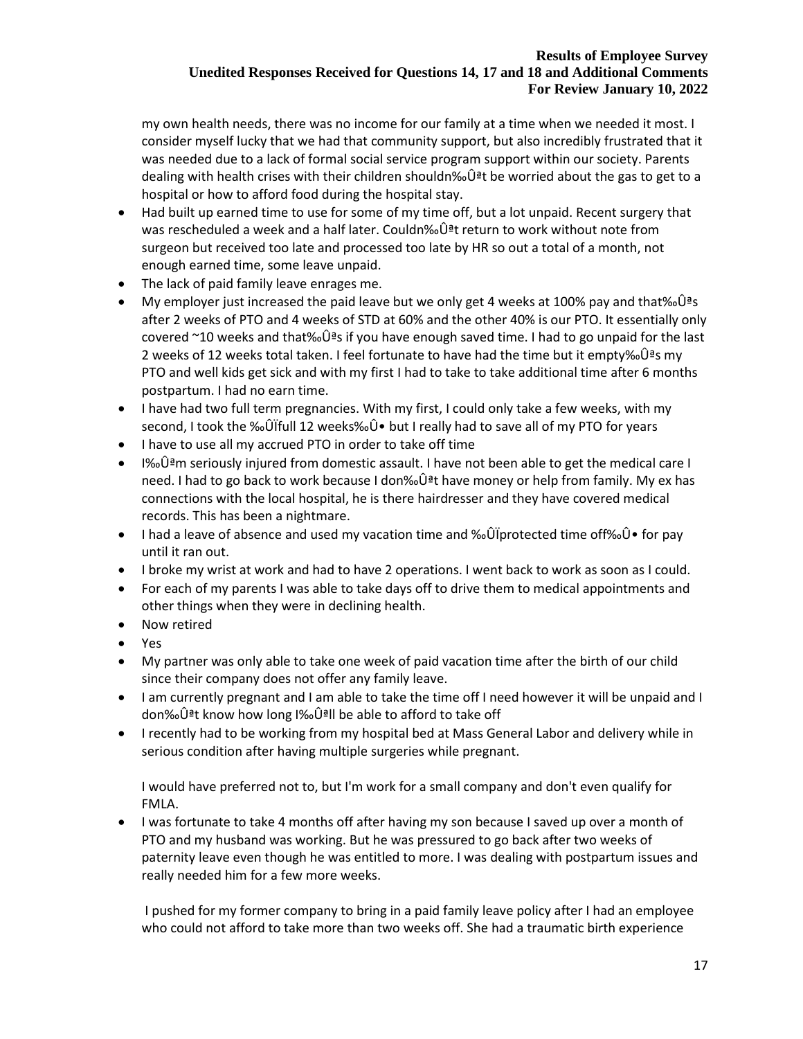my own health needs, there was no income for our family at a time when we needed it most. I consider myself lucky that we had that community support, but also incredibly frustrated that it was needed due to a lack of formal social service program support within our society. Parents dealing with health crises with their children shouldn‰Ûªt be worried about the gas to get to a hospital or how to afford food during the hospital stay.

- Had built up earned time to use for some of my time off, but a lot unpaid. Recent surgery that was rescheduled a week and a half later. Couldn‰Ûªt return to work without note from surgeon but received too late and processed too late by HR so out a total of a month, not enough earned time, some leave unpaid.
- The lack of paid family leave enrages me.
- My employer just increased the paid leave but we only get 4 weeks at 100% pay and that‰Ûªs after 2 weeks of PTO and 4 weeks of STD at 60% and the other 40% is our PTO. It essentially only covered ~10 weeks and that‰Ûªs if you have enough saved time. I had to go unpaid for the last 2 weeks of 12 weeks total taken. I feel fortunate to have had the time but it empty‰Û<sup>ª</sup>s my PTO and well kids get sick and with my first I had to take to take additional time after 6 months postpartum. I had no earn time.
- I have had two full term pregnancies. With my first, I could only take a few weeks, with my second, I took the ‰ÛÏfull 12 weeks‰Û• but I really had to save all of my PTO for years
- I have to use all my accrued PTO in order to take off time
- I‰Ûªm seriously injured from domestic assault. I have not been able to get the medical care I need. I had to go back to work because I don‰Ûªt have money or help from family. My ex has connections with the local hospital, he is there hairdresser and they have covered medical records. This has been a nightmare.
- I had a leave of absence and used my vacation time and ‰ÛÏprotected time off‰Û• for pay until it ran out.
- I broke my wrist at work and had to have 2 operations. I went back to work as soon as I could.
- For each of my parents I was able to take days off to drive them to medical appointments and other things when they were in declining health.
- Now retired
- Yes
- My partner was only able to take one week of paid vacation time after the birth of our child since their company does not offer any family leave.
- I am currently pregnant and I am able to take the time off I need however it will be unpaid and I don‰Ûªt know how long I‰Ûªll be able to afford to take off
- I recently had to be working from my hospital bed at Mass General Labor and delivery while in serious condition after having multiple surgeries while pregnant.

I would have preferred not to, but I'm work for a small company and don't even qualify for FMLA.

• I was fortunate to take 4 months off after having my son because I saved up over a month of PTO and my husband was working. But he was pressured to go back after two weeks of paternity leave even though he was entitled to more. I was dealing with postpartum issues and really needed him for a few more weeks.

I pushed for my former company to bring in a paid family leave policy after I had an employee who could not afford to take more than two weeks off. She had a traumatic birth experience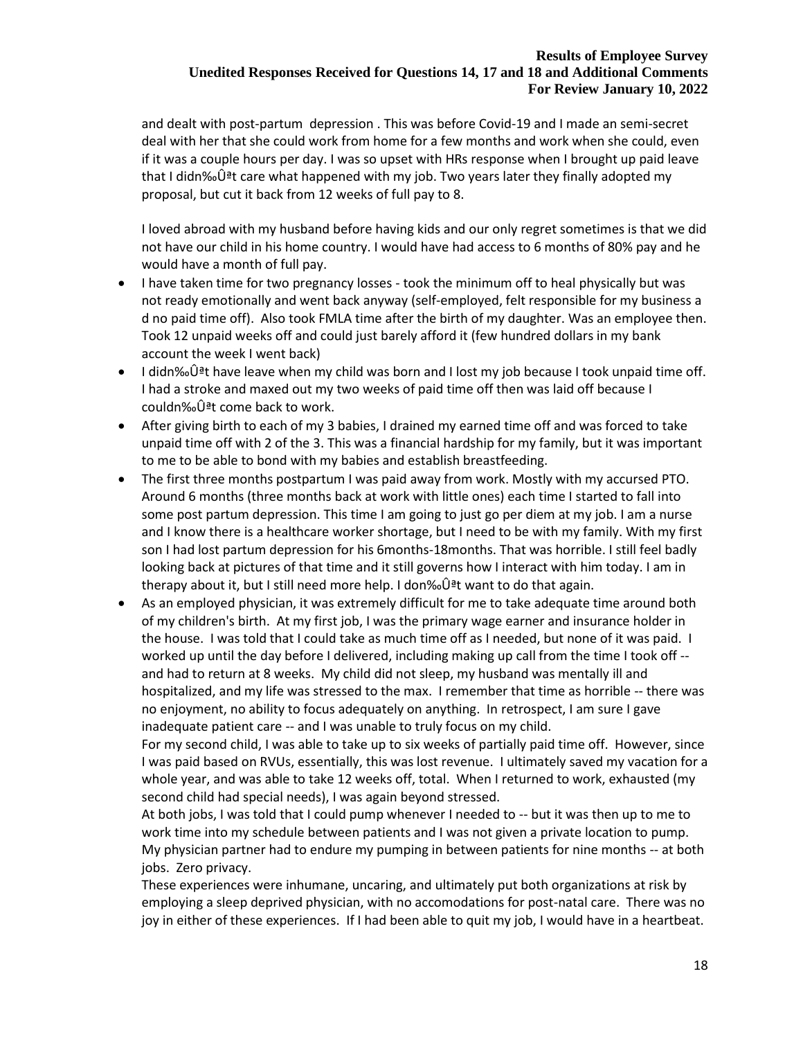and dealt with post-partum depression . This was before Covid-19 and I made an semi-secret deal with her that she could work from home for a few months and work when she could, even if it was a couple hours per day. I was so upset with HRs response when I brought up paid leave that I didn‰Ûªt care what happened with my job. Two years later they finally adopted my proposal, but cut it back from 12 weeks of full pay to 8.

I loved abroad with my husband before having kids and our only regret sometimes is that we did not have our child in his home country. I would have had access to 6 months of 80% pay and he would have a month of full pay.

- I have taken time for two pregnancy losses took the minimum off to heal physically but was not ready emotionally and went back anyway (self-employed, felt responsible for my business a d no paid time off). Also took FMLA time after the birth of my daughter. Was an employee then. Took 12 unpaid weeks off and could just barely afford it (few hundred dollars in my bank account the week I went back)
- I didn‰Ûªt have leave when my child was born and I lost my job because I took unpaid time off. I had a stroke and maxed out my two weeks of paid time off then was laid off because I couldn‰Ûªt come back to work.
- After giving birth to each of my 3 babies, I drained my earned time off and was forced to take unpaid time off with 2 of the 3. This was a financial hardship for my family, but it was important to me to be able to bond with my babies and establish breastfeeding.
- The first three months postpartum I was paid away from work. Mostly with my accursed PTO. Around 6 months (three months back at work with little ones) each time I started to fall into some post partum depression. This time I am going to just go per diem at my job. I am a nurse and I know there is a healthcare worker shortage, but I need to be with my family. With my first son I had lost partum depression for his 6months-18months. That was horrible. I still feel badly looking back at pictures of that time and it still governs how I interact with him today. I am in therapy about it, but I still need more help. I don‰Ûªt want to do that again.
- As an employed physician, it was extremely difficult for me to take adequate time around both of my children's birth. At my first job, I was the primary wage earner and insurance holder in the house. I was told that I could take as much time off as I needed, but none of it was paid. I worked up until the day before I delivered, including making up call from the time I took off -and had to return at 8 weeks. My child did not sleep, my husband was mentally ill and hospitalized, and my life was stressed to the max. I remember that time as horrible -- there was no enjoyment, no ability to focus adequately on anything. In retrospect, I am sure I gave inadequate patient care -- and I was unable to truly focus on my child.

For my second child, I was able to take up to six weeks of partially paid time off. However, since I was paid based on RVUs, essentially, this was lost revenue. I ultimately saved my vacation for a whole year, and was able to take 12 weeks off, total. When I returned to work, exhausted (my second child had special needs), I was again beyond stressed.

At both jobs, I was told that I could pump whenever I needed to -- but it was then up to me to work time into my schedule between patients and I was not given a private location to pump. My physician partner had to endure my pumping in between patients for nine months -- at both jobs. Zero privacy.

These experiences were inhumane, uncaring, and ultimately put both organizations at risk by employing a sleep deprived physician, with no accomodations for post-natal care. There was no joy in either of these experiences. If I had been able to quit my job, I would have in a heartbeat.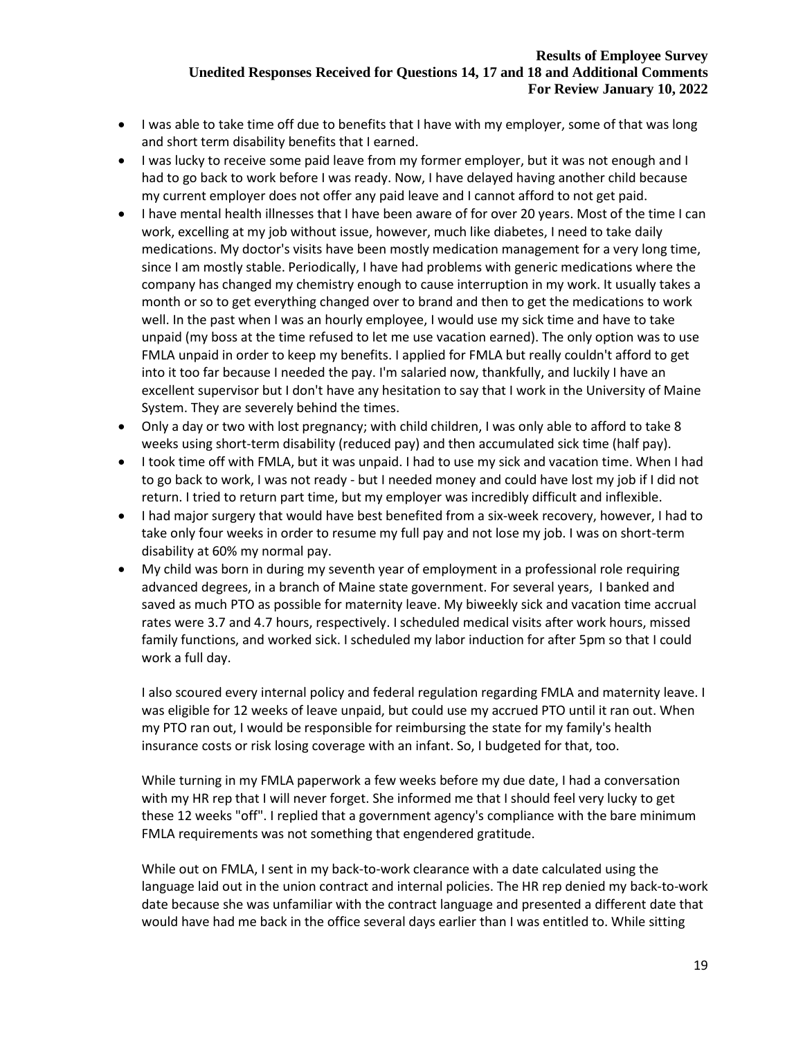- I was able to take time off due to benefits that I have with my employer, some of that was long and short term disability benefits that I earned.
- I was lucky to receive some paid leave from my former employer, but it was not enough and I had to go back to work before I was ready. Now, I have delayed having another child because my current employer does not offer any paid leave and I cannot afford to not get paid.
- I have mental health illnesses that I have been aware of for over 20 years. Most of the time I can work, excelling at my job without issue, however, much like diabetes, I need to take daily medications. My doctor's visits have been mostly medication management for a very long time, since I am mostly stable. Periodically, I have had problems with generic medications where the company has changed my chemistry enough to cause interruption in my work. It usually takes a month or so to get everything changed over to brand and then to get the medications to work well. In the past when I was an hourly employee, I would use my sick time and have to take unpaid (my boss at the time refused to let me use vacation earned). The only option was to use FMLA unpaid in order to keep my benefits. I applied for FMLA but really couldn't afford to get into it too far because I needed the pay. I'm salaried now, thankfully, and luckily I have an excellent supervisor but I don't have any hesitation to say that I work in the University of Maine System. They are severely behind the times.
- Only a day or two with lost pregnancy; with child children, I was only able to afford to take 8 weeks using short-term disability (reduced pay) and then accumulated sick time (half pay).
- I took time off with FMLA, but it was unpaid. I had to use my sick and vacation time. When I had to go back to work, I was not ready - but I needed money and could have lost my job if I did not return. I tried to return part time, but my employer was incredibly difficult and inflexible.
- I had major surgery that would have best benefited from a six-week recovery, however, I had to take only four weeks in order to resume my full pay and not lose my job. I was on short-term disability at 60% my normal pay.
- My child was born in during my seventh year of employment in a professional role requiring advanced degrees, in a branch of Maine state government. For several years, I banked and saved as much PTO as possible for maternity leave. My biweekly sick and vacation time accrual rates were 3.7 and 4.7 hours, respectively. I scheduled medical visits after work hours, missed family functions, and worked sick. I scheduled my labor induction for after 5pm so that I could work a full day.

I also scoured every internal policy and federal regulation regarding FMLA and maternity leave. I was eligible for 12 weeks of leave unpaid, but could use my accrued PTO until it ran out. When my PTO ran out, I would be responsible for reimbursing the state for my family's health insurance costs or risk losing coverage with an infant. So, I budgeted for that, too.

While turning in my FMLA paperwork a few weeks before my due date, I had a conversation with my HR rep that I will never forget. She informed me that I should feel very lucky to get these 12 weeks "off". I replied that a government agency's compliance with the bare minimum FMLA requirements was not something that engendered gratitude.

While out on FMLA, I sent in my back-to-work clearance with a date calculated using the language laid out in the union contract and internal policies. The HR rep denied my back-to-work date because she was unfamiliar with the contract language and presented a different date that would have had me back in the office several days earlier than I was entitled to. While sitting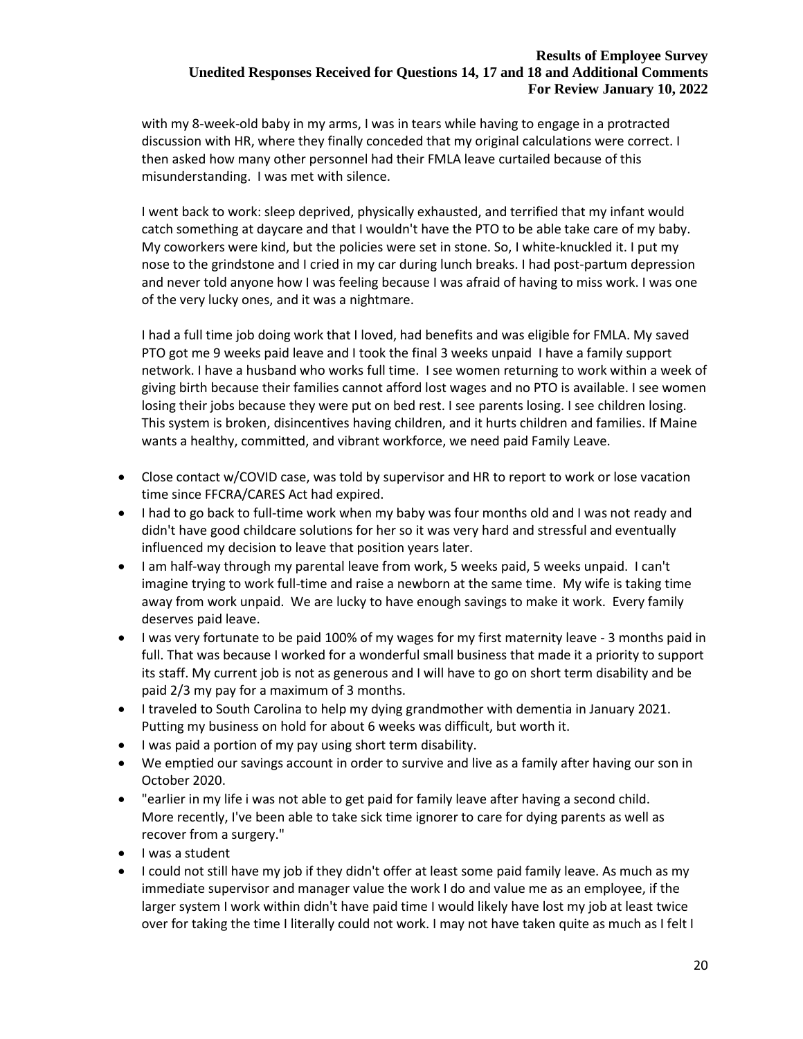with my 8-week-old baby in my arms, I was in tears while having to engage in a protracted discussion with HR, where they finally conceded that my original calculations were correct. I then asked how many other personnel had their FMLA leave curtailed because of this misunderstanding. I was met with silence.

I went back to work: sleep deprived, physically exhausted, and terrified that my infant would catch something at daycare and that I wouldn't have the PTO to be able take care of my baby. My coworkers were kind, but the policies were set in stone. So, I white-knuckled it. I put my nose to the grindstone and I cried in my car during lunch breaks. I had post-partum depression and never told anyone how I was feeling because I was afraid of having to miss work. I was one of the very lucky ones, and it was a nightmare.

I had a full time job doing work that I loved, had benefits and was eligible for FMLA. My saved PTO got me 9 weeks paid leave and I took the final 3 weeks unpaid I have a family support network. I have a husband who works full time. I see women returning to work within a week of giving birth because their families cannot afford lost wages and no PTO is available. I see women losing their jobs because they were put on bed rest. I see parents losing. I see children losing. This system is broken, disincentives having children, and it hurts children and families. If Maine wants a healthy, committed, and vibrant workforce, we need paid Family Leave.

- Close contact w/COVID case, was told by supervisor and HR to report to work or lose vacation time since FFCRA/CARES Act had expired.
- I had to go back to full-time work when my baby was four months old and I was not ready and didn't have good childcare solutions for her so it was very hard and stressful and eventually influenced my decision to leave that position years later.
- I am half-way through my parental leave from work, 5 weeks paid, 5 weeks unpaid. I can't imagine trying to work full-time and raise a newborn at the same time. My wife is taking time away from work unpaid. We are lucky to have enough savings to make it work. Every family deserves paid leave.
- I was very fortunate to be paid 100% of my wages for my first maternity leave 3 months paid in full. That was because I worked for a wonderful small business that made it a priority to support its staff. My current job is not as generous and I will have to go on short term disability and be paid 2/3 my pay for a maximum of 3 months.
- I traveled to South Carolina to help my dying grandmother with dementia in January 2021. Putting my business on hold for about 6 weeks was difficult, but worth it.
- I was paid a portion of my pay using short term disability.
- We emptied our savings account in order to survive and live as a family after having our son in October 2020.
- "earlier in my life i was not able to get paid for family leave after having a second child. More recently, I've been able to take sick time ignorer to care for dying parents as well as recover from a surgery."
- I was a student
- I could not still have my job if they didn't offer at least some paid family leave. As much as my immediate supervisor and manager value the work I do and value me as an employee, if the larger system I work within didn't have paid time I would likely have lost my job at least twice over for taking the time I literally could not work. I may not have taken quite as much as I felt I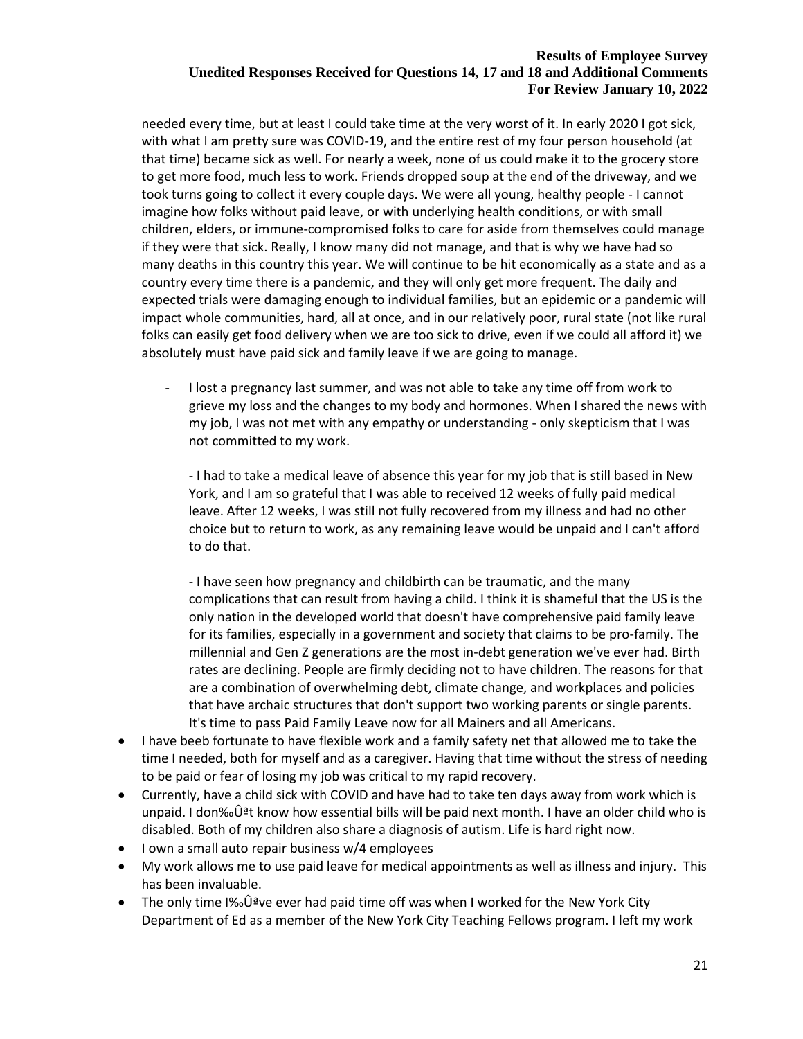needed every time, but at least I could take time at the very worst of it. In early 2020 I got sick, with what I am pretty sure was COVID-19, and the entire rest of my four person household (at that time) became sick as well. For nearly a week, none of us could make it to the grocery store to get more food, much less to work. Friends dropped soup at the end of the driveway, and we took turns going to collect it every couple days. We were all young, healthy people - I cannot imagine how folks without paid leave, or with underlying health conditions, or with small children, elders, or immune-compromised folks to care for aside from themselves could manage if they were that sick. Really, I know many did not manage, and that is why we have had so many deaths in this country this year. We will continue to be hit economically as a state and as a country every time there is a pandemic, and they will only get more frequent. The daily and expected trials were damaging enough to individual families, but an epidemic or a pandemic will impact whole communities, hard, all at once, and in our relatively poor, rural state (not like rural folks can easily get food delivery when we are too sick to drive, even if we could all afford it) we absolutely must have paid sick and family leave if we are going to manage.

I lost a pregnancy last summer, and was not able to take any time off from work to grieve my loss and the changes to my body and hormones. When I shared the news with my job, I was not met with any empathy or understanding - only skepticism that I was not committed to my work.

- I had to take a medical leave of absence this year for my job that is still based in New York, and I am so grateful that I was able to received 12 weeks of fully paid medical leave. After 12 weeks, I was still not fully recovered from my illness and had no other choice but to return to work, as any remaining leave would be unpaid and I can't afford to do that.

- I have seen how pregnancy and childbirth can be traumatic, and the many complications that can result from having a child. I think it is shameful that the US is the only nation in the developed world that doesn't have comprehensive paid family leave for its families, especially in a government and society that claims to be pro-family. The millennial and Gen Z generations are the most in-debt generation we've ever had. Birth rates are declining. People are firmly deciding not to have children. The reasons for that are a combination of overwhelming debt, climate change, and workplaces and policies that have archaic structures that don't support two working parents or single parents. It's time to pass Paid Family Leave now for all Mainers and all Americans.

- I have beeb fortunate to have flexible work and a family safety net that allowed me to take the time I needed, both for myself and as a caregiver. Having that time without the stress of needing to be paid or fear of losing my job was critical to my rapid recovery.
- Currently, have a child sick with COVID and have had to take ten days away from work which is unpaid. I don‰Ûªt know how essential bills will be paid next month. I have an older child who is disabled. Both of my children also share a diagnosis of autism. Life is hard right now.
- I own a small auto repair business w/4 employees
- My work allows me to use paid leave for medical appointments as well as illness and injury. This has been invaluable.
- The only time I‰Ûªve ever had paid time off was when I worked for the New York City Department of Ed as a member of the New York City Teaching Fellows program. I left my work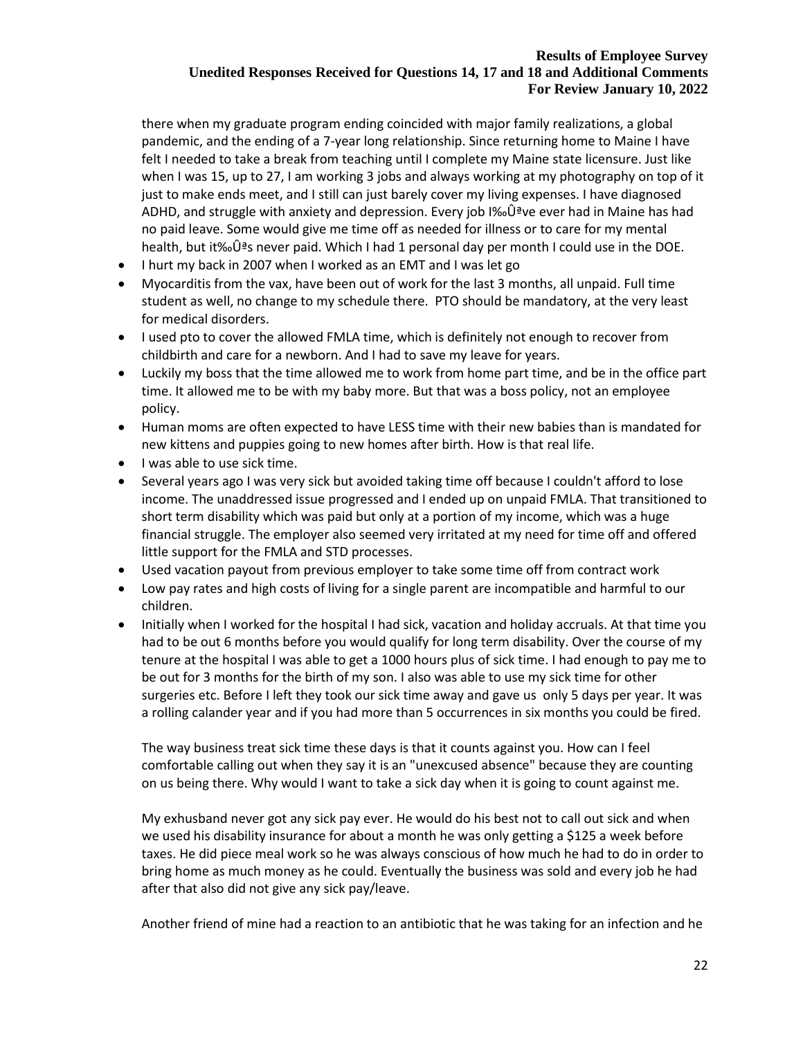there when my graduate program ending coincided with major family realizations, a global pandemic, and the ending of a 7-year long relationship. Since returning home to Maine I have felt I needed to take a break from teaching until I complete my Maine state licensure. Just like when I was 15, up to 27, I am working 3 jobs and always working at my photography on top of it just to make ends meet, and I still can just barely cover my living expenses. I have diagnosed ADHD, and struggle with anxiety and depression. Every job I‰Ûªve ever had in Maine has had no paid leave. Some would give me time off as needed for illness or to care for my mental health, but it‰Ûªs never paid. Which I had 1 personal day per month I could use in the DOE.

- I hurt my back in 2007 when I worked as an EMT and I was let go
- Myocarditis from the vax, have been out of work for the last 3 months, all unpaid. Full time student as well, no change to my schedule there. PTO should be mandatory, at the very least for medical disorders.
- I used pto to cover the allowed FMLA time, which is definitely not enough to recover from childbirth and care for a newborn. And I had to save my leave for years.
- Luckily my boss that the time allowed me to work from home part time, and be in the office part time. It allowed me to be with my baby more. But that was a boss policy, not an employee policy.
- Human moms are often expected to have LESS time with their new babies than is mandated for new kittens and puppies going to new homes after birth. How is that real life.
- I was able to use sick time.
- Several years ago I was very sick but avoided taking time off because I couldn't afford to lose income. The unaddressed issue progressed and I ended up on unpaid FMLA. That transitioned to short term disability which was paid but only at a portion of my income, which was a huge financial struggle. The employer also seemed very irritated at my need for time off and offered little support for the FMLA and STD processes.
- Used vacation payout from previous employer to take some time off from contract work
- Low pay rates and high costs of living for a single parent are incompatible and harmful to our children.
- Initially when I worked for the hospital I had sick, vacation and holiday accruals. At that time you had to be out 6 months before you would qualify for long term disability. Over the course of my tenure at the hospital I was able to get a 1000 hours plus of sick time. I had enough to pay me to be out for 3 months for the birth of my son. I also was able to use my sick time for other surgeries etc. Before I left they took our sick time away and gave us only 5 days per year. It was a rolling calander year and if you had more than 5 occurrences in six months you could be fired.

The way business treat sick time these days is that it counts against you. How can I feel comfortable calling out when they say it is an "unexcused absence" because they are counting on us being there. Why would I want to take a sick day when it is going to count against me.

My exhusband never got any sick pay ever. He would do his best not to call out sick and when we used his disability insurance for about a month he was only getting a \$125 a week before taxes. He did piece meal work so he was always conscious of how much he had to do in order to bring home as much money as he could. Eventually the business was sold and every job he had after that also did not give any sick pay/leave.

Another friend of mine had a reaction to an antibiotic that he was taking for an infection and he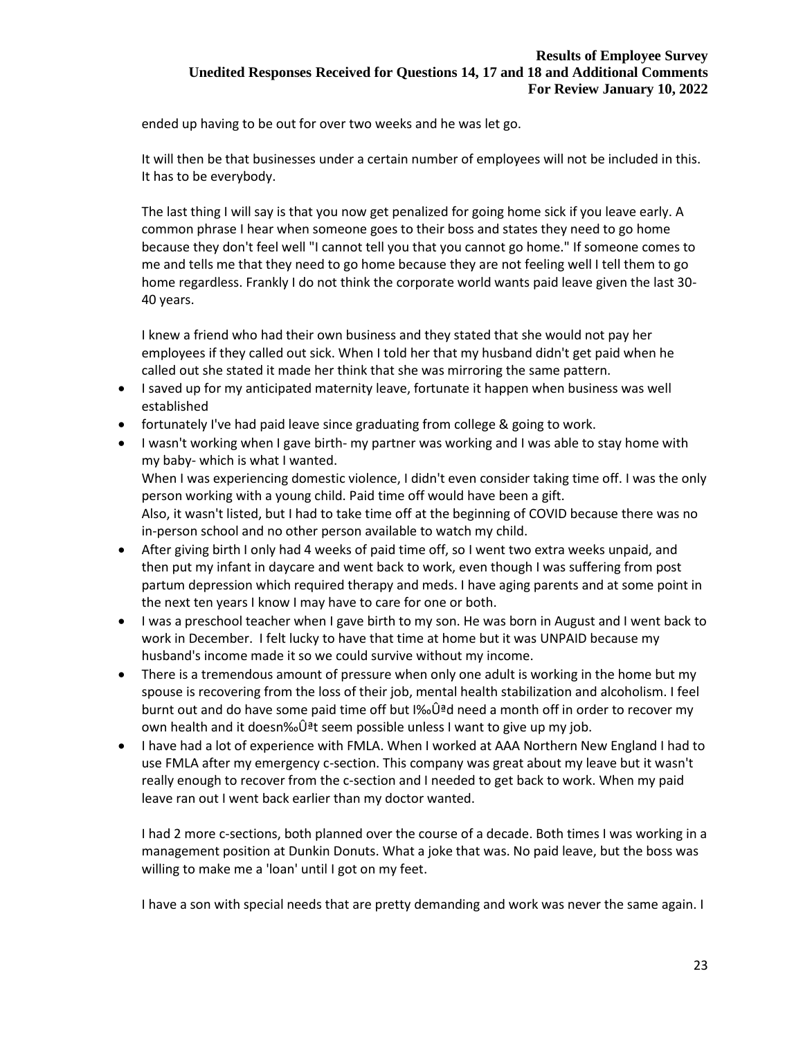ended up having to be out for over two weeks and he was let go.

It will then be that businesses under a certain number of employees will not be included in this. It has to be everybody.

The last thing I will say is that you now get penalized for going home sick if you leave early. A common phrase I hear when someone goes to their boss and states they need to go home because they don't feel well "I cannot tell you that you cannot go home." If someone comes to me and tells me that they need to go home because they are not feeling well I tell them to go home regardless. Frankly I do not think the corporate world wants paid leave given the last 30- 40 years.

I knew a friend who had their own business and they stated that she would not pay her employees if they called out sick. When I told her that my husband didn't get paid when he called out she stated it made her think that she was mirroring the same pattern.

- I saved up for my anticipated maternity leave, fortunate it happen when business was well established
- fortunately I've had paid leave since graduating from college & going to work.
- I wasn't working when I gave birth- my partner was working and I was able to stay home with my baby- which is what I wanted. When I was experiencing domestic violence, I didn't even consider taking time off. I was the only person working with a young child. Paid time off would have been a gift. Also, it wasn't listed, but I had to take time off at the beginning of COVID because there was no in-person school and no other person available to watch my child.
- After giving birth I only had 4 weeks of paid time off, so I went two extra weeks unpaid, and then put my infant in daycare and went back to work, even though I was suffering from post partum depression which required therapy and meds. I have aging parents and at some point in the next ten years I know I may have to care for one or both.
- I was a preschool teacher when I gave birth to my son. He was born in August and I went back to work in December. I felt lucky to have that time at home but it was UNPAID because my husband's income made it so we could survive without my income.
- There is a tremendous amount of pressure when only one adult is working in the home but my spouse is recovering from the loss of their job, mental health stabilization and alcoholism. I feel burnt out and do have some paid time off but I‰Ûªd need a month off in order to recover my own health and it doesn‰Û<sup>ª</sup>t seem possible unless I want to give up my job.
- I have had a lot of experience with FMLA. When I worked at AAA Northern New England I had to use FMLA after my emergency c-section. This company was great about my leave but it wasn't really enough to recover from the c-section and I needed to get back to work. When my paid leave ran out I went back earlier than my doctor wanted.

I had 2 more c-sections, both planned over the course of a decade. Both times I was working in a management position at Dunkin Donuts. What a joke that was. No paid leave, but the boss was willing to make me a 'loan' until I got on my feet.

I have a son with special needs that are pretty demanding and work was never the same again. I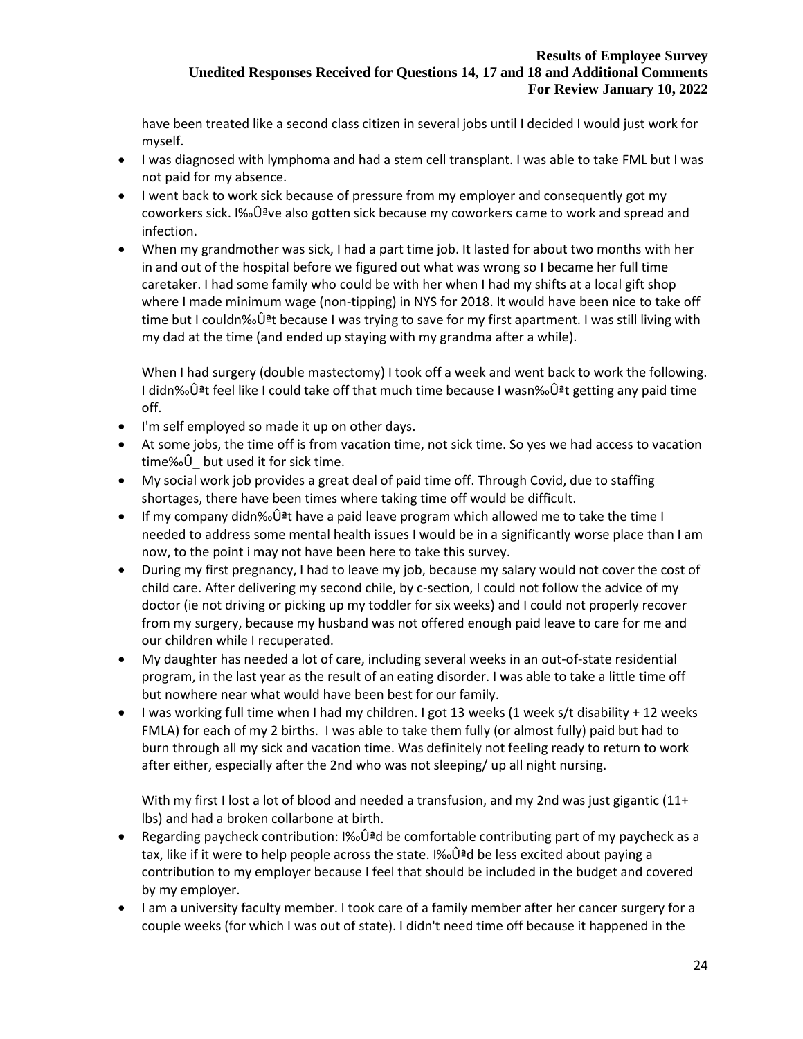have been treated like a second class citizen in several jobs until I decided I would just work for myself.

- I was diagnosed with lymphoma and had a stem cell transplant. I was able to take FML but I was not paid for my absence.
- I went back to work sick because of pressure from my employer and consequently got my coworkers sick. I‰Û<sup>ª</sup>ve also gotten sick because my coworkers came to work and spread and infection.
- When my grandmother was sick, I had a part time job. It lasted for about two months with her in and out of the hospital before we figured out what was wrong so I became her full time caretaker. I had some family who could be with her when I had my shifts at a local gift shop where I made minimum wage (non-tipping) in NYS for 2018. It would have been nice to take off time but I couldn‰Ûªt because I was trying to save for my first apartment. I was still living with my dad at the time (and ended up staying with my grandma after a while).

When I had surgery (double mastectomy) I took off a week and went back to work the following. I didn‰Ûªt feel like I could take off that much time because I wasn‰Ûªt getting any paid time off.

- I'm self employed so made it up on other days.
- At some jobs, the time off is from vacation time, not sick time. So yes we had access to vacation time‰Û\_ but used it for sick time.
- My social work job provides a great deal of paid time off. Through Covid, due to staffing shortages, there have been times where taking time off would be difficult.
- If my company didn‰Ûªt have a paid leave program which allowed me to take the time I needed to address some mental health issues I would be in a significantly worse place than I am now, to the point i may not have been here to take this survey.
- During my first pregnancy, I had to leave my job, because my salary would not cover the cost of child care. After delivering my second chile, by c-section, I could not follow the advice of my doctor (ie not driving or picking up my toddler for six weeks) and I could not properly recover from my surgery, because my husband was not offered enough paid leave to care for me and our children while I recuperated.
- My daughter has needed a lot of care, including several weeks in an out-of-state residential program, in the last year as the result of an eating disorder. I was able to take a little time off but nowhere near what would have been best for our family.
- I was working full time when I had my children. I got 13 weeks (1 week s/t disability + 12 weeks FMLA) for each of my 2 births. I was able to take them fully (or almost fully) paid but had to burn through all my sick and vacation time. Was definitely not feeling ready to return to work after either, especially after the 2nd who was not sleeping/ up all night nursing.

With my first I lost a lot of blood and needed a transfusion, and my 2nd was just gigantic (11+ lbs) and had a broken collarbone at birth.

- Regarding paycheck contribution: I‰Ûªd be comfortable contributing part of my paycheck as a tax, like if it were to help people across the state. I‰Ûªd be less excited about paying a contribution to my employer because I feel that should be included in the budget and covered by my employer.
- I am a university faculty member. I took care of a family member after her cancer surgery for a couple weeks (for which I was out of state). I didn't need time off because it happened in the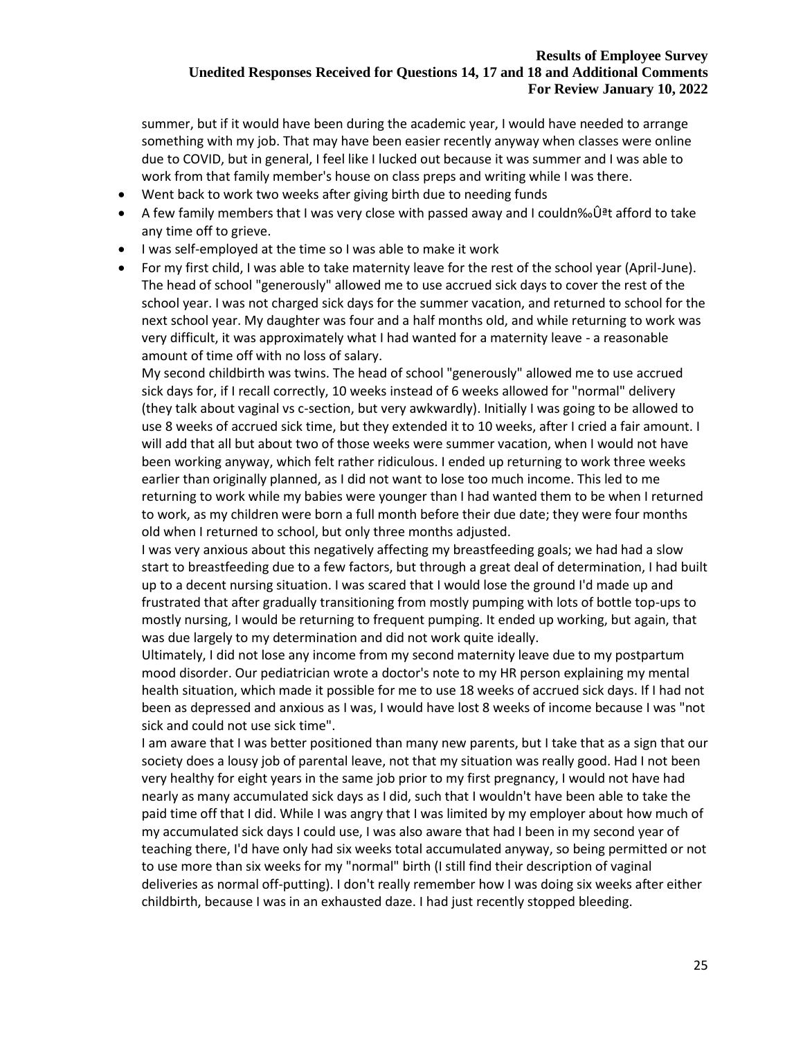summer, but if it would have been during the academic year, I would have needed to arrange something with my job. That may have been easier recently anyway when classes were online due to COVID, but in general, I feel like I lucked out because it was summer and I was able to work from that family member's house on class preps and writing while I was there.

- Went back to work two weeks after giving birth due to needing funds
- A few family members that I was very close with passed away and I couldn‰Ûªt afford to take any time off to grieve.
- I was self-employed at the time so I was able to make it work
- For my first child, I was able to take maternity leave for the rest of the school year (April-June). The head of school "generously" allowed me to use accrued sick days to cover the rest of the school year. I was not charged sick days for the summer vacation, and returned to school for the next school year. My daughter was four and a half months old, and while returning to work was very difficult, it was approximately what I had wanted for a maternity leave - a reasonable amount of time off with no loss of salary.

My second childbirth was twins. The head of school "generously" allowed me to use accrued sick days for, if I recall correctly, 10 weeks instead of 6 weeks allowed for "normal" delivery (they talk about vaginal vs c-section, but very awkwardly). Initially I was going to be allowed to use 8 weeks of accrued sick time, but they extended it to 10 weeks, after I cried a fair amount. I will add that all but about two of those weeks were summer vacation, when I would not have been working anyway, which felt rather ridiculous. I ended up returning to work three weeks earlier than originally planned, as I did not want to lose too much income. This led to me returning to work while my babies were younger than I had wanted them to be when I returned to work, as my children were born a full month before their due date; they were four months old when I returned to school, but only three months adjusted.

I was very anxious about this negatively affecting my breastfeeding goals; we had had a slow start to breastfeeding due to a few factors, but through a great deal of determination, I had built up to a decent nursing situation. I was scared that I would lose the ground I'd made up and frustrated that after gradually transitioning from mostly pumping with lots of bottle top-ups to mostly nursing, I would be returning to frequent pumping. It ended up working, but again, that was due largely to my determination and did not work quite ideally.

Ultimately, I did not lose any income from my second maternity leave due to my postpartum mood disorder. Our pediatrician wrote a doctor's note to my HR person explaining my mental health situation, which made it possible for me to use 18 weeks of accrued sick days. If I had not been as depressed and anxious as I was, I would have lost 8 weeks of income because I was "not sick and could not use sick time".

I am aware that I was better positioned than many new parents, but I take that as a sign that our society does a lousy job of parental leave, not that my situation was really good. Had I not been very healthy for eight years in the same job prior to my first pregnancy, I would not have had nearly as many accumulated sick days as I did, such that I wouldn't have been able to take the paid time off that I did. While I was angry that I was limited by my employer about how much of my accumulated sick days I could use, I was also aware that had I been in my second year of teaching there, I'd have only had six weeks total accumulated anyway, so being permitted or not to use more than six weeks for my "normal" birth (I still find their description of vaginal deliveries as normal off-putting). I don't really remember how I was doing six weeks after either childbirth, because I was in an exhausted daze. I had just recently stopped bleeding.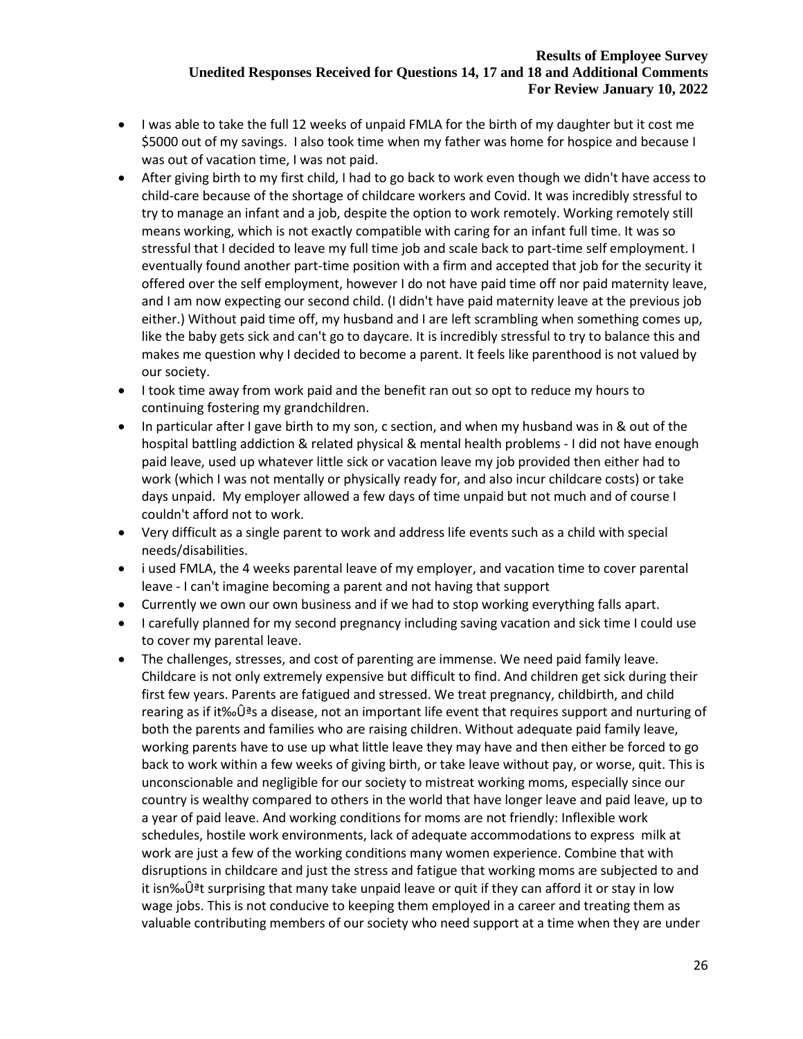- I was able to take the full 12 weeks of unpaid FMLA for the birth of my daughter but it cost me \$5000 out of my savings. I also took time when my father was home for hospice and because I was out of vacation time, I was not paid.
- After giving birth to my first child, I had to go back to work even though we didn't have access to child-care because of the shortage of childcare workers and Covid. It was incredibly stressful to try to manage an infant and a job, despite the option to work remotely. Working remotely still means working, which is not exactly compatible with caring for an infant full time. It was so stressful that I decided to leave my full time job and scale back to part-time self employment. I eventually found another part-time position with a firm and accepted that job for the security it offered over the self employment, however I do not have paid time off nor paid maternity leave, and I am now expecting our second child. (I didn't have paid maternity leave at the previous job either.) Without paid time off, my husband and I are left scrambling when something comes up, like the baby gets sick and can't go to daycare. It is incredibly stressful to try to balance this and makes me question why I decided to become a parent. It feels like parenthood is not valued by our society.
- I took time away from work paid and the benefit ran out so opt to reduce my hours to continuing fostering my grandchildren.
- In particular after I gave birth to my son, c section, and when my husband was in & out of the hospital battling addiction & related physical & mental health problems - I did not have enough paid leave, used up whatever little sick or vacation leave my job provided then either had to work (which I was not mentally or physically ready for, and also incur childcare costs) or take days unpaid. My employer allowed a few days of time unpaid but not much and of course I couldn't afford not to work.
- Very difficult as a single parent to work and address life events such as a child with special needs/disabilities.
- i used FMLA, the 4 weeks parental leave of my employer, and vacation time to cover parental leave - I can't imagine becoming a parent and not having that support
- Currently we own our own business and if we had to stop working everything falls apart.
- I carefully planned for my second pregnancy including saving vacation and sick time I could use to cover my parental leave.
- The challenges, stresses, and cost of parenting are immense. We need paid family leave. Childcare is not only extremely expensive but difficult to find. And children get sick during their first few years. Parents are fatigued and stressed. We treat pregnancy, childbirth, and child rearing as if it‰Ûªs a disease, not an important life event that requires support and nurturing of both the parents and families who are raising children. Without adequate paid family leave, working parents have to use up what little leave they may have and then either be forced to go back to work within a few weeks of giving birth, or take leave without pay, or worse, quit. This is unconscionable and negligible for our society to mistreat working moms, especially since our country is wealthy compared to others in the world that have longer leave and paid leave, up to a year of paid leave. And working conditions for moms are not friendly: Inflexible work schedules, hostile work environments, lack of adequate accommodations to express milk at work are just a few of the working conditions many women experience. Combine that with disruptions in childcare and just the stress and fatigue that working moms are subjected to and it isn‰Ûªt surprising that many take unpaid leave or quit if they can afford it or stay in low wage jobs. This is not conducive to keeping them employed in a career and treating them as valuable contributing members of our society who need support at a time when they are under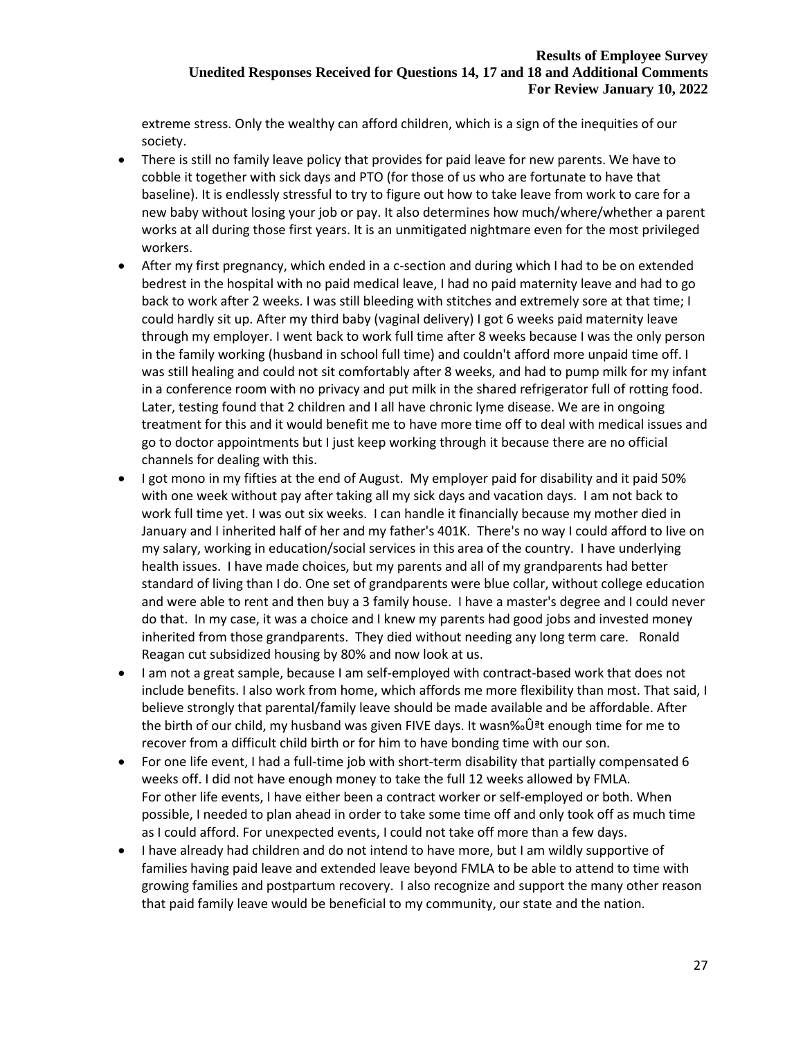extreme stress. Only the wealthy can afford children, which is a sign of the inequities of our society.

- There is still no family leave policy that provides for paid leave for new parents. We have to cobble it together with sick days and PTO (for those of us who are fortunate to have that baseline). It is endlessly stressful to try to figure out how to take leave from work to care for a new baby without losing your job or pay. It also determines how much/where/whether a parent works at all during those first years. It is an unmitigated nightmare even for the most privileged workers.
- After my first pregnancy, which ended in a c-section and during which I had to be on extended bedrest in the hospital with no paid medical leave, I had no paid maternity leave and had to go back to work after 2 weeks. I was still bleeding with stitches and extremely sore at that time; I could hardly sit up. After my third baby (vaginal delivery) I got 6 weeks paid maternity leave through my employer. I went back to work full time after 8 weeks because I was the only person in the family working (husband in school full time) and couldn't afford more unpaid time off. I was still healing and could not sit comfortably after 8 weeks, and had to pump milk for my infant in a conference room with no privacy and put milk in the shared refrigerator full of rotting food. Later, testing found that 2 children and I all have chronic lyme disease. We are in ongoing treatment for this and it would benefit me to have more time off to deal with medical issues and go to doctor appointments but I just keep working through it because there are no official channels for dealing with this.
- I got mono in my fifties at the end of August. My employer paid for disability and it paid 50% with one week without pay after taking all my sick days and vacation days. I am not back to work full time yet. I was out six weeks. I can handle it financially because my mother died in January and I inherited half of her and my father's 401K. There's no way I could afford to live on my salary, working in education/social services in this area of the country. I have underlying health issues. I have made choices, but my parents and all of my grandparents had better standard of living than I do. One set of grandparents were blue collar, without college education and were able to rent and then buy a 3 family house. I have a master's degree and I could never do that. In my case, it was a choice and I knew my parents had good jobs and invested money inherited from those grandparents. They died without needing any long term care. Ronald Reagan cut subsidized housing by 80% and now look at us.
- I am not a great sample, because I am self-employed with contract-based work that does not include benefits. I also work from home, which affords me more flexibility than most. That said, I believe strongly that parental/family leave should be made available and be affordable. After the birth of our child, my husband was given FIVE days. It wasn‰Ûªt enough time for me to recover from a difficult child birth or for him to have bonding time with our son.
- For one life event, I had a full-time job with short-term disability that partially compensated 6 weeks off. I did not have enough money to take the full 12 weeks allowed by FMLA. For other life events, I have either been a contract worker or self-employed or both. When possible, I needed to plan ahead in order to take some time off and only took off as much time as I could afford. For unexpected events, I could not take off more than a few days.
- I have already had children and do not intend to have more, but I am wildly supportive of families having paid leave and extended leave beyond FMLA to be able to attend to time with growing families and postpartum recovery. I also recognize and support the many other reason that paid family leave would be beneficial to my community, our state and the nation.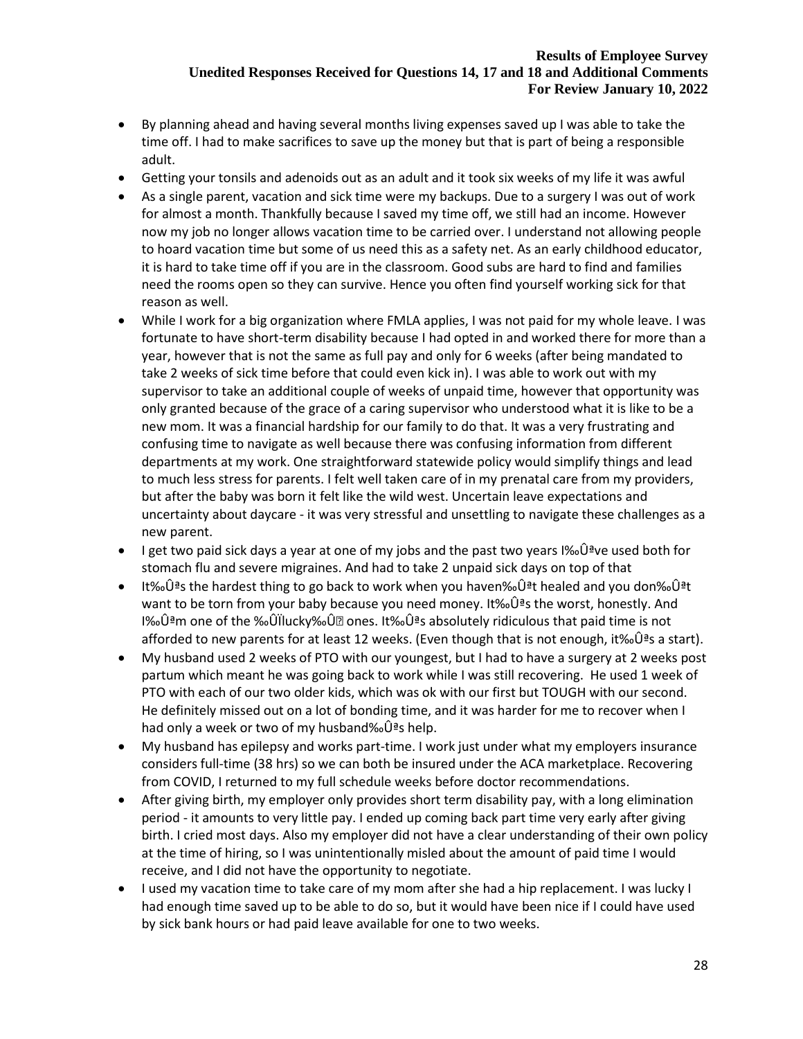- By planning ahead and having several months living expenses saved up I was able to take the time off. I had to make sacrifices to save up the money but that is part of being a responsible adult.
- Getting your tonsils and adenoids out as an adult and it took six weeks of my life it was awful
- As a single parent, vacation and sick time were my backups. Due to a surgery I was out of work for almost a month. Thankfully because I saved my time off, we still had an income. However now my job no longer allows vacation time to be carried over. I understand not allowing people to hoard vacation time but some of us need this as a safety net. As an early childhood educator, it is hard to take time off if you are in the classroom. Good subs are hard to find and families need the rooms open so they can survive. Hence you often find yourself working sick for that reason as well.
- While I work for a big organization where FMLA applies, I was not paid for my whole leave. I was fortunate to have short-term disability because I had opted in and worked there for more than a year, however that is not the same as full pay and only for 6 weeks (after being mandated to take 2 weeks of sick time before that could even kick in). I was able to work out with my supervisor to take an additional couple of weeks of unpaid time, however that opportunity was only granted because of the grace of a caring supervisor who understood what it is like to be a new mom. It was a financial hardship for our family to do that. It was a very frustrating and confusing time to navigate as well because there was confusing information from different departments at my work. One straightforward statewide policy would simplify things and lead to much less stress for parents. I felt well taken care of in my prenatal care from my providers, but after the baby was born it felt like the wild west. Uncertain leave expectations and uncertainty about daycare - it was very stressful and unsettling to navigate these challenges as a new parent.
- I get two paid sick days a year at one of my jobs and the past two years I‰Ûªve used both for stomach flu and severe migraines. And had to take 2 unpaid sick days on top of that
- It‰Ûªs the hardest thing to go back to work when you haven‰Ûªt healed and you don‰Ûªt want to be torn from your baby because you need money. It‰Ûªs the worst, honestly. And I‰Ûªm one of the ‰ÛÏlucky‰Û ones. It‰Ûªs absolutely ridiculous that paid time is not afforded to new parents for at least 12 weeks. (Even though that is not enough, it‰Ûªs a start).
- My husband used 2 weeks of PTO with our youngest, but I had to have a surgery at 2 weeks post partum which meant he was going back to work while I was still recovering. He used 1 week of PTO with each of our two older kids, which was ok with our first but TOUGH with our second. He definitely missed out on a lot of bonding time, and it was harder for me to recover when I had only a week or two of my husband‰Ûªs help.
- My husband has epilepsy and works part-time. I work just under what my employers insurance considers full-time (38 hrs) so we can both be insured under the ACA marketplace. Recovering from COVID, I returned to my full schedule weeks before doctor recommendations.
- After giving birth, my employer only provides short term disability pay, with a long elimination period - it amounts to very little pay. I ended up coming back part time very early after giving birth. I cried most days. Also my employer did not have a clear understanding of their own policy at the time of hiring, so I was unintentionally misled about the amount of paid time I would receive, and I did not have the opportunity to negotiate.
- I used my vacation time to take care of my mom after she had a hip replacement. I was lucky I had enough time saved up to be able to do so, but it would have been nice if I could have used by sick bank hours or had paid leave available for one to two weeks.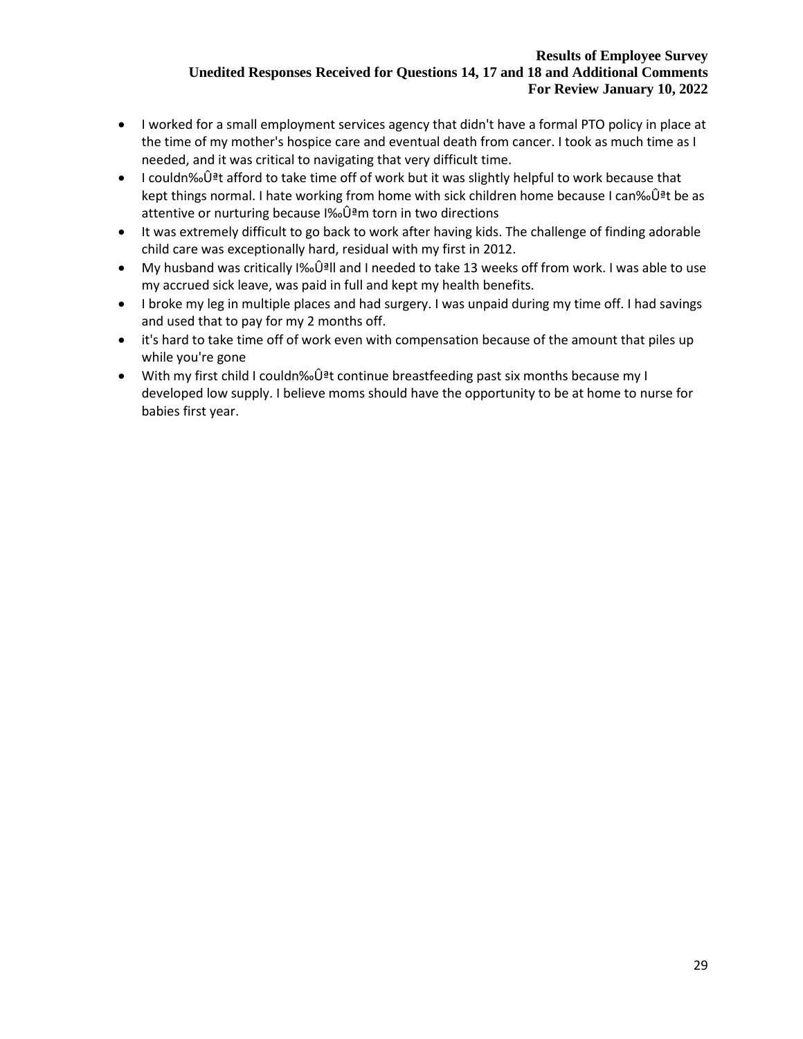- I worked for a small employment services agency that didn't have a formal PTO policy in place at the time of my mother's hospice care and eventual death from cancer. I took as much time as I needed, and it was critical to navigating that very difficult time.
- I couldn‰Ûªt afford to take time off of work but it was slightly helpful to work because that kept things normal. I hate working from home with sick children home because I can‰Ûªt be as attentive or nurturing because I‰Ûªm torn in two directions
- It was extremely difficult to go back to work after having kids. The challenge of finding adorable child care was exceptionally hard, residual with my first in 2012.
- My husband was critically I‰Ûªll and I needed to take 13 weeks off from work. I was able to use my accrued sick leave, was paid in full and kept my health benefits.
- I broke my leg in multiple places and had surgery. I was unpaid during my time off. I had savings and used that to pay for my 2 months off.
- it's hard to take time off of work even with compensation because of the amount that piles up while you're gone
- With my first child I couldn‰Ûªt continue breastfeeding past six months because my I developed low supply. I believe moms should have the opportunity to be at home to nurse for babies first year.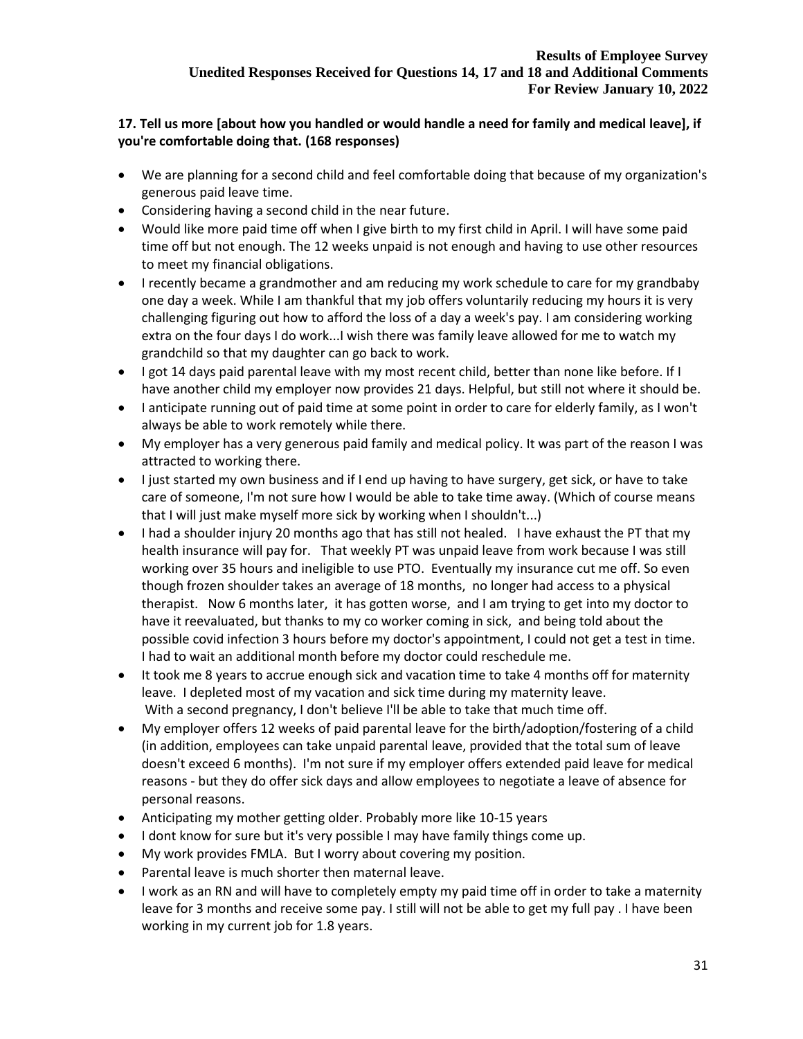# **17. Tell us more [about how you handled or would handle a need for family and medical leave], if you're comfortable doing that. (168 responses)**

- We are planning for a second child and feel comfortable doing that because of my organization's generous paid leave time.
- Considering having a second child in the near future.
- Would like more paid time off when I give birth to my first child in April. I will have some paid time off but not enough. The 12 weeks unpaid is not enough and having to use other resources to meet my financial obligations.
- I recently became a grandmother and am reducing my work schedule to care for my grandbaby one day a week. While I am thankful that my job offers voluntarily reducing my hours it is very challenging figuring out how to afford the loss of a day a week's pay. I am considering working extra on the four days I do work...I wish there was family leave allowed for me to watch my grandchild so that my daughter can go back to work.
- I got 14 days paid parental leave with my most recent child, better than none like before. If I have another child my employer now provides 21 days. Helpful, but still not where it should be.
- I anticipate running out of paid time at some point in order to care for elderly family, as I won't always be able to work remotely while there.
- My employer has a very generous paid family and medical policy. It was part of the reason I was attracted to working there.
- I just started my own business and if I end up having to have surgery, get sick, or have to take care of someone, I'm not sure how I would be able to take time away. (Which of course means that I will just make myself more sick by working when I shouldn't...)
- I had a shoulder injury 20 months ago that has still not healed. I have exhaust the PT that my health insurance will pay for. That weekly PT was unpaid leave from work because I was still working over 35 hours and ineligible to use PTO. Eventually my insurance cut me off. So even though frozen shoulder takes an average of 18 months, no longer had access to a physical therapist. Now 6 months later, it has gotten worse, and I am trying to get into my doctor to have it reevaluated, but thanks to my co worker coming in sick, and being told about the possible covid infection 3 hours before my doctor's appointment, I could not get a test in time. I had to wait an additional month before my doctor could reschedule me.
- It took me 8 years to accrue enough sick and vacation time to take 4 months off for maternity leave. I depleted most of my vacation and sick time during my maternity leave. With a second pregnancy, I don't believe I'll be able to take that much time off.
- My employer offers 12 weeks of paid parental leave for the birth/adoption/fostering of a child (in addition, employees can take unpaid parental leave, provided that the total sum of leave doesn't exceed 6 months). I'm not sure if my employer offers extended paid leave for medical reasons - but they do offer sick days and allow employees to negotiate a leave of absence for personal reasons.
- Anticipating my mother getting older. Probably more like 10-15 years
- I dont know for sure but it's very possible I may have family things come up.
- My work provides FMLA. But I worry about covering my position.
- Parental leave is much shorter then maternal leave.
- I work as an RN and will have to completely empty my paid time off in order to take a maternity leave for 3 months and receive some pay. I still will not be able to get my full pay . I have been working in my current job for 1.8 years.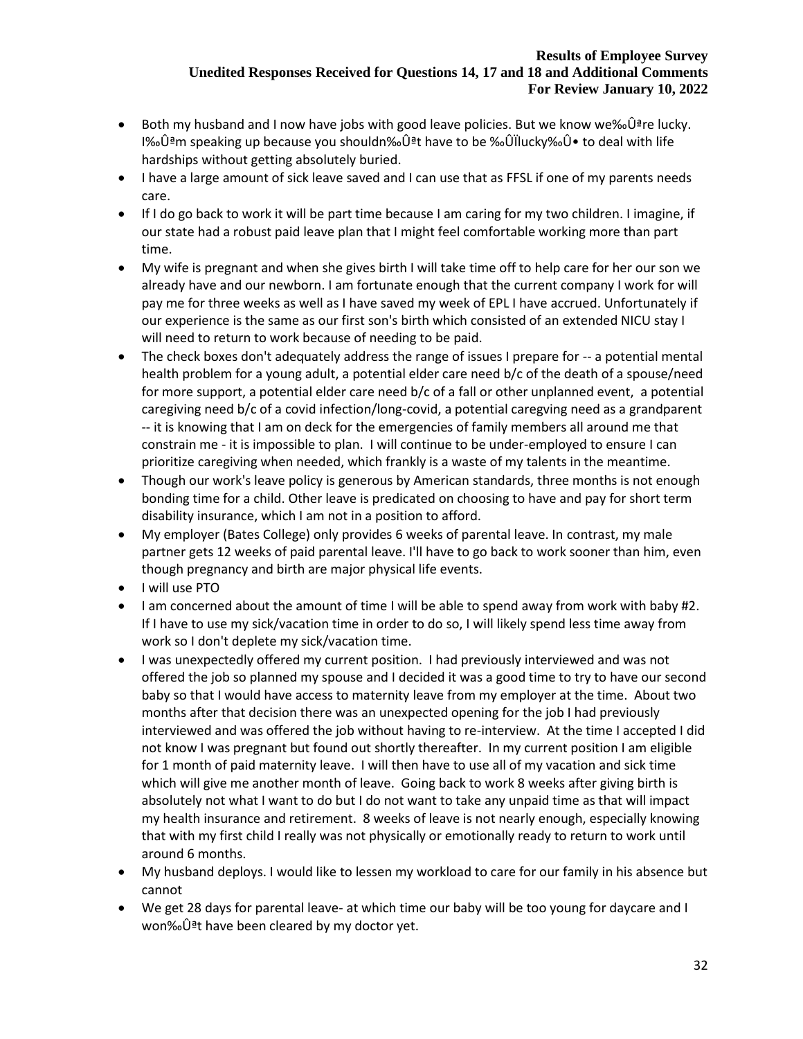- Both my husband and I now have jobs with good leave policies. But we know we‰Û<sup>ª</sup>re lucky. I‰Ûªm speaking up because you shouldn‰Ûªt have to be ‰ÛÏlucky‰Û• to deal with life hardships without getting absolutely buried.
- I have a large amount of sick leave saved and I can use that as FFSL if one of my parents needs care.
- If I do go back to work it will be part time because I am caring for my two children. I imagine, if our state had a robust paid leave plan that I might feel comfortable working more than part time.
- My wife is pregnant and when she gives birth I will take time off to help care for her our son we already have and our newborn. I am fortunate enough that the current company I work for will pay me for three weeks as well as I have saved my week of EPL I have accrued. Unfortunately if our experience is the same as our first son's birth which consisted of an extended NICU stay I will need to return to work because of needing to be paid.
- The check boxes don't adequately address the range of issues I prepare for -- a potential mental health problem for a young adult, a potential elder care need b/c of the death of a spouse/need for more support, a potential elder care need b/c of a fall or other unplanned event, a potential caregiving need b/c of a covid infection/long-covid, a potential caregving need as a grandparent -- it is knowing that I am on deck for the emergencies of family members all around me that constrain me - it is impossible to plan. I will continue to be under-employed to ensure I can prioritize caregiving when needed, which frankly is a waste of my talents in the meantime.
- Though our work's leave policy is generous by American standards, three months is not enough bonding time for a child. Other leave is predicated on choosing to have and pay for short term disability insurance, which I am not in a position to afford.
- My employer (Bates College) only provides 6 weeks of parental leave. In contrast, my male partner gets 12 weeks of paid parental leave. I'll have to go back to work sooner than him, even though pregnancy and birth are major physical life events.
- I will use PTO
- I am concerned about the amount of time I will be able to spend away from work with baby #2. If I have to use my sick/vacation time in order to do so, I will likely spend less time away from work so I don't deplete my sick/vacation time.
- I was unexpectedly offered my current position. I had previously interviewed and was not offered the job so planned my spouse and I decided it was a good time to try to have our second baby so that I would have access to maternity leave from my employer at the time. About two months after that decision there was an unexpected opening for the job I had previously interviewed and was offered the job without having to re-interview. At the time I accepted I did not know I was pregnant but found out shortly thereafter. In my current position I am eligible for 1 month of paid maternity leave. I will then have to use all of my vacation and sick time which will give me another month of leave. Going back to work 8 weeks after giving birth is absolutely not what I want to do but I do not want to take any unpaid time as that will impact my health insurance and retirement. 8 weeks of leave is not nearly enough, especially knowing that with my first child I really was not physically or emotionally ready to return to work until around 6 months.
- My husband deploys. I would like to lessen my workload to care for our family in his absence but cannot
- We get 28 days for parental leave- at which time our baby will be too young for daycare and I won‰Ûªt have been cleared by my doctor yet.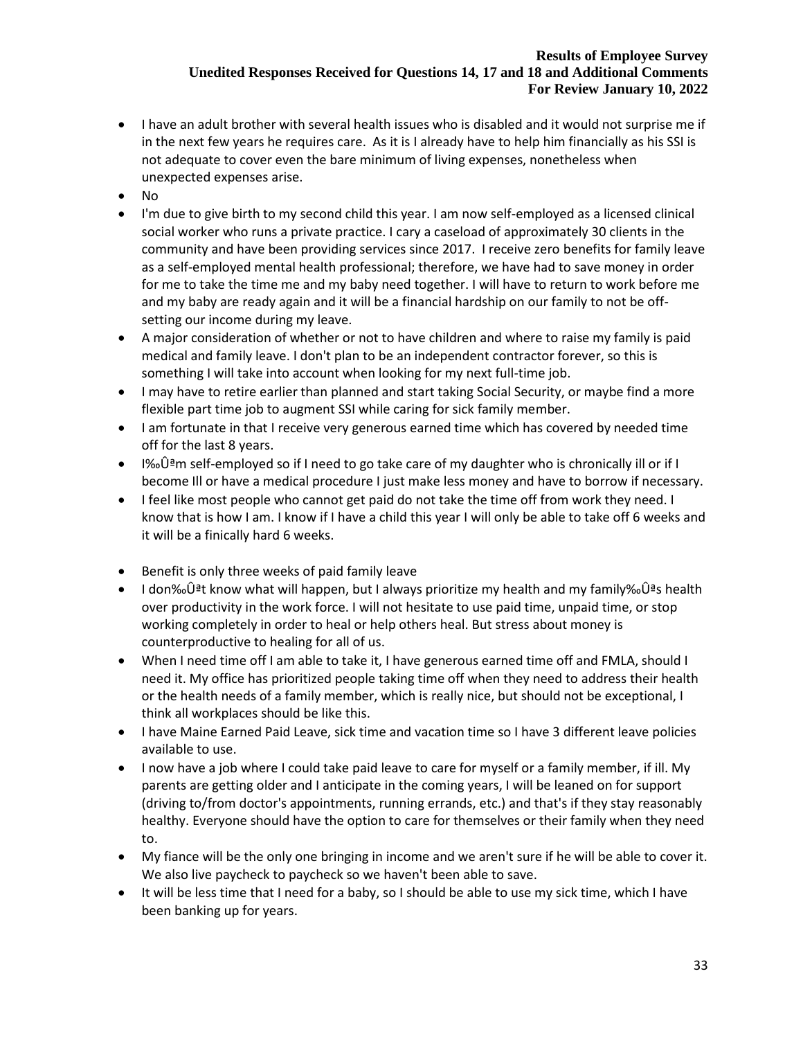- I have an adult brother with several health issues who is disabled and it would not surprise me if in the next few years he requires care. As it is I already have to help him financially as his SSI is not adequate to cover even the bare minimum of living expenses, nonetheless when unexpected expenses arise.
- No
- I'm due to give birth to my second child this year. I am now self-employed as a licensed clinical social worker who runs a private practice. I cary a caseload of approximately 30 clients in the community and have been providing services since 2017. I receive zero benefits for family leave as a self-employed mental health professional; therefore, we have had to save money in order for me to take the time me and my baby need together. I will have to return to work before me and my baby are ready again and it will be a financial hardship on our family to not be offsetting our income during my leave.
- A major consideration of whether or not to have children and where to raise my family is paid medical and family leave. I don't plan to be an independent contractor forever, so this is something I will take into account when looking for my next full-time job.
- I may have to retire earlier than planned and start taking Social Security, or maybe find a more flexible part time job to augment SSI while caring for sick family member.
- I am fortunate in that I receive very generous earned time which has covered by needed time off for the last 8 years.
- I‰Û<sup>a</sup>m self-employed so if I need to go take care of my daughter who is chronically ill or if I become Ill or have a medical procedure I just make less money and have to borrow if necessary.
- I feel like most people who cannot get paid do not take the time off from work they need. I know that is how I am. I know if I have a child this year I will only be able to take off 6 weeks and it will be a finically hard 6 weeks.
- Benefit is only three weeks of paid family leave
- I don‰Ûªt know what will happen, but I always prioritize my health and my family‰Ûªs health over productivity in the work force. I will not hesitate to use paid time, unpaid time, or stop working completely in order to heal or help others heal. But stress about money is counterproductive to healing for all of us.
- When I need time off I am able to take it, I have generous earned time off and FMLA, should I need it. My office has prioritized people taking time off when they need to address their health or the health needs of a family member, which is really nice, but should not be exceptional, I think all workplaces should be like this.
- I have Maine Earned Paid Leave, sick time and vacation time so I have 3 different leave policies available to use.
- I now have a job where I could take paid leave to care for myself or a family member, if ill. My parents are getting older and I anticipate in the coming years, I will be leaned on for support (driving to/from doctor's appointments, running errands, etc.) and that's if they stay reasonably healthy. Everyone should have the option to care for themselves or their family when they need to.
- My fiance will be the only one bringing in income and we aren't sure if he will be able to cover it. We also live paycheck to paycheck so we haven't been able to save.
- It will be less time that I need for a baby, so I should be able to use my sick time, which I have been banking up for years.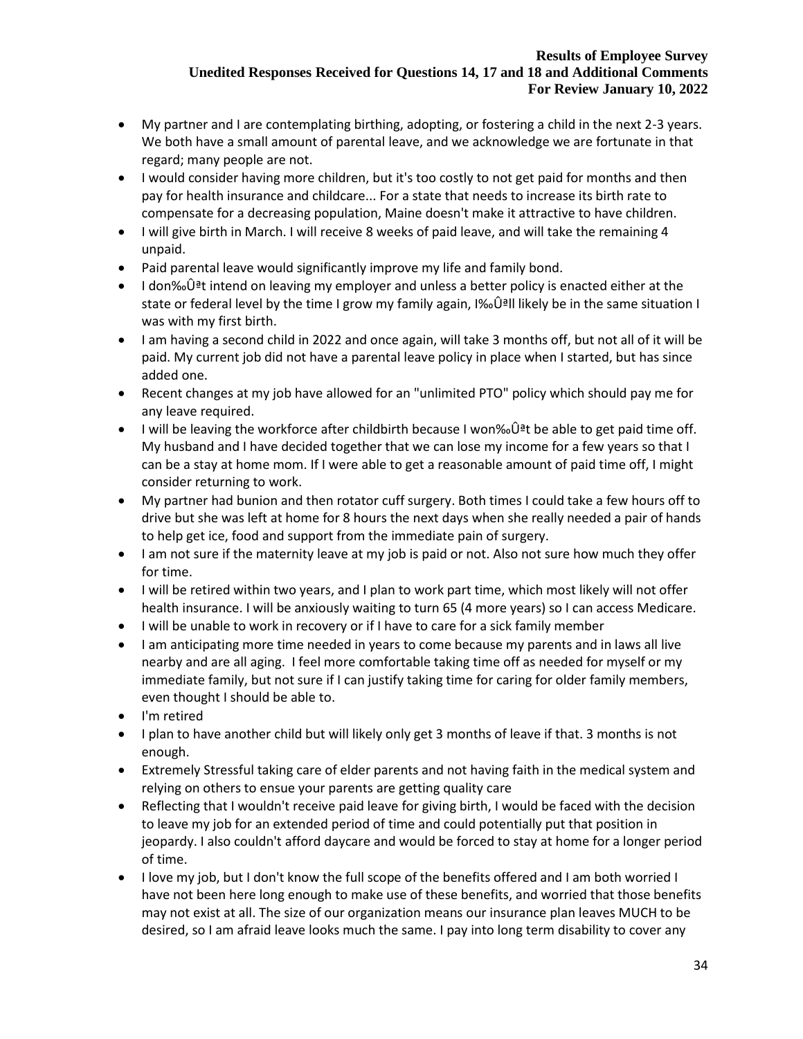- My partner and I are contemplating birthing, adopting, or fostering a child in the next 2-3 years. We both have a small amount of parental leave, and we acknowledge we are fortunate in that regard; many people are not.
- I would consider having more children, but it's too costly to not get paid for months and then pay for health insurance and childcare... For a state that needs to increase its birth rate to compensate for a decreasing population, Maine doesn't make it attractive to have children.
- I will give birth in March. I will receive 8 weeks of paid leave, and will take the remaining 4 unpaid.
- Paid parental leave would significantly improve my life and family bond.
- I don‰Ûªt intend on leaving my employer and unless a better policy is enacted either at the state or federal level by the time I grow my family again, I‰Ûªll likely be in the same situation I was with my first birth.
- I am having a second child in 2022 and once again, will take 3 months off, but not all of it will be paid. My current job did not have a parental leave policy in place when I started, but has since added one.
- Recent changes at my job have allowed for an "unlimited PTO" policy which should pay me for any leave required.
- I will be leaving the workforce after childbirth because I won‰Û<sup>ª</sup>t be able to get paid time off. My husband and I have decided together that we can lose my income for a few years so that I can be a stay at home mom. If I were able to get a reasonable amount of paid time off, I might consider returning to work.
- My partner had bunion and then rotator cuff surgery. Both times I could take a few hours off to drive but she was left at home for 8 hours the next days when she really needed a pair of hands to help get ice, food and support from the immediate pain of surgery.
- I am not sure if the maternity leave at my job is paid or not. Also not sure how much they offer for time.
- I will be retired within two years, and I plan to work part time, which most likely will not offer health insurance. I will be anxiously waiting to turn 65 (4 more years) so I can access Medicare.
- I will be unable to work in recovery or if I have to care for a sick family member
- I am anticipating more time needed in years to come because my parents and in laws all live nearby and are all aging. I feel more comfortable taking time off as needed for myself or my immediate family, but not sure if I can justify taking time for caring for older family members, even thought I should be able to.
- I'm retired
- I plan to have another child but will likely only get 3 months of leave if that. 3 months is not enough.
- Extremely Stressful taking care of elder parents and not having faith in the medical system and relying on others to ensue your parents are getting quality care
- Reflecting that I wouldn't receive paid leave for giving birth, I would be faced with the decision to leave my job for an extended period of time and could potentially put that position in jeopardy. I also couldn't afford daycare and would be forced to stay at home for a longer period of time.
- I love my job, but I don't know the full scope of the benefits offered and I am both worried I have not been here long enough to make use of these benefits, and worried that those benefits may not exist at all. The size of our organization means our insurance plan leaves MUCH to be desired, so I am afraid leave looks much the same. I pay into long term disability to cover any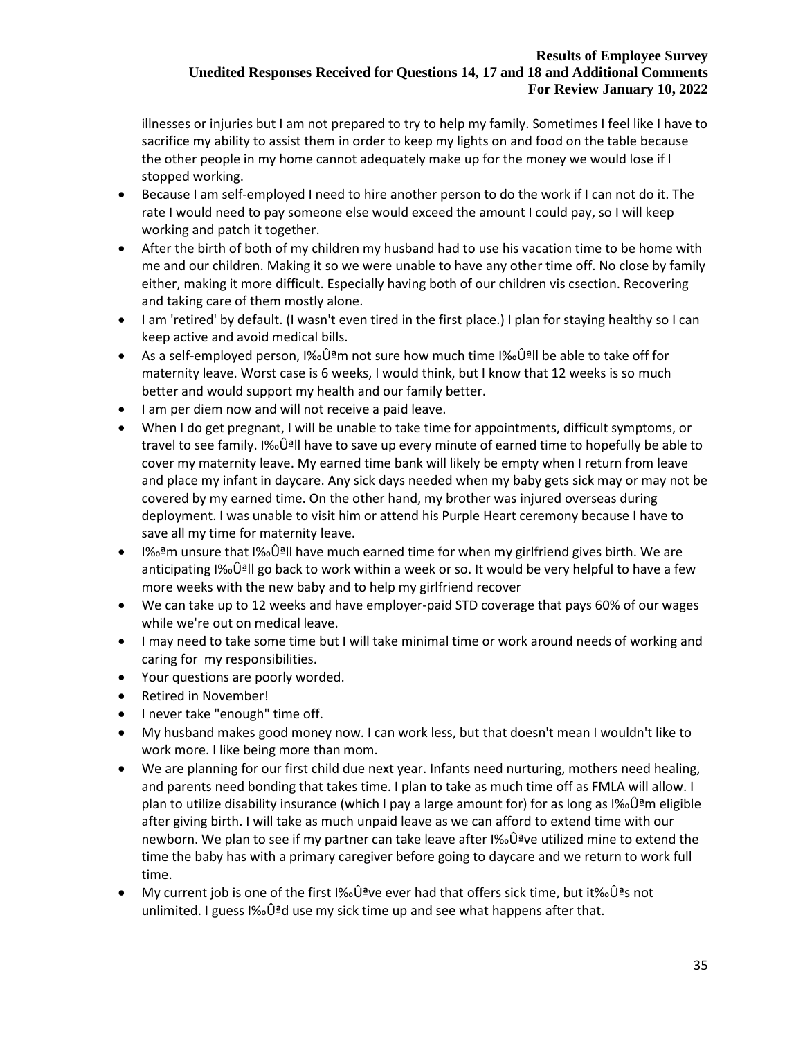illnesses or injuries but I am not prepared to try to help my family. Sometimes I feel like I have to sacrifice my ability to assist them in order to keep my lights on and food on the table because the other people in my home cannot adequately make up for the money we would lose if I stopped working.

- Because I am self-employed I need to hire another person to do the work if I can not do it. The rate I would need to pay someone else would exceed the amount I could pay, so I will keep working and patch it together.
- After the birth of both of my children my husband had to use his vacation time to be home with me and our children. Making it so we were unable to have any other time off. No close by family either, making it more difficult. Especially having both of our children vis csection. Recovering and taking care of them mostly alone.
- I am 'retired' by default. (I wasn't even tired in the first place.) I plan for staying healthy so I can keep active and avoid medical bills.
- As a self-employed person, I‰Ûªm not sure how much time I‰Ûªll be able to take off for maternity leave. Worst case is 6 weeks, I would think, but I know that 12 weeks is so much better and would support my health and our family better.
- I am per diem now and will not receive a paid leave.
- When I do get pregnant, I will be unable to take time for appointments, difficult symptoms, or travel to see family. I‰Ûªll have to save up every minute of earned time to hopefully be able to cover my maternity leave. My earned time bank will likely be empty when I return from leave and place my infant in daycare. Any sick days needed when my baby gets sick may or may not be covered by my earned time. On the other hand, my brother was injured overseas during deployment. I was unable to visit him or attend his Purple Heart ceremony because I have to save all my time for maternity leave.
- I‰ªm unsure that I‰Ûªll have much earned time for when my girlfriend gives birth. We are anticipating I‰Ûªll go back to work within a week or so. It would be very helpful to have a few more weeks with the new baby and to help my girlfriend recover
- We can take up to 12 weeks and have employer-paid STD coverage that pays 60% of our wages while we're out on medical leave.
- I may need to take some time but I will take minimal time or work around needs of working and caring for my responsibilities.
- Your questions are poorly worded.
- Retired in November!
- I never take "enough" time off.
- My husband makes good money now. I can work less, but that doesn't mean I wouldn't like to work more. I like being more than mom.
- We are planning for our first child due next year. Infants need nurturing, mothers need healing, and parents need bonding that takes time. I plan to take as much time off as FMLA will allow. I plan to utilize disability insurance (which I pay a large amount for) for as long as I‰Ûªm eligible after giving birth. I will take as much unpaid leave as we can afford to extend time with our newborn. We plan to see if my partner can take leave after I‰Ûªve utilized mine to extend the time the baby has with a primary caregiver before going to daycare and we return to work full time.
- My current job is one of the first I‰Ûªve ever had that offers sick time, but it‰Ûªs not unlimited. I guess  $\frac{1}{6}$  of  $\frac{1}{2}$  use my sick time up and see what happens after that.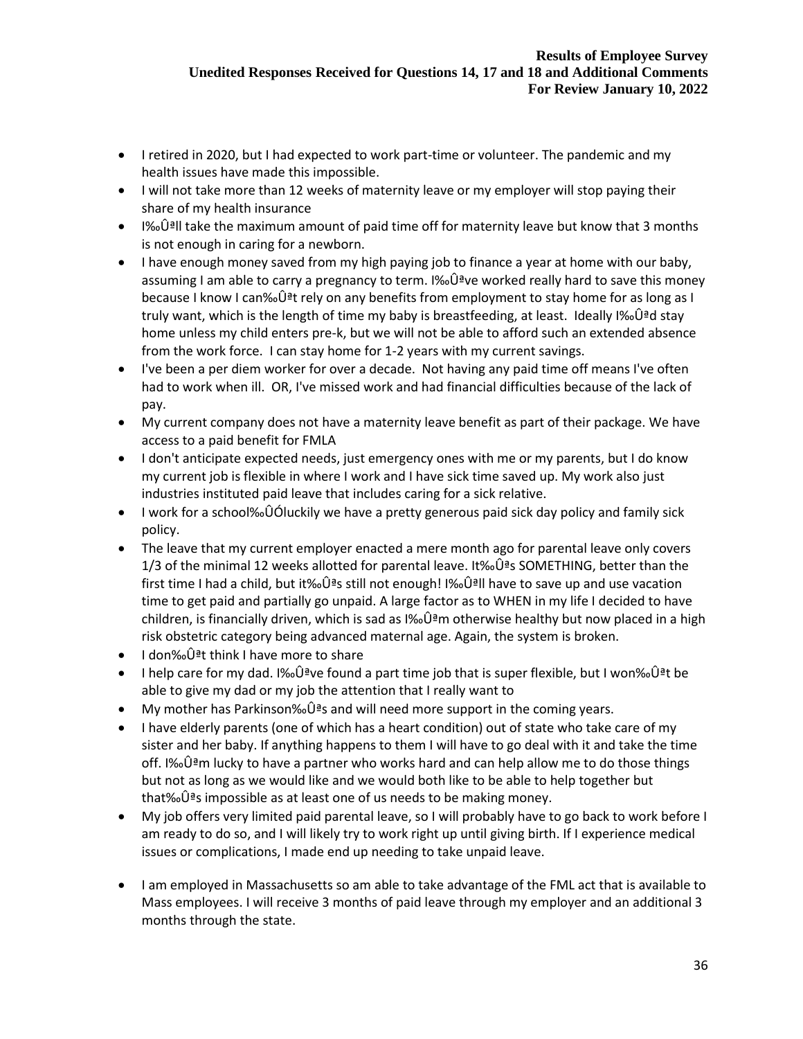- I retired in 2020, but I had expected to work part-time or volunteer. The pandemic and my health issues have made this impossible.
- I will not take more than 12 weeks of maternity leave or my employer will stop paying their share of my health insurance
- I‰Û<sup>ª</sup>ll take the maximum amount of paid time off for maternity leave but know that 3 months is not enough in caring for a newborn.
- I have enough money saved from my high paying job to finance a year at home with our baby, assuming I am able to carry a pregnancy to term. I‰Û<sup>a</sup>ve worked really hard to save this money because I know I can‰Ûªt rely on any benefits from employment to stay home for as long as I truly want, which is the length of time my baby is breastfeeding, at least. Ideally I‰Ûªd stay home unless my child enters pre-k, but we will not be able to afford such an extended absence from the work force. I can stay home for 1-2 years with my current savings.
- I've been a per diem worker for over a decade. Not having any paid time off means I've often had to work when ill. OR, I've missed work and had financial difficulties because of the lack of pay.
- My current company does not have a maternity leave benefit as part of their package. We have access to a paid benefit for FMLA
- I don't anticipate expected needs, just emergency ones with me or my parents, but I do know my current job is flexible in where I work and I have sick time saved up. My work also just industries instituted paid leave that includes caring for a sick relative.
- I work for a school‰ÛÓluckily we have a pretty generous paid sick day policy and family sick policy.
- The leave that my current employer enacted a mere month ago for parental leave only covers 1/3 of the minimal 12 weeks allotted for parental leave. It‰Ûªs SOMETHING, better than the first time I had a child, but it‰Ûªs still not enough! I‰Ûªll have to save up and use vacation time to get paid and partially go unpaid. A large factor as to WHEN in my life I decided to have children, is financially driven, which is sad as  $\sim$  0<sup>a</sup>m otherwise healthy but now placed in a high risk obstetric category being advanced maternal age. Again, the system is broken.
- I don‰Ûªt think I have more to share
- I help care for my dad. I‰Ûªve found a part time job that is super flexible, but I won‰Ûªt be able to give my dad or my job the attention that I really want to
- My mother has Parkinson‰Û<sup>a</sup>s and will need more support in the coming years.
- I have elderly parents (one of which has a heart condition) out of state who take care of my sister and her baby. If anything happens to them I will have to go deal with it and take the time off. I‰Ûªm lucky to have a partner who works hard and can help allow me to do those things but not as long as we would like and we would both like to be able to help together but that‰Ûªs impossible as at least one of us needs to be making money.
- My job offers very limited paid parental leave, so I will probably have to go back to work before I am ready to do so, and I will likely try to work right up until giving birth. If I experience medical issues or complications, I made end up needing to take unpaid leave.
- I am employed in Massachusetts so am able to take advantage of the FML act that is available to Mass employees. I will receive 3 months of paid leave through my employer and an additional 3 months through the state.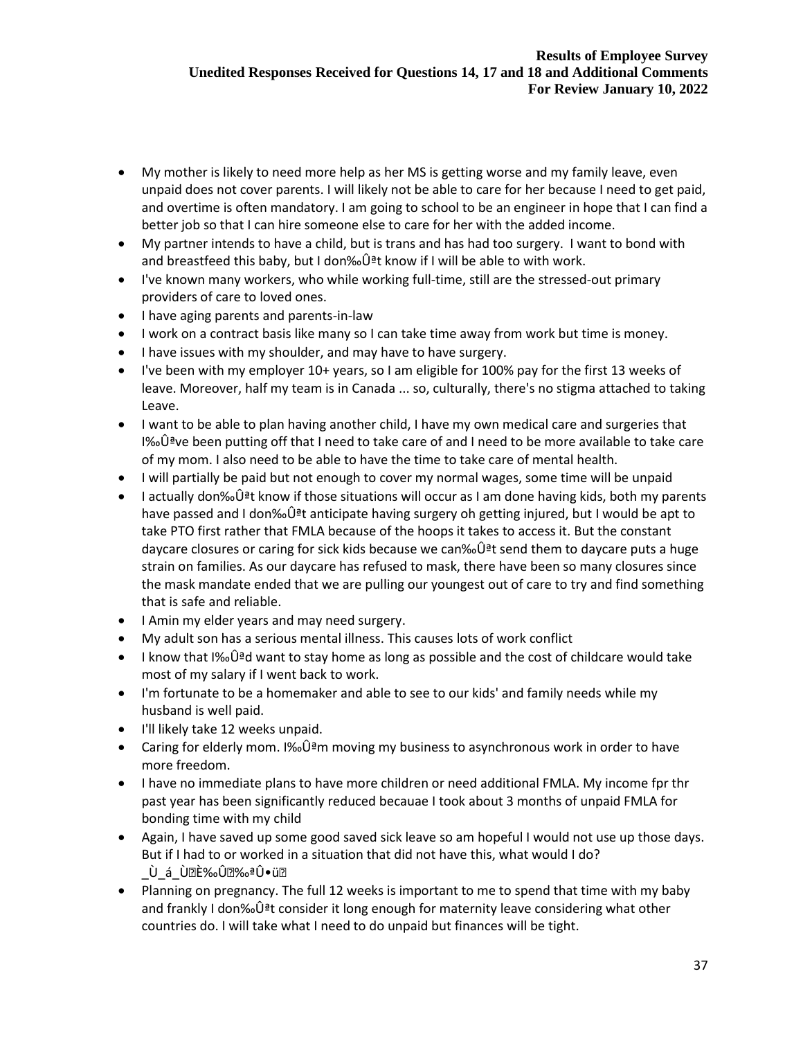- My mother is likely to need more help as her MS is getting worse and my family leave, even unpaid does not cover parents. I will likely not be able to care for her because I need to get paid, and overtime is often mandatory. I am going to school to be an engineer in hope that I can find a better job so that I can hire someone else to care for her with the added income.
- My partner intends to have a child, but is trans and has had too surgery. I want to bond with and breastfeed this baby, but I don‰Ûªt know if I will be able to with work.
- I've known many workers, who while working full-time, still are the stressed-out primary providers of care to loved ones.
- I have aging parents and parents-in-law
- I work on a contract basis like many so I can take time away from work but time is money.
- I have issues with my shoulder, and may have to have surgery.
- I've been with my employer 10+ years, so I am eligible for 100% pay for the first 13 weeks of leave. Moreover, half my team is in Canada ... so, culturally, there's no stigma attached to taking Leave.
- I want to be able to plan having another child, I have my own medical care and surgeries that  $1\%$ U<sup>2</sup>ve been putting off that I need to take care of and I need to be more available to take care of my mom. I also need to be able to have the time to take care of mental health.
- I will partially be paid but not enough to cover my normal wages, some time will be unpaid
- I actually don‰Ûªt know if those situations will occur as I am done having kids, both my parents have passed and I don‰Ûªt anticipate having surgery oh getting injured, but I would be apt to take PTO first rather that FMLA because of the hoops it takes to access it. But the constant daycare closures or caring for sick kids because we can‰Ûªt send them to daycare puts a huge strain on families. As our daycare has refused to mask, there have been so many closures since the mask mandate ended that we are pulling our youngest out of care to try and find something that is safe and reliable.
- I Amin my elder years and may need surgery.
- My adult son has a serious mental illness. This causes lots of work conflict
- I know that I‰Ûªd want to stay home as long as possible and the cost of childcare would take most of my salary if I went back to work.
- I'm fortunate to be a homemaker and able to see to our kids' and family needs while my husband is well paid.
- I'll likely take 12 weeks unpaid.
- Caring for elderly mom. I‰Ûªm moving my business to asynchronous work in order to have more freedom.
- I have no immediate plans to have more children or need additional FMLA. My income fpr thr past year has been significantly reduced becauae I took about 3 months of unpaid FMLA for bonding time with my child
- Again, I have saved up some good saved sick leave so am hopeful I would not use up those days. But if I had to or worked in a situation that did not have this, what would I do? Ù á Ùً@ȉÛً@‰ªÛ•üً@
- Planning on pregnancy. The full 12 weeks is important to me to spend that time with my baby and frankly I don‰Ûªt consider it long enough for maternity leave considering what other countries do. I will take what I need to do unpaid but finances will be tight.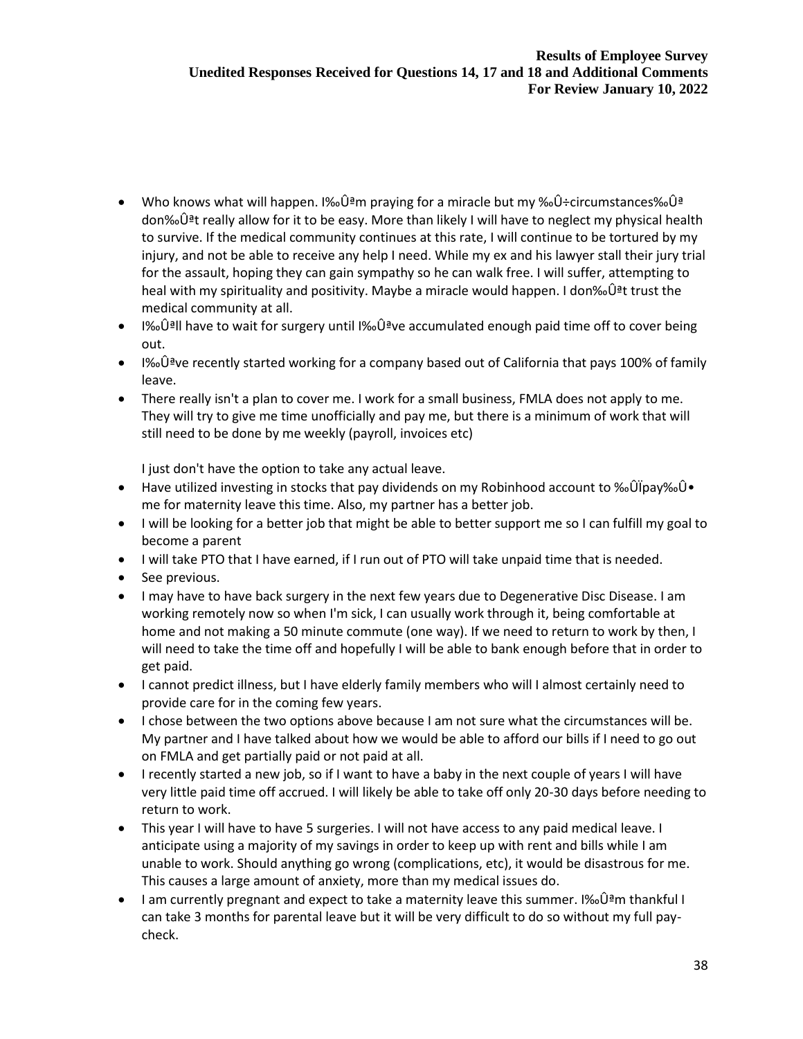- Who knows what will happen. I‰Ûªm praying for a miracle but my ‰Û÷circumstances‰Ûª don‰Ûªt really allow for it to be easy. More than likely I will have to neglect my physical health to survive. If the medical community continues at this rate, I will continue to be tortured by my injury, and not be able to receive any help I need. While my ex and his lawyer stall their jury trial for the assault, hoping they can gain sympathy so he can walk free. I will suffer, attempting to heal with my spirituality and positivity. Maybe a miracle would happen. I don‰Ûªt trust the medical community at all.
- I‰Ûªll have to wait for surgery until I‰Ûªve accumulated enough paid time off to cover being out.
- I‰Ûªve recently started working for a company based out of California that pays 100% of family leave.
- There really isn't a plan to cover me. I work for a small business, FMLA does not apply to me. They will try to give me time unofficially and pay me, but there is a minimum of work that will still need to be done by me weekly (payroll, invoices etc)

I just don't have the option to take any actual leave.

- Have utilized investing in stocks that pay dividends on my Robinhood account to ‰ÛÏpay‰Û• me for maternity leave this time. Also, my partner has a better job.
- I will be looking for a better job that might be able to better support me so I can fulfill my goal to become a parent
- I will take PTO that I have earned, if I run out of PTO will take unpaid time that is needed.
- See previous.
- I may have to have back surgery in the next few years due to Degenerative Disc Disease. I am working remotely now so when I'm sick, I can usually work through it, being comfortable at home and not making a 50 minute commute (one way). If we need to return to work by then, I will need to take the time off and hopefully I will be able to bank enough before that in order to get paid.
- I cannot predict illness, but I have elderly family members who will I almost certainly need to provide care for in the coming few years.
- I chose between the two options above because I am not sure what the circumstances will be. My partner and I have talked about how we would be able to afford our bills if I need to go out on FMLA and get partially paid or not paid at all.
- I recently started a new job, so if I want to have a baby in the next couple of years I will have very little paid time off accrued. I will likely be able to take off only 20-30 days before needing to return to work.
- This year I will have to have 5 surgeries. I will not have access to any paid medical leave. I anticipate using a majority of my savings in order to keep up with rent and bills while I am unable to work. Should anything go wrong (complications, etc), it would be disastrous for me. This causes a large amount of anxiety, more than my medical issues do.
- I am currently pregnant and expect to take a maternity leave this summer. I‰Ûªm thankful I can take 3 months for parental leave but it will be very difficult to do so without my full paycheck.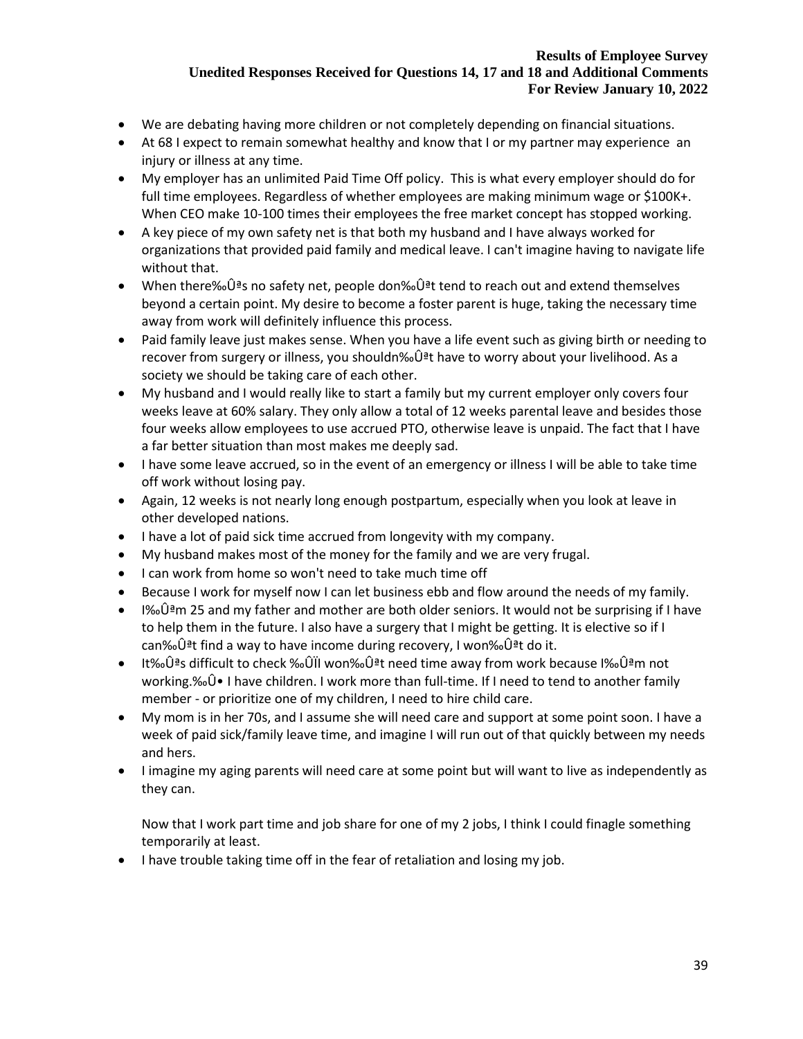- We are debating having more children or not completely depending on financial situations.
- At 68 I expect to remain somewhat healthy and know that I or my partner may experience an injury or illness at any time.
- My employer has an unlimited Paid Time Off policy. This is what every employer should do for full time employees. Regardless of whether employees are making minimum wage or \$100K+. When CEO make 10-100 times their employees the free market concept has stopped working.
- A key piece of my own safety net is that both my husband and I have always worked for organizations that provided paid family and medical leave. I can't imagine having to navigate life without that.
- When there‰Ûªs no safety net, people don‰Ûªt tend to reach out and extend themselves beyond a certain point. My desire to become a foster parent is huge, taking the necessary time away from work will definitely influence this process.
- Paid family leave just makes sense. When you have a life event such as giving birth or needing to recover from surgery or illness, you shouldn‰Ûªt have to worry about your livelihood. As a society we should be taking care of each other.
- My husband and I would really like to start a family but my current employer only covers four weeks leave at 60% salary. They only allow a total of 12 weeks parental leave and besides those four weeks allow employees to use accrued PTO, otherwise leave is unpaid. The fact that I have a far better situation than most makes me deeply sad.
- I have some leave accrued, so in the event of an emergency or illness I will be able to take time off work without losing pay.
- Again, 12 weeks is not nearly long enough postpartum, especially when you look at leave in other developed nations.
- I have a lot of paid sick time accrued from longevity with my company.
- My husband makes most of the money for the family and we are very frugal.
- I can work from home so won't need to take much time off
- Because I work for myself now I can let business ebb and flow around the needs of my family.
- I‰Ûªm 25 and my father and mother are both older seniors. It would not be surprising if I have to help them in the future. I also have a surgery that I might be getting. It is elective so if I can‰Ûªt find a way to have income during recovery, I won‰Ûªt do it.
- It‰Ûªs difficult to check ‰ÛÏI won‰Ûªt need time away from work because I‰Ûªm not working.‰Û• I have children. I work more than full-time. If I need to tend to another family member - or prioritize one of my children, I need to hire child care.
- My mom is in her 70s, and I assume she will need care and support at some point soon. I have a week of paid sick/family leave time, and imagine I will run out of that quickly between my needs and hers.
- I imagine my aging parents will need care at some point but will want to live as independently as they can.

Now that I work part time and job share for one of my 2 jobs, I think I could finagle something temporarily at least.

• I have trouble taking time off in the fear of retaliation and losing my job.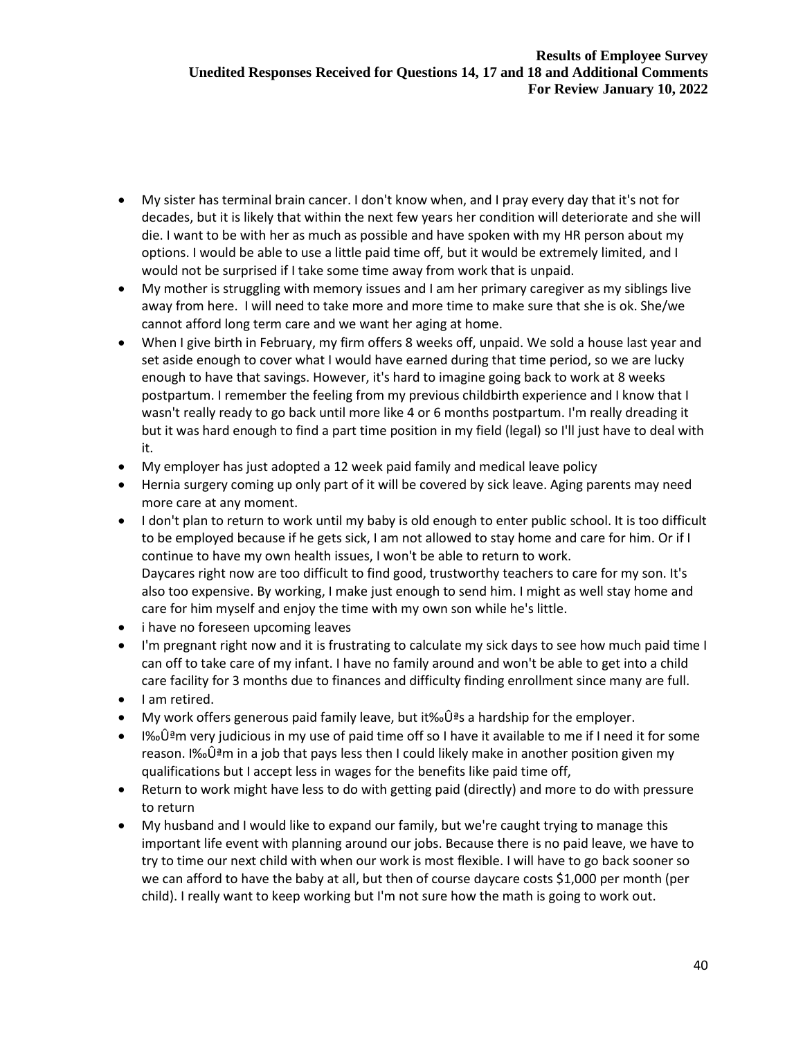- My sister has terminal brain cancer. I don't know when, and I pray every day that it's not for decades, but it is likely that within the next few years her condition will deteriorate and she will die. I want to be with her as much as possible and have spoken with my HR person about my options. I would be able to use a little paid time off, but it would be extremely limited, and I would not be surprised if I take some time away from work that is unpaid.
- My mother is struggling with memory issues and I am her primary caregiver as my siblings live away from here. I will need to take more and more time to make sure that she is ok. She/we cannot afford long term care and we want her aging at home.
- When I give birth in February, my firm offers 8 weeks off, unpaid. We sold a house last year and set aside enough to cover what I would have earned during that time period, so we are lucky enough to have that savings. However, it's hard to imagine going back to work at 8 weeks postpartum. I remember the feeling from my previous childbirth experience and I know that I wasn't really ready to go back until more like 4 or 6 months postpartum. I'm really dreading it but it was hard enough to find a part time position in my field (legal) so I'll just have to deal with it.
- My employer has just adopted a 12 week paid family and medical leave policy
- Hernia surgery coming up only part of it will be covered by sick leave. Aging parents may need more care at any moment.
- I don't plan to return to work until my baby is old enough to enter public school. It is too difficult to be employed because if he gets sick, I am not allowed to stay home and care for him. Or if I continue to have my own health issues, I won't be able to return to work. Daycares right now are too difficult to find good, trustworthy teachers to care for my son. It's also too expensive. By working, I make just enough to send him. I might as well stay home and care for him myself and enjoy the time with my own son while he's little.
- i have no foreseen upcoming leaves
- I'm pregnant right now and it is frustrating to calculate my sick days to see how much paid time I can off to take care of my infant. I have no family around and won't be able to get into a child care facility for 3 months due to finances and difficulty finding enrollment since many are full.
- I am retired.
- My work offers generous paid family leave, but it‰Ûªs a hardship for the employer.
- I‰Ûªm very judicious in my use of paid time off so I have it available to me if I need it for some reason. I‰Ûªm in a job that pays less then I could likely make in another position given my qualifications but I accept less in wages for the benefits like paid time off,
- Return to work might have less to do with getting paid (directly) and more to do with pressure to return
- My husband and I would like to expand our family, but we're caught trying to manage this important life event with planning around our jobs. Because there is no paid leave, we have to try to time our next child with when our work is most flexible. I will have to go back sooner so we can afford to have the baby at all, but then of course daycare costs \$1,000 per month (per child). I really want to keep working but I'm not sure how the math is going to work out.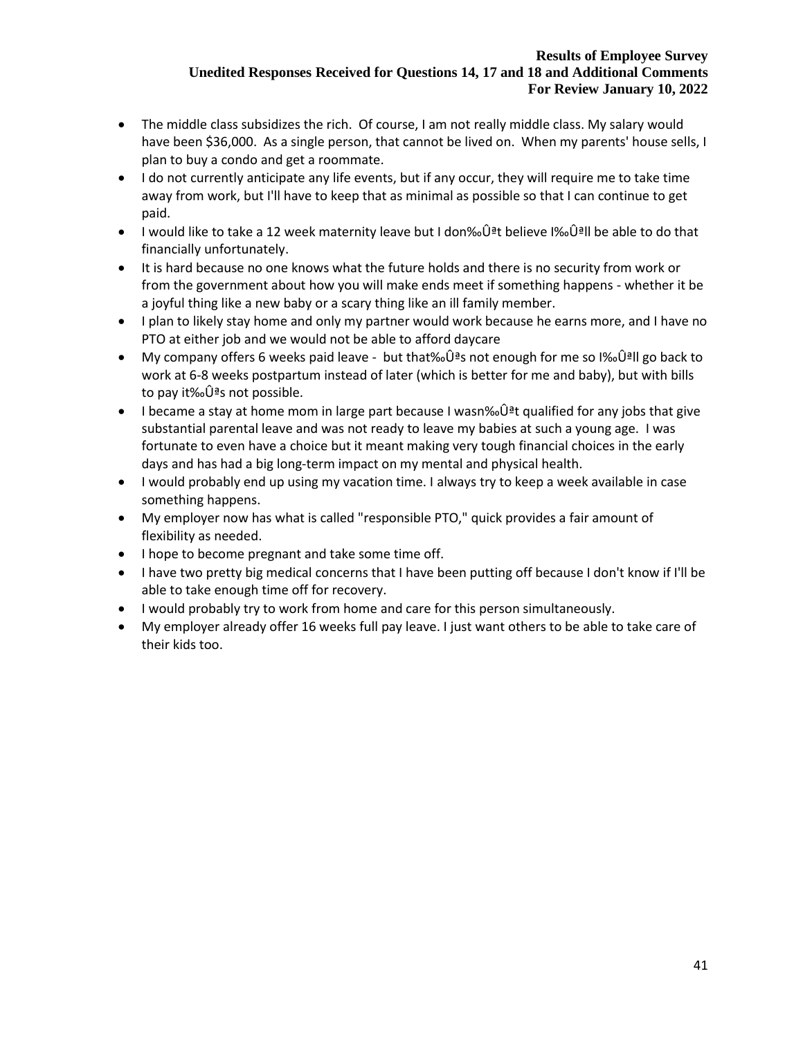- The middle class subsidizes the rich. Of course, I am not really middle class. My salary would have been \$36,000. As a single person, that cannot be lived on. When my parents' house sells, I plan to buy a condo and get a roommate.
- I do not currently anticipate any life events, but if any occur, they will require me to take time away from work, but I'll have to keep that as minimal as possible so that I can continue to get paid.
- I would like to take a 12 week maternity leave but I don‰Ûªt believe I‰Ûªll be able to do that financially unfortunately.
- It is hard because no one knows what the future holds and there is no security from work or from the government about how you will make ends meet if something happens - whether it be a joyful thing like a new baby or a scary thing like an ill family member.
- I plan to likely stay home and only my partner would work because he earns more, and I have no PTO at either job and we would not be able to afford daycare
- My company offers 6 weeks paid leave but that‰Ûªs not enough for me so I‰Ûªll go back to work at 6-8 weeks postpartum instead of later (which is better for me and baby), but with bills to pay it‰Ûªs not possible.
- I became a stay at home mom in large part because I wasn‰Ûªt qualified for any jobs that give substantial parental leave and was not ready to leave my babies at such a young age. I was fortunate to even have a choice but it meant making very tough financial choices in the early days and has had a big long-term impact on my mental and physical health.
- I would probably end up using my vacation time. I always try to keep a week available in case something happens.
- My employer now has what is called "responsible PTO," quick provides a fair amount of flexibility as needed.
- I hope to become pregnant and take some time off.
- I have two pretty big medical concerns that I have been putting off because I don't know if I'll be able to take enough time off for recovery.
- I would probably try to work from home and care for this person simultaneously.
- My employer already offer 16 weeks full pay leave. I just want others to be able to take care of their kids too.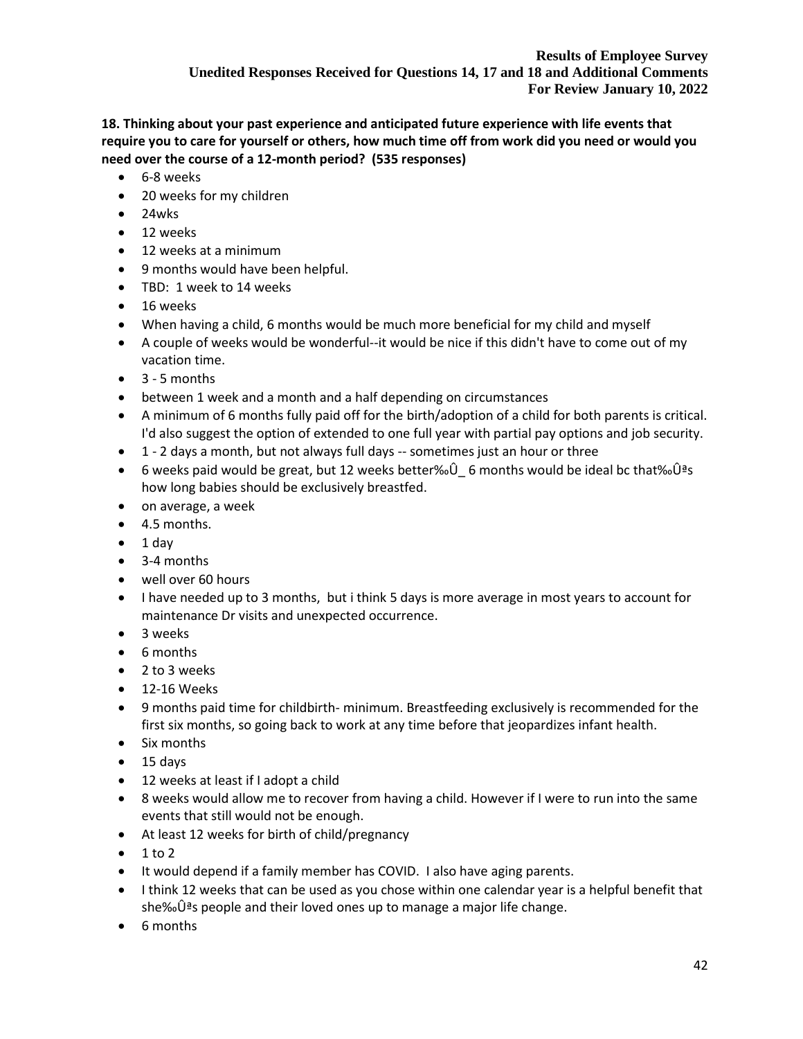**18. Thinking about your past experience and anticipated future experience with life events that require you to care for yourself or others, how much time off from work did you need or would you need over the course of a 12-month period? (535 responses)** 

- 6-8 weeks
- 20 weeks for my children
- 24wks
- 12 weeks
- 12 weeks at a minimum
- 9 months would have been helpful.
- TBD: 1 week to 14 weeks
- 16 weeks
- When having a child, 6 months would be much more beneficial for my child and myself
- A couple of weeks would be wonderful--it would be nice if this didn't have to come out of my vacation time.
- $\bullet$  3 5 months
- between 1 week and a month and a half depending on circumstances
- A minimum of 6 months fully paid off for the birth/adoption of a child for both parents is critical. I'd also suggest the option of extended to one full year with partial pay options and job security.
- 1 2 days a month, but not always full days -- sometimes just an hour or three
- 6 weeks paid would be great, but 12 weeks better‰Û\_ 6 months would be ideal bc that‰Ûªs how long babies should be exclusively breastfed.
- on average, a week
- 4.5 months.
- 1 day
- 3-4 months
- well over 60 hours
- I have needed up to 3 months, but i think 5 days is more average in most years to account for maintenance Dr visits and unexpected occurrence.
- 3 weeks
- 6 months
- 2 to 3 weeks
- 12-16 Weeks
- 9 months paid time for childbirth- minimum. Breastfeeding exclusively is recommended for the first six months, so going back to work at any time before that jeopardizes infant health.
- Six months
- $\bullet$  15 days
- 12 weeks at least if I adopt a child
- 8 weeks would allow me to recover from having a child. However if I were to run into the same events that still would not be enough.
- At least 12 weeks for birth of child/pregnancy
- $1 to 2$
- It would depend if a family member has COVID. I also have aging parents.
- I think 12 weeks that can be used as you chose within one calendar year is a helpful benefit that she‰Ûªs people and their loved ones up to manage a major life change.
- 6 months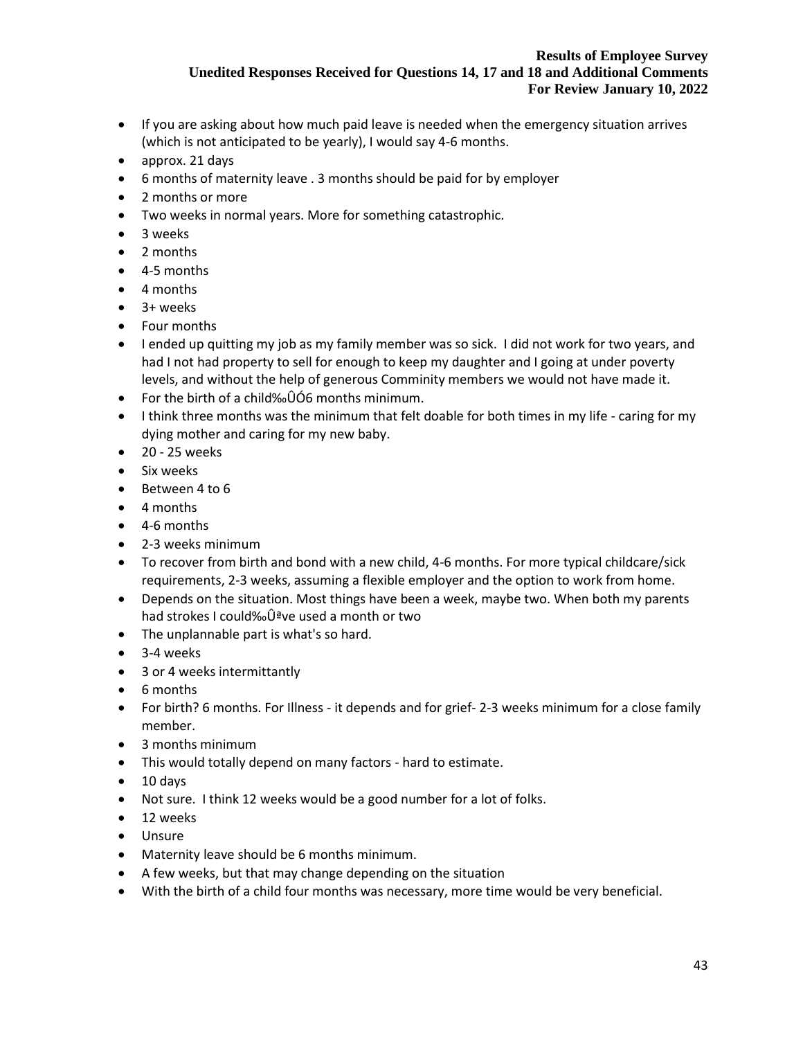- If you are asking about how much paid leave is needed when the emergency situation arrives (which is not anticipated to be yearly), I would say 4-6 months.
- approx. 21 days
- 6 months of maternity leave . 3 months should be paid for by employer
- 2 months or more
- Two weeks in normal years. More for something catastrophic.
- 3 weeks
- 2 months
- 4-5 months
- 4 months
- 3+ weeks
- Four months
- I ended up quitting my job as my family member was so sick. I did not work for two years, and had I not had property to sell for enough to keep my daughter and I going at under poverty levels, and without the help of generous Comminity members we would not have made it.
- For the birth of a child‰ÛÓ6 months minimum.
- I think three months was the minimum that felt doable for both times in my life caring for my dying mother and caring for my new baby.
- $\bullet$  20 25 weeks
- Six weeks
- Between 4 to 6
- 4 months
- 4-6 months
- 2-3 weeks minimum
- To recover from birth and bond with a new child, 4-6 months. For more typical childcare/sick requirements, 2-3 weeks, assuming a flexible employer and the option to work from home.
- Depends on the situation. Most things have been a week, maybe two. When both my parents had strokes I could‰Ûªve used a month or two
- The unplannable part is what's so hard.
- 3-4 weeks
- 3 or 4 weeks intermittantly
- 6 months
- For birth? 6 months. For Illness it depends and for grief- 2-3 weeks minimum for a close family member.
- 3 months minimum
- This would totally depend on many factors hard to estimate.
- 10 days
- Not sure. I think 12 weeks would be a good number for a lot of folks.
- 12 weeks
- Unsure
- Maternity leave should be 6 months minimum.
- A few weeks, but that may change depending on the situation
- With the birth of a child four months was necessary, more time would be very beneficial.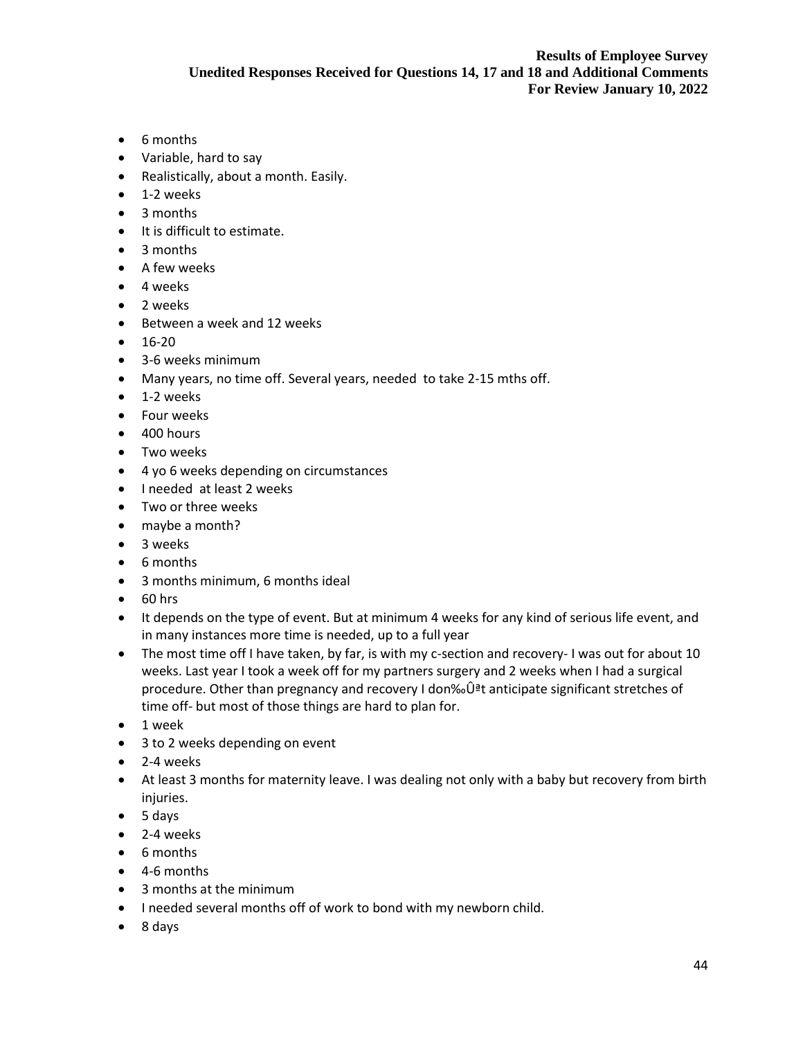- 6 months
- Variable, hard to say
- Realistically, about a month. Easily.
- 1-2 weeks
- 3 months
- It is difficult to estimate.
- 3 months
- A few weeks
- 4 weeks
- 2 weeks
- Between a week and 12 weeks
- 16-20
- 3-6 weeks minimum
- Many years, no time off. Several years, needed to take 2-15 mths off.
- 1-2 weeks
- Four weeks
- 400 hours
- Two weeks
- 4 yo 6 weeks depending on circumstances
- I needed at least 2 weeks
- Two or three weeks
- maybe a month?
- 3 weeks
- 6 months
- 3 months minimum, 6 months ideal
- 60 hrs
- It depends on the type of event. But at minimum 4 weeks for any kind of serious life event, and in many instances more time is needed, up to a full year
- The most time off I have taken, by far, is with my c-section and recovery- I was out for about 10 weeks. Last year I took a week off for my partners surgery and 2 weeks when I had a surgical procedure. Other than pregnancy and recovery I don‰Ûªt anticipate significant stretches of time off- but most of those things are hard to plan for.
- 1 week
- 3 to 2 weeks depending on event
- 2-4 weeks
- At least 3 months for maternity leave. I was dealing not only with a baby but recovery from birth injuries.
- 5 days
- 2-4 weeks
- 6 months
- 4-6 months
- 3 months at the minimum
- I needed several months off of work to bond with my newborn child.
- 8 days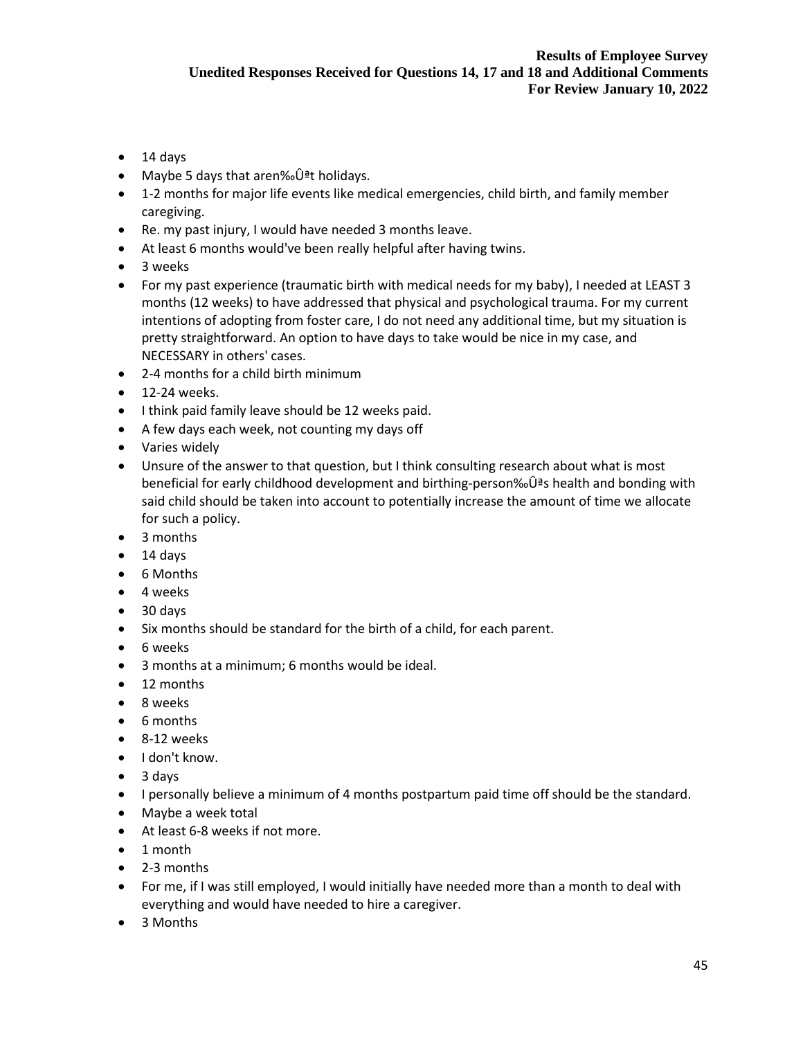- 14 days
- Maybe 5 days that aren‰Ûªt holidays.
- 1-2 months for major life events like medical emergencies, child birth, and family member caregiving.
- Re. my past injury, I would have needed 3 months leave.
- At least 6 months would've been really helpful after having twins.
- 3 weeks
- For my past experience (traumatic birth with medical needs for my baby), I needed at LEAST 3 months (12 weeks) to have addressed that physical and psychological trauma. For my current intentions of adopting from foster care, I do not need any additional time, but my situation is pretty straightforward. An option to have days to take would be nice in my case, and NECESSARY in others' cases.
- 2-4 months for a child birth minimum
- $\bullet$  12-24 weeks.
- I think paid family leave should be 12 weeks paid.
- A few days each week, not counting my days off
- Varies widely
- Unsure of the answer to that question, but I think consulting research about what is most beneficial for early childhood development and birthing-person‰Ûªs health and bonding with said child should be taken into account to potentially increase the amount of time we allocate for such a policy.
- 3 months
- 14 days
- 6 Months
- 4 weeks
- 30 days
- Six months should be standard for the birth of a child, for each parent.
- 6 weeks
- 3 months at a minimum; 6 months would be ideal.
- 12 months
- 8 weeks
- 6 months
- 8-12 weeks
- I don't know.
- 3 days
- I personally believe a minimum of 4 months postpartum paid time off should be the standard.
- Maybe a week total
- At least 6-8 weeks if not more.
- 1 month
- 2-3 months
- For me, if I was still employed, I would initially have needed more than a month to deal with everything and would have needed to hire a caregiver.
- 3 Months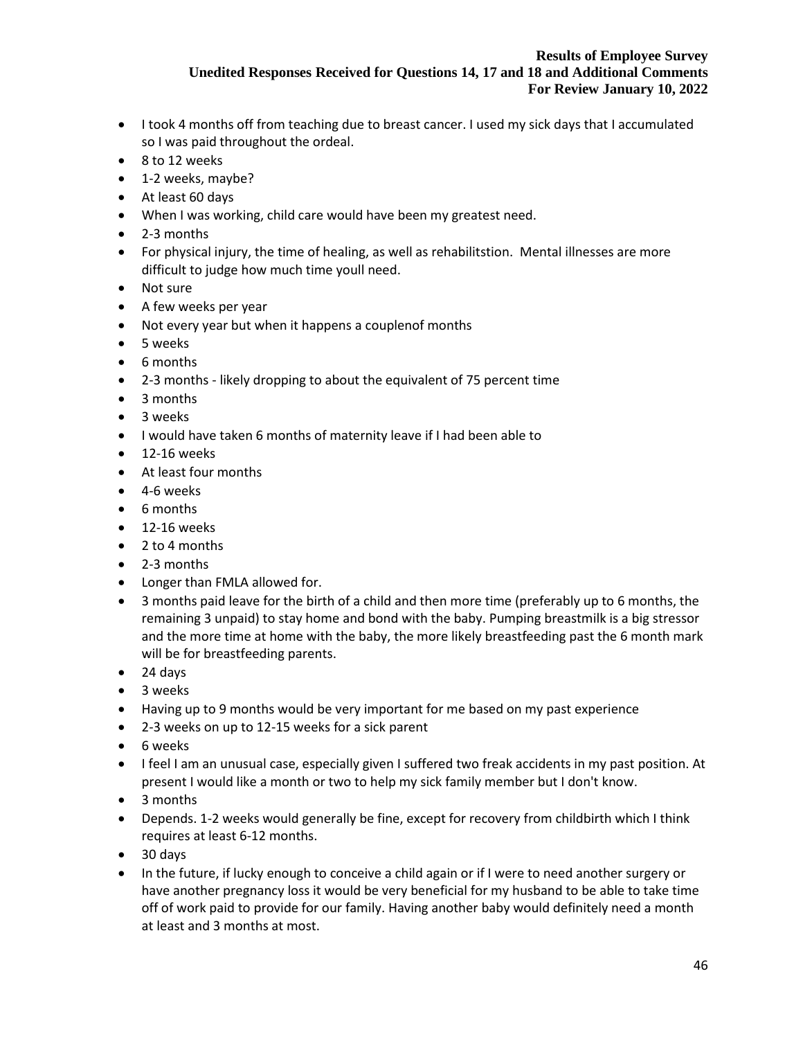- I took 4 months off from teaching due to breast cancer. I used my sick days that I accumulated so I was paid throughout the ordeal.
- 8 to 12 weeks
- 1-2 weeks, maybe?
- At least 60 days
- When I was working, child care would have been my greatest need.
- 2-3 months
- For physical injury, the time of healing, as well as rehabilitstion. Mental illnesses are more difficult to judge how much time youll need.
- Not sure
- A few weeks per year
- Not every year but when it happens a couplenof months
- 5 weeks
- 6 months
- 2-3 months likely dropping to about the equivalent of 75 percent time
- 3 months
- 3 weeks
- I would have taken 6 months of maternity leave if I had been able to
- 12-16 weeks
- At least four months
- 4-6 weeks
- 6 months
- 12-16 weeks
- 2 to 4 months
- 2-3 months
- Longer than FMLA allowed for.
- 3 months paid leave for the birth of a child and then more time (preferably up to 6 months, the remaining 3 unpaid) to stay home and bond with the baby. Pumping breastmilk is a big stressor and the more time at home with the baby, the more likely breastfeeding past the 6 month mark will be for breastfeeding parents.
- 24 days
- 3 weeks
- Having up to 9 months would be very important for me based on my past experience
- 2-3 weeks on up to 12-15 weeks for a sick parent
- 6 weeks
- I feel I am an unusual case, especially given I suffered two freak accidents in my past position. At present I would like a month or two to help my sick family member but I don't know.
- 3 months
- Depends. 1-2 weeks would generally be fine, except for recovery from childbirth which I think requires at least 6-12 months.
- 30 days
- In the future, if lucky enough to conceive a child again or if I were to need another surgery or have another pregnancy loss it would be very beneficial for my husband to be able to take time off of work paid to provide for our family. Having another baby would definitely need a month at least and 3 months at most.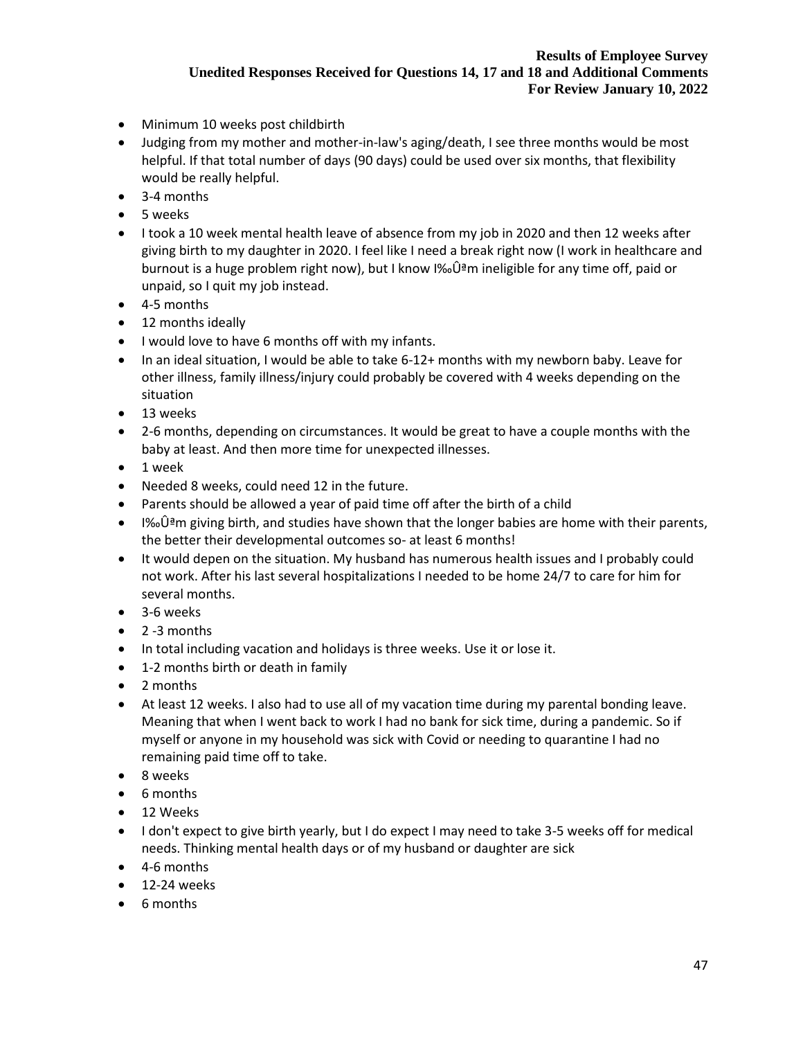- Minimum 10 weeks post childbirth
- Judging from my mother and mother-in-law's aging/death, I see three months would be most helpful. If that total number of days (90 days) could be used over six months, that flexibility would be really helpful.
- 3-4 months
- 5 weeks
- I took a 10 week mental health leave of absence from my job in 2020 and then 12 weeks after giving birth to my daughter in 2020. I feel like I need a break right now (I work in healthcare and burnout is a huge problem right now), but I know I‰Ûªm ineligible for any time off, paid or unpaid, so I quit my job instead.
- 4-5 months
- 12 months ideally
- I would love to have 6 months off with my infants.
- In an ideal situation, I would be able to take 6-12+ months with my newborn baby. Leave for other illness, family illness/injury could probably be covered with 4 weeks depending on the situation
- 13 weeks
- 2-6 months, depending on circumstances. It would be great to have a couple months with the baby at least. And then more time for unexpected illnesses.
- 1 week
- Needed 8 weeks, could need 12 in the future.
- Parents should be allowed a year of paid time off after the birth of a child
- I‰Û<sup>a</sup>m giving birth, and studies have shown that the longer babies are home with their parents, the better their developmental outcomes so- at least 6 months!
- It would depen on the situation. My husband has numerous health issues and I probably could not work. After his last several hospitalizations I needed to be home 24/7 to care for him for several months.
- 3-6 weeks
- 2 -3 months
- In total including vacation and holidays is three weeks. Use it or lose it.
- 1-2 months birth or death in family
- 2 months
- At least 12 weeks. I also had to use all of my vacation time during my parental bonding leave. Meaning that when I went back to work I had no bank for sick time, during a pandemic. So if myself or anyone in my household was sick with Covid or needing to quarantine I had no remaining paid time off to take.
- 8 weeks
- 6 months
- 12 Weeks
- I don't expect to give birth yearly, but I do expect I may need to take 3-5 weeks off for medical needs. Thinking mental health days or of my husband or daughter are sick
- 4-6 months
- $\bullet$  12-24 weeks
- 6 months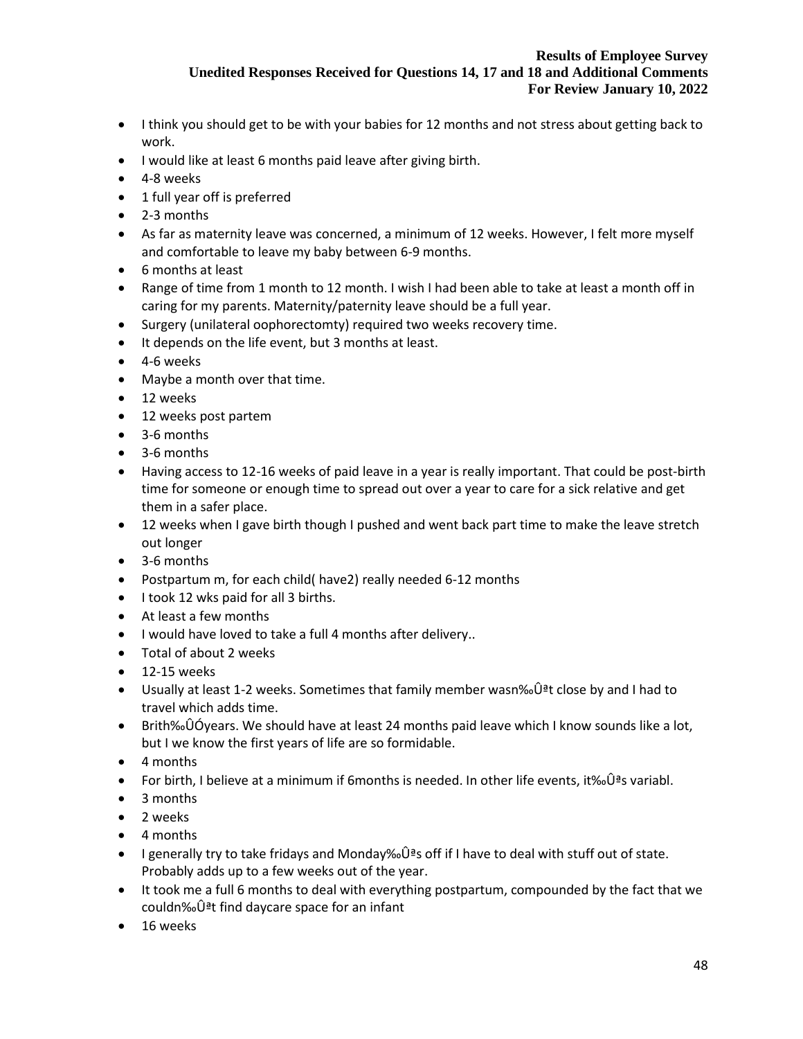- I think you should get to be with your babies for 12 months and not stress about getting back to work.
- I would like at least 6 months paid leave after giving birth.
- 4-8 weeks
- 1 full year off is preferred
- 2-3 months
- As far as maternity leave was concerned, a minimum of 12 weeks. However, I felt more myself and comfortable to leave my baby between 6-9 months.
- 6 months at least
- Range of time from 1 month to 12 month. I wish I had been able to take at least a month off in caring for my parents. Maternity/paternity leave should be a full year.
- Surgery (unilateral oophorectomty) required two weeks recovery time.
- It depends on the life event, but 3 months at least.
- 4-6 weeks
- Maybe a month over that time.
- 12 weeks
- 12 weeks post partem
- 3-6 months
- 3-6 months
- Having access to 12-16 weeks of paid leave in a year is really important. That could be post-birth time for someone or enough time to spread out over a year to care for a sick relative and get them in a safer place.
- 12 weeks when I gave birth though I pushed and went back part time to make the leave stretch out longer
- 3-6 months
- Postpartum m, for each child( have2) really needed 6-12 months
- I took 12 wks paid for all 3 births.
- At least a few months
- I would have loved to take a full 4 months after delivery..
- Total of about 2 weeks
- $\bullet$  12-15 weeks
- Usually at least 1-2 weeks. Sometimes that family member wasn‰Ûªt close by and I had to travel which adds time.
- Brith‰ÛÓyears. We should have at least 24 months paid leave which I know sounds like a lot, but I we know the first years of life are so formidable.
- 4 months
- For birth, I believe at a minimum if 6months is needed. In other life events, it‰Ûªs variabl.
- 3 months
- 2 weeks
- 4 months
- I generally try to take fridays and Monday‰Ûªs off if I have to deal with stuff out of state. Probably adds up to a few weeks out of the year.
- It took me a full 6 months to deal with everything postpartum, compounded by the fact that we couldn‰Ûªt find daycare space for an infant
- 16 weeks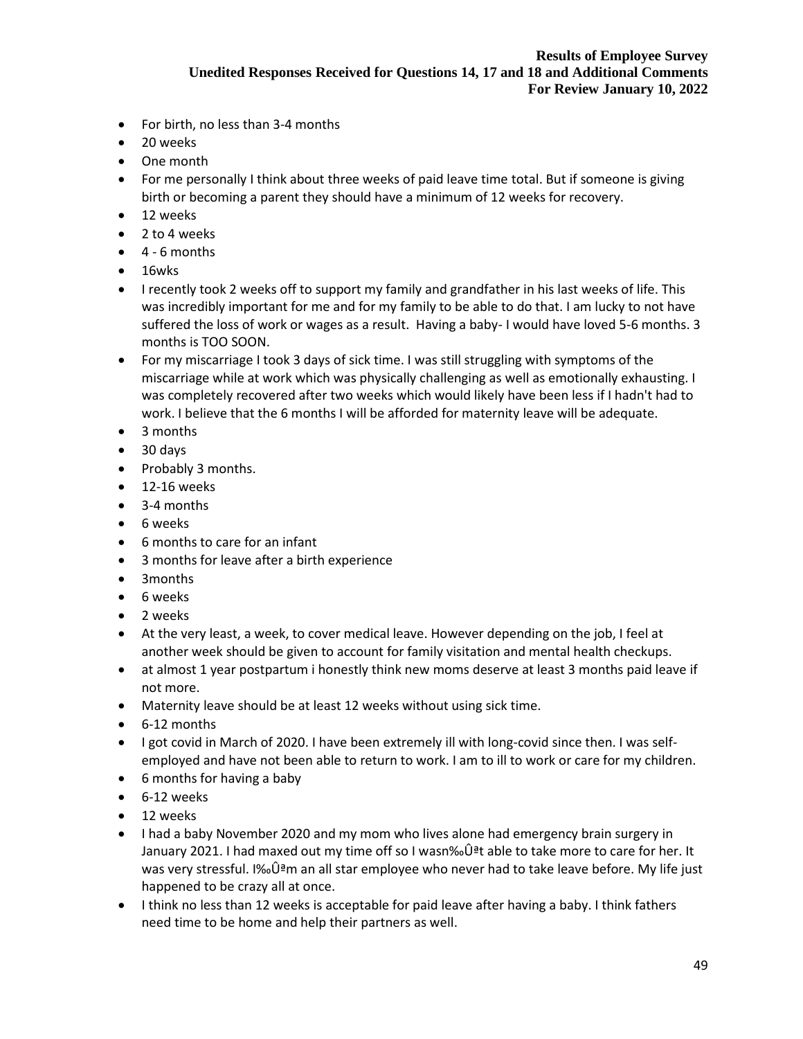- For birth, no less than 3-4 months
- 20 weeks
- One month
- For me personally I think about three weeks of paid leave time total. But if someone is giving birth or becoming a parent they should have a minimum of 12 weeks for recovery.
- 12 weeks
- 2 to 4 weeks
- $\bullet$  4 6 months
- 16wks
- I recently took 2 weeks off to support my family and grandfather in his last weeks of life. This was incredibly important for me and for my family to be able to do that. I am lucky to not have suffered the loss of work or wages as a result. Having a baby- I would have loved 5-6 months. 3 months is TOO SOON.
- For my miscarriage I took 3 days of sick time. I was still struggling with symptoms of the miscarriage while at work which was physically challenging as well as emotionally exhausting. I was completely recovered after two weeks which would likely have been less if I hadn't had to work. I believe that the 6 months I will be afforded for maternity leave will be adequate.
- 3 months
- 30 days
- Probably 3 months.
- $\bullet$  12-16 weeks
- 3-4 months
- 6 weeks
- 6 months to care for an infant
- 3 months for leave after a birth experience
- 3months
- 6 weeks
- 2 weeks
- At the very least, a week, to cover medical leave. However depending on the job, I feel at another week should be given to account for family visitation and mental health checkups.
- at almost 1 year postpartum i honestly think new moms deserve at least 3 months paid leave if not more.
- Maternity leave should be at least 12 weeks without using sick time.
- 6-12 months
- I got covid in March of 2020. I have been extremely ill with long-covid since then. I was selfemployed and have not been able to return to work. I am to ill to work or care for my children.
- 6 months for having a baby
- 6-12 weeks
- 12 weeks
- I had a baby November 2020 and my mom who lives alone had emergency brain surgery in January 2021. I had maxed out my time off so I wasn‰Ûªt able to take more to care for her. It was very stressful. I‰Ûªm an all star employee who never had to take leave before. My life just happened to be crazy all at once.
- I think no less than 12 weeks is acceptable for paid leave after having a baby. I think fathers need time to be home and help their partners as well.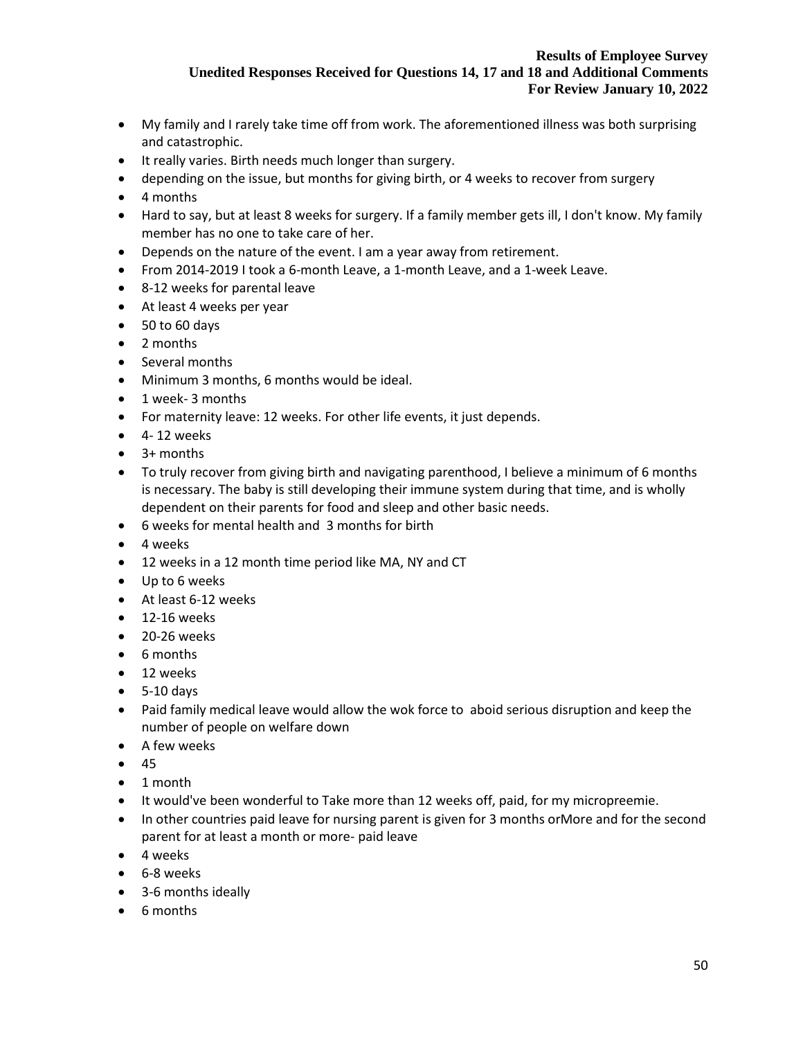- My family and I rarely take time off from work. The aforementioned illness was both surprising and catastrophic.
- It really varies. Birth needs much longer than surgery.
- depending on the issue, but months for giving birth, or 4 weeks to recover from surgery
- 4 months
- Hard to say, but at least 8 weeks for surgery. If a family member gets ill, I don't know. My family member has no one to take care of her.
- Depends on the nature of the event. I am a year away from retirement.
- From 2014-2019 I took a 6-month Leave, a 1-month Leave, and a 1-week Leave.
- 8-12 weeks for parental leave
- At least 4 weeks per year
- 50 to 60 days
- 2 months
- Several months
- Minimum 3 months, 6 months would be ideal.
- 1 week- 3 months
- For maternity leave: 12 weeks. For other life events, it just depends.
- $\bullet$  4-12 weeks
- 3+ months
- To truly recover from giving birth and navigating parenthood, I believe a minimum of 6 months is necessary. The baby is still developing their immune system during that time, and is wholly dependent on their parents for food and sleep and other basic needs.
- 6 weeks for mental health and 3 months for birth
- 4 weeks
- 12 weeks in a 12 month time period like MA, NY and CT
- Up to 6 weeks
- At least 6-12 weeks
- $\bullet$  12-16 weeks
- 20-26 weeks
- 6 months
- 12 weeks
- $5-10 days$
- Paid family medical leave would allow the wok force to aboid serious disruption and keep the number of people on welfare down
- A few weeks
- 45
- 1 month
- It would've been wonderful to Take more than 12 weeks off, paid, for my micropreemie.
- In other countries paid leave for nursing parent is given for 3 months orMore and for the second parent for at least a month or more- paid leave
- 4 weeks
- 6-8 weeks
- 3-6 months ideally
- 6 months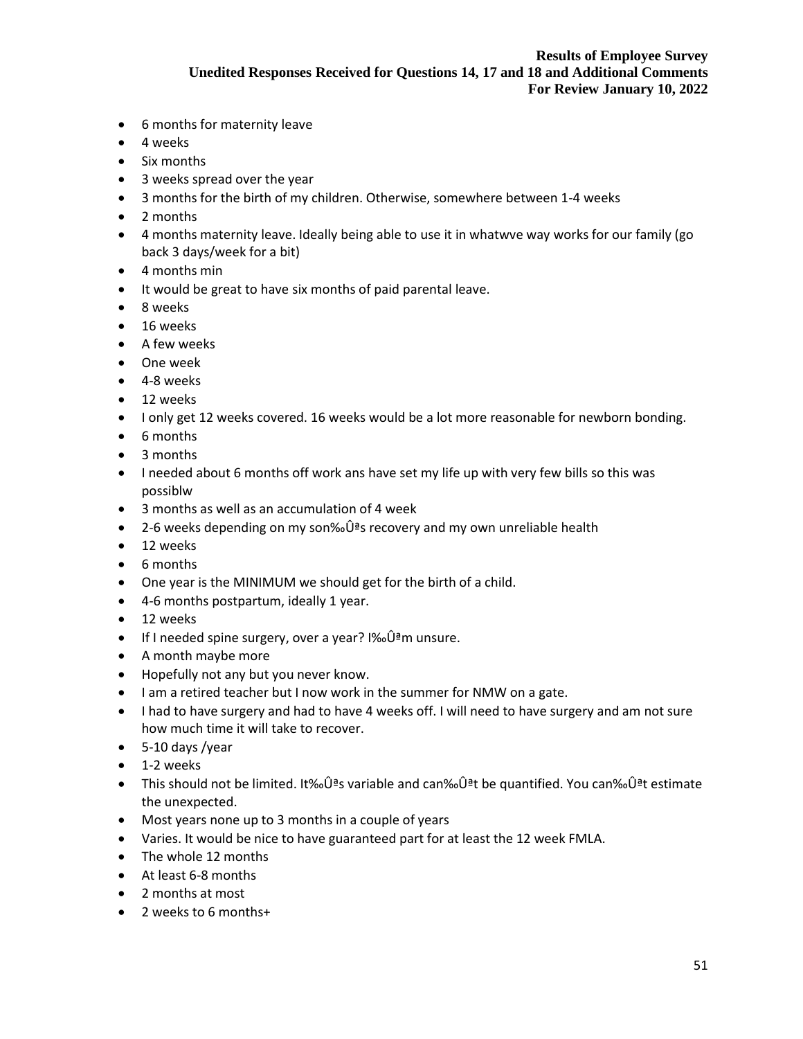- 6 months for maternity leave
- 4 weeks
- Six months
- 3 weeks spread over the year
- 3 months for the birth of my children. Otherwise, somewhere between 1-4 weeks
- 2 months
- 4 months maternity leave. Ideally being able to use it in whatwve way works for our family (go back 3 days/week for a bit)
- 4 months min
- It would be great to have six months of paid parental leave.
- 8 weeks
- 16 weeks
- A few weeks
- One week
- 4-8 weeks
- 12 weeks
- I only get 12 weeks covered. 16 weeks would be a lot more reasonable for newborn bonding.
- 6 months
- 3 months
- I needed about 6 months off work ans have set my life up with very few bills so this was possiblw
- 3 months as well as an accumulation of 4 week
- 2-6 weeks depending on my son‰Ûªs recovery and my own unreliable health
- 12 weeks
- 6 months
- One year is the MINIMUM we should get for the birth of a child.
- 4-6 months postpartum, ideally 1 year.
- 12 weeks
- If I needed spine surgery, over a year? I‰Ûªm unsure.
- A month maybe more
- Hopefully not any but you never know.
- I am a retired teacher but I now work in the summer for NMW on a gate.
- I had to have surgery and had to have 4 weeks off. I will need to have surgery and am not sure how much time it will take to recover.
- 5-10 days /year
- 1-2 weeks
- This should not be limited. It‰Ûªs variable and can‰Ûªt be quantified. You can‰Ûªt estimate the unexpected.
- Most years none up to 3 months in a couple of years
- Varies. It would be nice to have guaranteed part for at least the 12 week FMLA.
- The whole 12 months
- At least 6-8 months
- 2 months at most
- 2 weeks to 6 months+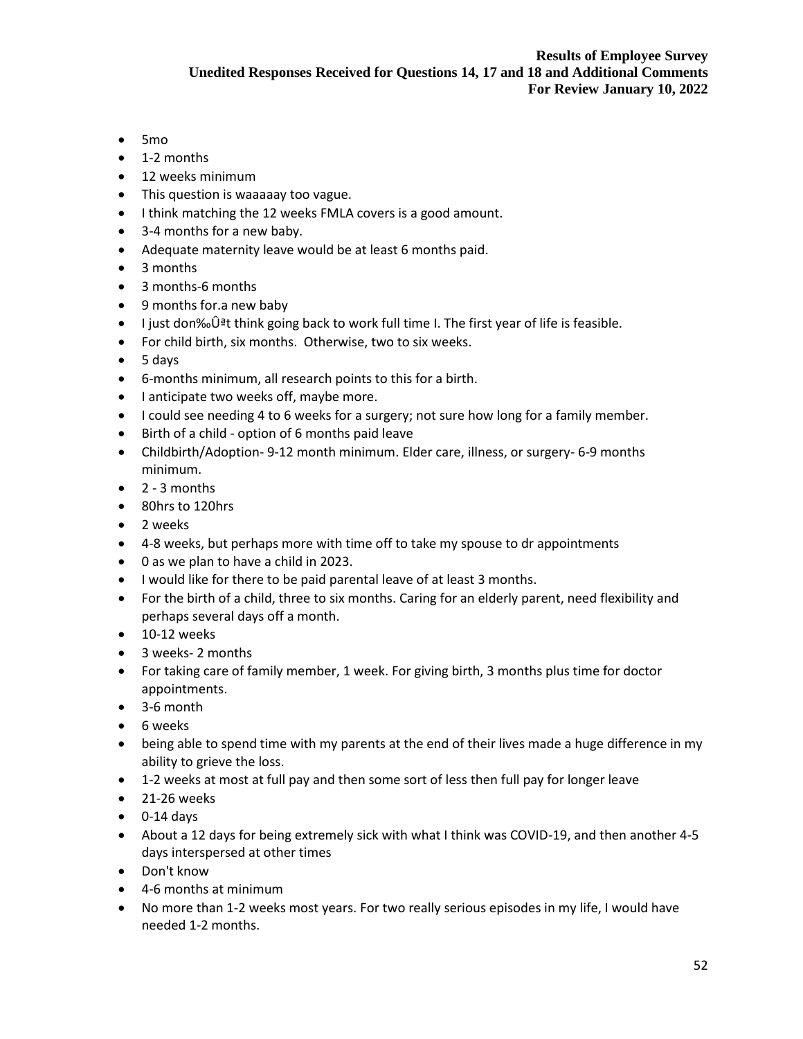- 5mo
- 1-2 months
- 12 weeks minimum
- This question is waaaaay too vague.
- I think matching the 12 weeks FMLA covers is a good amount.
- 3-4 months for a new baby.
- Adequate maternity leave would be at least 6 months paid.
- 3 months
- 3 months-6 months
- 9 months for.a new baby
- I just don‰Ûªt think going back to work full time I. The first year of life is feasible.
- For child birth, six months. Otherwise, two to six weeks.
- 5 days
- 6-months minimum, all research points to this for a birth.
- I anticipate two weeks off, maybe more.
- I could see needing 4 to 6 weeks for a surgery; not sure how long for a family member.
- Birth of a child option of 6 months paid leave
- Childbirth/Adoption- 9-12 month minimum. Elder care, illness, or surgery- 6-9 months minimum.
- $\bullet$  2 3 months
- 80hrs to 120hrs
- 2 weeks
- 4-8 weeks, but perhaps more with time off to take my spouse to dr appointments
- 0 as we plan to have a child in 2023.
- I would like for there to be paid parental leave of at least 3 months.
- For the birth of a child, three to six months. Caring for an elderly parent, need flexibility and perhaps several days off a month.
- 10-12 weeks
- 3 weeks- 2 months
- For taking care of family member, 1 week. For giving birth, 3 months plus time for doctor appointments.
- 3-6 month
- 6 weeks
- being able to spend time with my parents at the end of their lives made a huge difference in my ability to grieve the loss.
- 1-2 weeks at most at full pay and then some sort of less then full pay for longer leave
- 21-26 weeks
- $\bullet$  0-14 days
- About a 12 days for being extremely sick with what I think was COVID-19, and then another 4-5 days interspersed at other times
- Don't know
- 4-6 months at minimum
- No more than 1-2 weeks most years. For two really serious episodes in my life, I would have needed 1-2 months.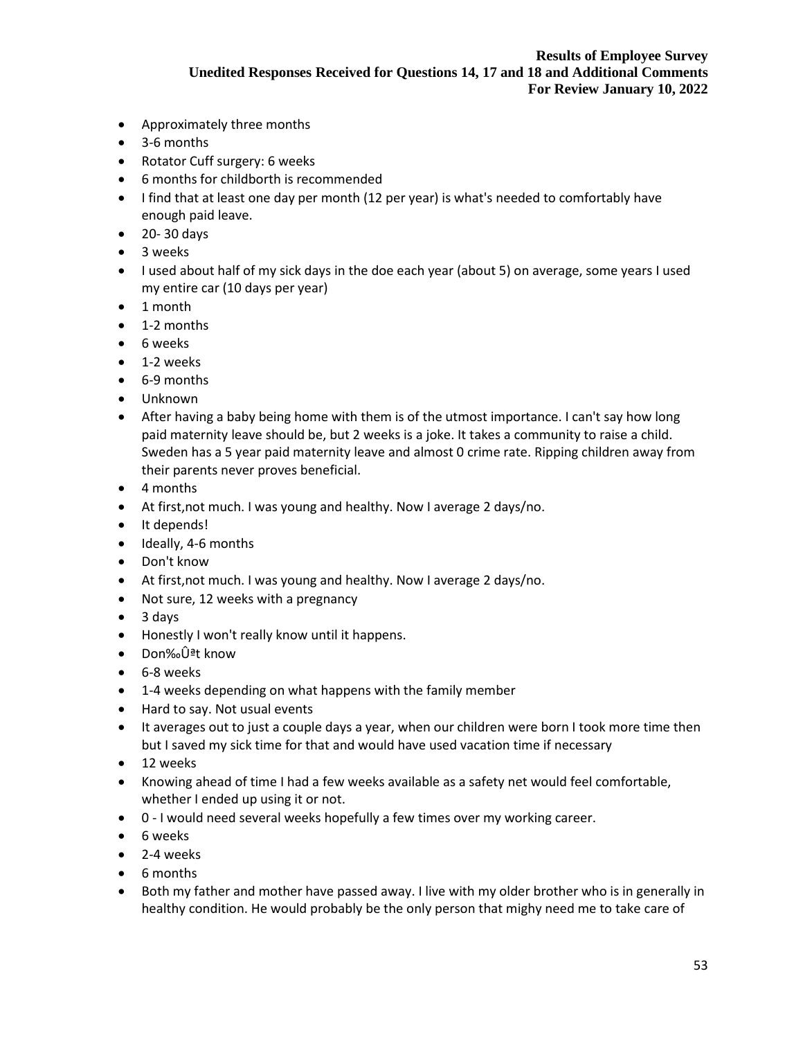- Approximately three months
- 3-6 months
- Rotator Cuff surgery: 6 weeks
- 6 months for childborth is recommended
- I find that at least one day per month (12 per year) is what's needed to comfortably have enough paid leave.
- 20- 30 days
- 3 weeks
- I used about half of my sick days in the doe each year (about 5) on average, some years I used my entire car (10 days per year)
- 1 month
- 1-2 months
- 6 weeks
- 1-2 weeks
- 6-9 months
- Unknown
- After having a baby being home with them is of the utmost importance. I can't say how long paid maternity leave should be, but 2 weeks is a joke. It takes a community to raise a child. Sweden has a 5 year paid maternity leave and almost 0 crime rate. Ripping children away from their parents never proves beneficial.
- 4 months
- At first,not much. I was young and healthy. Now I average 2 days/no.
- It depends!
- Ideally, 4-6 months
- Don't know
- At first,not much. I was young and healthy. Now I average 2 days/no.
- Not sure, 12 weeks with a pregnancy
- 3 days
- Honestly I won't really know until it happens.
- Don‰Ûªt know
- 6-8 weeks
- 1-4 weeks depending on what happens with the family member
- Hard to say. Not usual events
- It averages out to just a couple days a year, when our children were born I took more time then but I saved my sick time for that and would have used vacation time if necessary
- 12 weeks
- Knowing ahead of time I had a few weeks available as a safety net would feel comfortable, whether I ended up using it or not.
- 0 I would need several weeks hopefully a few times over my working career.
- 6 weeks
- 2-4 weeks
- 6 months
- Both my father and mother have passed away. I live with my older brother who is in generally in healthy condition. He would probably be the only person that mighy need me to take care of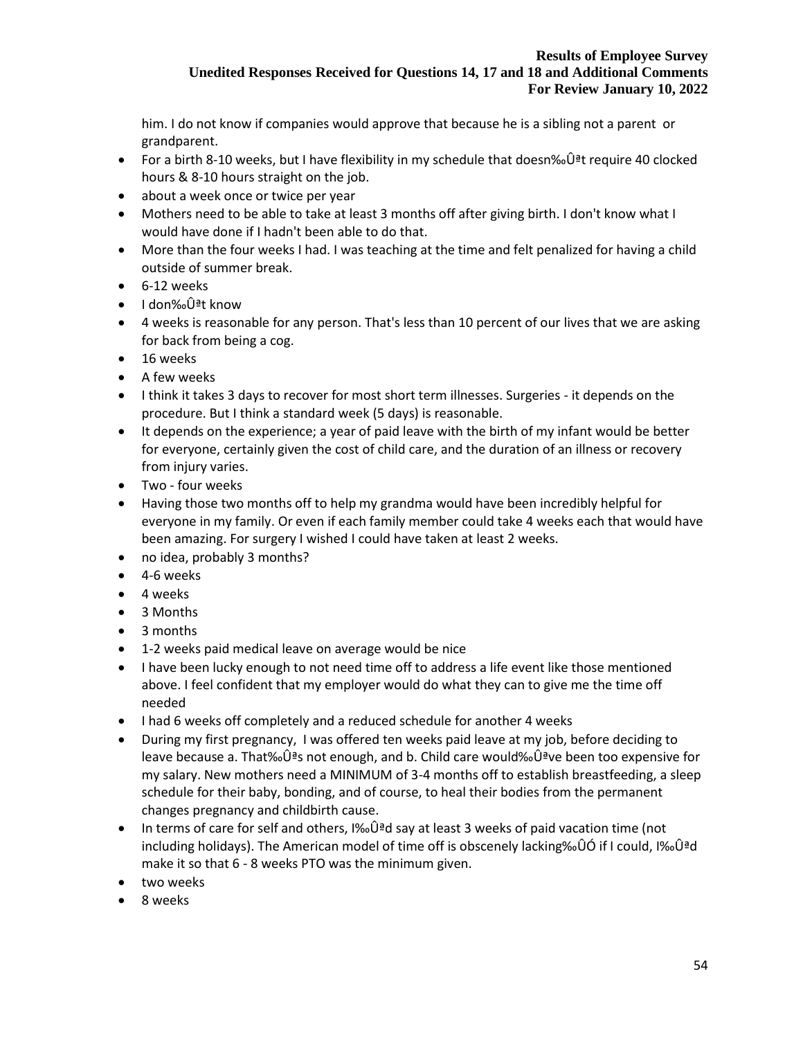him. I do not know if companies would approve that because he is a sibling not a parent or grandparent.

- For a birth 8-10 weeks, but I have flexibility in my schedule that doesn‰Ûªt require 40 clocked hours & 8-10 hours straight on the job.
- about a week once or twice per year
- Mothers need to be able to take at least 3 months off after giving birth. I don't know what I would have done if I hadn't been able to do that.
- More than the four weeks I had. I was teaching at the time and felt penalized for having a child outside of summer break.
- 6-12 weeks
- I don‰Ûªt know
- 4 weeks is reasonable for any person. That's less than 10 percent of our lives that we are asking for back from being a cog.
- 16 weeks
- A few weeks
- I think it takes 3 days to recover for most short term illnesses. Surgeries it depends on the procedure. But I think a standard week (5 days) is reasonable.
- It depends on the experience; a year of paid leave with the birth of my infant would be better for everyone, certainly given the cost of child care, and the duration of an illness or recovery from injury varies.
- Two four weeks
- Having those two months off to help my grandma would have been incredibly helpful for everyone in my family. Or even if each family member could take 4 weeks each that would have been amazing. For surgery I wished I could have taken at least 2 weeks.
- no idea, probably 3 months?
- 4-6 weeks
- 4 weeks
- 3 Months
- 3 months
- 1-2 weeks paid medical leave on average would be nice
- I have been lucky enough to not need time off to address a life event like those mentioned above. I feel confident that my employer would do what they can to give me the time off needed
- I had 6 weeks off completely and a reduced schedule for another 4 weeks
- During my first pregnancy, I was offered ten weeks paid leave at my job, before deciding to leave because a. That‰Ûªs not enough, and b. Child care would‰Ûªve been too expensive for my salary. New mothers need a MINIMUM of 3-4 months off to establish breastfeeding, a sleep schedule for their baby, bonding, and of course, to heal their bodies from the permanent changes pregnancy and childbirth cause.
- In terms of care for self and others, I‰Ûªd say at least 3 weeks of paid vacation time (not including holidays). The American model of time off is obscenely lacking‰ÛÓ if I could, I‰Ûªd make it so that 6 - 8 weeks PTO was the minimum given.
- two weeks
- 8 weeks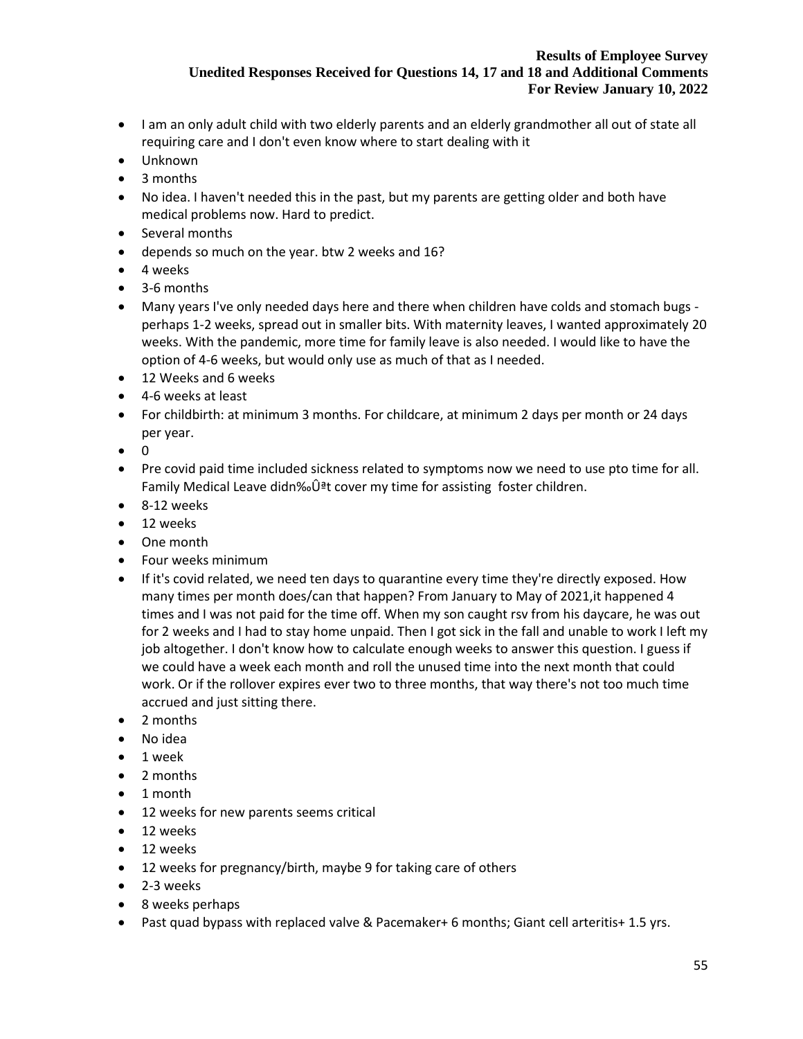- I am an only adult child with two elderly parents and an elderly grandmother all out of state all requiring care and I don't even know where to start dealing with it
- Unknown
- 3 months
- No idea. I haven't needed this in the past, but my parents are getting older and both have medical problems now. Hard to predict.
- Several months
- depends so much on the year. btw 2 weeks and 16?
- 4 weeks
- 3-6 months
- Many years I've only needed days here and there when children have colds and stomach bugs perhaps 1-2 weeks, spread out in smaller bits. With maternity leaves, I wanted approximately 20 weeks. With the pandemic, more time for family leave is also needed. I would like to have the option of 4-6 weeks, but would only use as much of that as I needed.
- 12 Weeks and 6 weeks
- 4-6 weeks at least
- For childbirth: at minimum 3 months. For childcare, at minimum 2 days per month or 24 days per year.
- 0
- Pre covid paid time included sickness related to symptoms now we need to use pto time for all. Family Medical Leave didn‰Ûªt cover my time for assisting foster children.
- 8-12 weeks
- 12 weeks
- One month
- Four weeks minimum
- If it's covid related, we need ten days to quarantine every time they're directly exposed. How many times per month does/can that happen? From January to May of 2021,it happened 4 times and I was not paid for the time off. When my son caught rsv from his daycare, he was out for 2 weeks and I had to stay home unpaid. Then I got sick in the fall and unable to work I left my job altogether. I don't know how to calculate enough weeks to answer this question. I guess if we could have a week each month and roll the unused time into the next month that could work. Or if the rollover expires ever two to three months, that way there's not too much time accrued and just sitting there.
- 2 months
- No idea
- 1 week
- 2 months
- 1 month
- 12 weeks for new parents seems critical
- 12 weeks
- 12 weeks
- 12 weeks for pregnancy/birth, maybe 9 for taking care of others
- 2-3 weeks
- 8 weeks perhaps
- Past quad bypass with replaced valve & Pacemaker+ 6 months; Giant cell arteritis+ 1.5 yrs.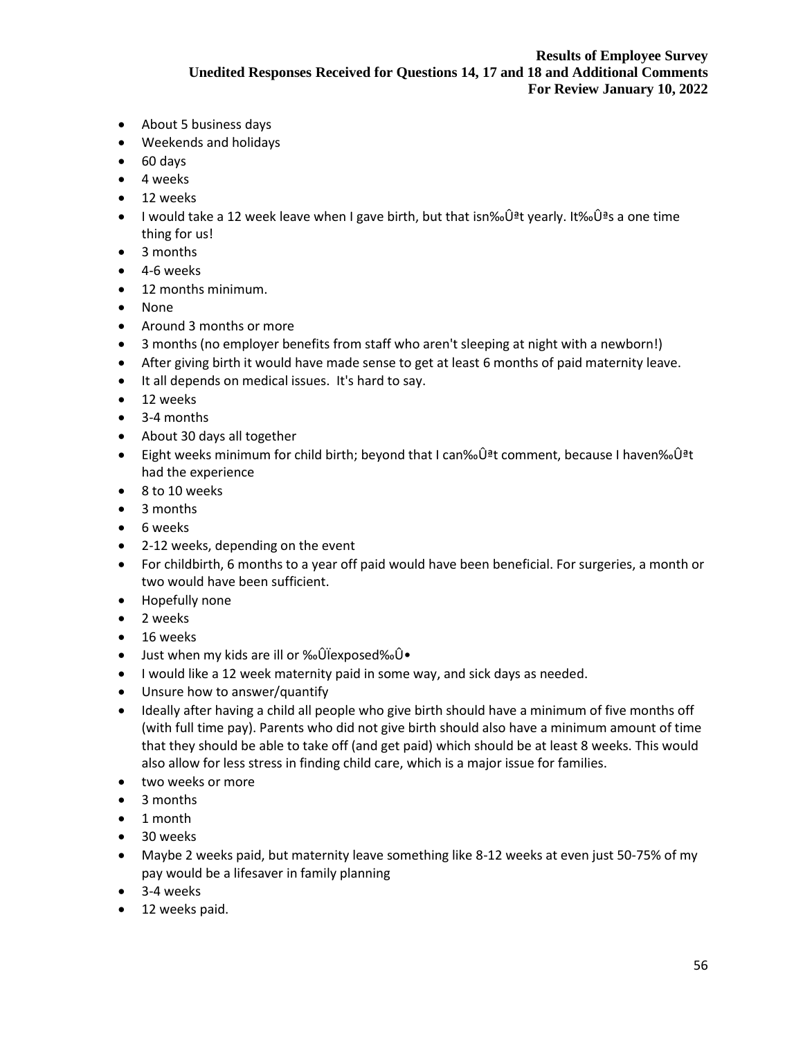- About 5 business days
- Weekends and holidays
- 60 days
- 4 weeks
- 12 weeks
- I would take a 12 week leave when I gave birth, but that isn‰Û<sup>a</sup>t yearly. It‰Û<sup>a</sup>s a one time thing for us!
- 3 months
- 4-6 weeks
- 12 months minimum.
- None
- Around 3 months or more
- 3 months (no employer benefits from staff who aren't sleeping at night with a newborn!)
- After giving birth it would have made sense to get at least 6 months of paid maternity leave.
- It all depends on medical issues. It's hard to say.
- 12 weeks
- 3-4 months
- About 30 days all together
- Eight weeks minimum for child birth; beyond that I can‰Ûªt comment, because I haven‰Ûªt had the experience
- 8 to 10 weeks
- 3 months
- 6 weeks
- 2-12 weeks, depending on the event
- For childbirth, 6 months to a year off paid would have been beneficial. For surgeries, a month or two would have been sufficient.
- Hopefully none
- 2 weeks
- 16 weeks
- Just when my kids are ill or ‰ÛÏexposed‰Û•
- I would like a 12 week maternity paid in some way, and sick days as needed.
- Unsure how to answer/quantify
- Ideally after having a child all people who give birth should have a minimum of five months off (with full time pay). Parents who did not give birth should also have a minimum amount of time that they should be able to take off (and get paid) which should be at least 8 weeks. This would also allow for less stress in finding child care, which is a major issue for families.
- two weeks or more
- 3 months
- 1 month
- 30 weeks
- Maybe 2 weeks paid, but maternity leave something like 8-12 weeks at even just 50-75% of my pay would be a lifesaver in family planning
- 3-4 weeks
- 12 weeks paid.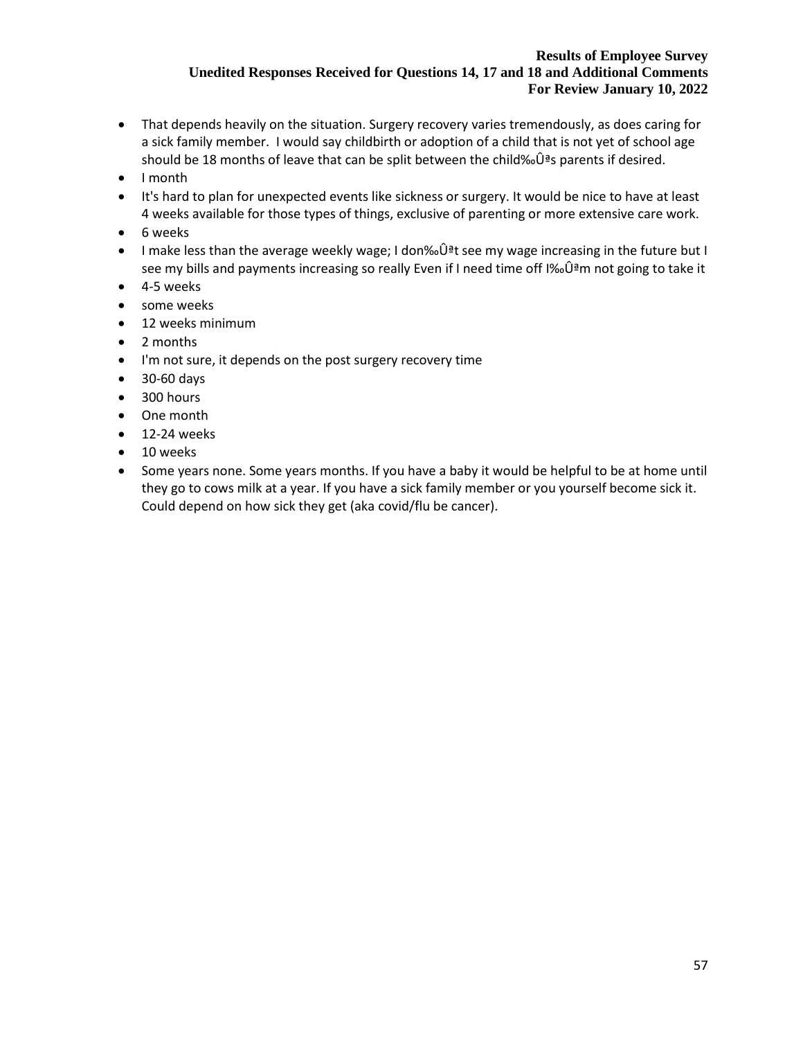- That depends heavily on the situation. Surgery recovery varies tremendously, as does caring for a sick family member. I would say childbirth or adoption of a child that is not yet of school age should be 18 months of leave that can be split between the child‰Ûªs parents if desired.
- I month
- It's hard to plan for unexpected events like sickness or surgery. It would be nice to have at least 4 weeks available for those types of things, exclusive of parenting or more extensive care work.
- 6 weeks
- I make less than the average weekly wage; I don‰Ûªt see my wage increasing in the future but I see my bills and payments increasing so really Even if I need time off I‰Ûªm not going to take it
- 4-5 weeks
- some weeks
- 12 weeks minimum
- 2 months
- I'm not sure, it depends on the post surgery recovery time
- 30-60 days
- 300 hours
- One month
- $\bullet$  12-24 weeks
- 10 weeks
- Some years none. Some years months. If you have a baby it would be helpful to be at home until they go to cows milk at a year. If you have a sick family member or you yourself become sick it. Could depend on how sick they get (aka covid/flu be cancer).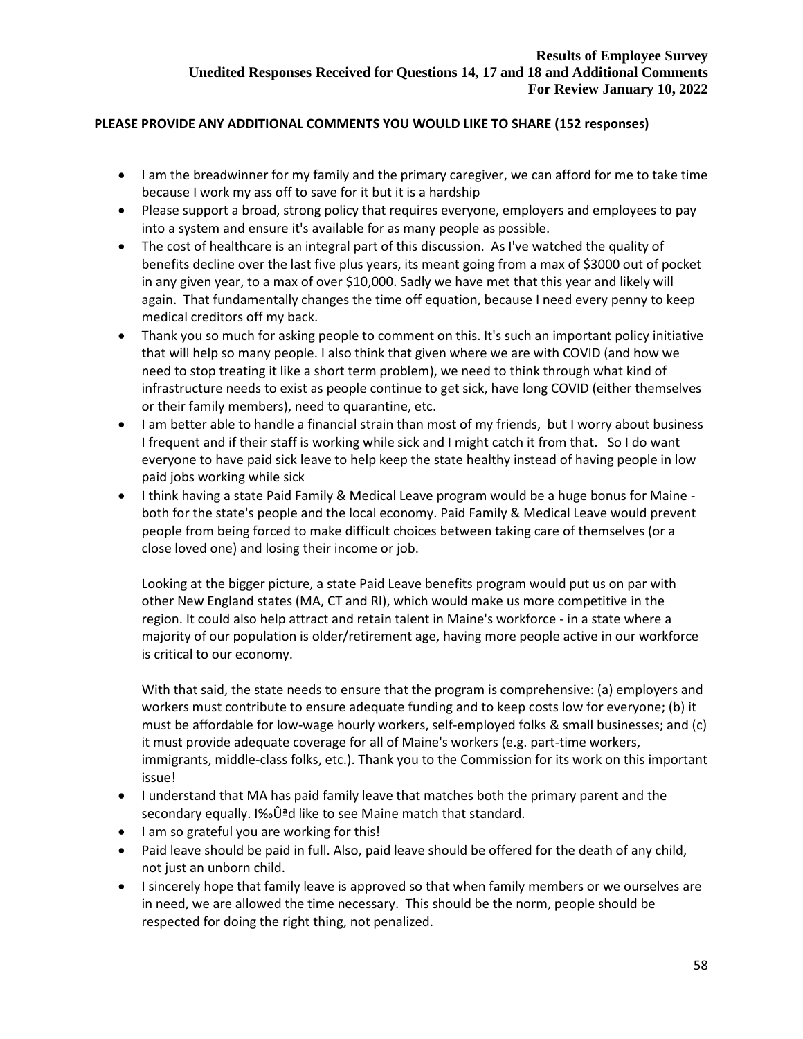# **PLEASE PROVIDE ANY ADDITIONAL COMMENTS YOU WOULD LIKE TO SHARE (152 responses)**

- I am the breadwinner for my family and the primary caregiver, we can afford for me to take time because I work my ass off to save for it but it is a hardship
- Please support a broad, strong policy that requires everyone, employers and employees to pay into a system and ensure it's available for as many people as possible.
- The cost of healthcare is an integral part of this discussion. As I've watched the quality of benefits decline over the last five plus years, its meant going from a max of \$3000 out of pocket in any given year, to a max of over \$10,000. Sadly we have met that this year and likely will again. That fundamentally changes the time off equation, because I need every penny to keep medical creditors off my back.
- Thank you so much for asking people to comment on this. It's such an important policy initiative that will help so many people. I also think that given where we are with COVID (and how we need to stop treating it like a short term problem), we need to think through what kind of infrastructure needs to exist as people continue to get sick, have long COVID (either themselves or their family members), need to quarantine, etc.
- I am better able to handle a financial strain than most of my friends, but I worry about business I frequent and if their staff is working while sick and I might catch it from that. So I do want everyone to have paid sick leave to help keep the state healthy instead of having people in low paid jobs working while sick
- I think having a state Paid Family & Medical Leave program would be a huge bonus for Maine both for the state's people and the local economy. Paid Family & Medical Leave would prevent people from being forced to make difficult choices between taking care of themselves (or a close loved one) and losing their income or job.

Looking at the bigger picture, a state Paid Leave benefits program would put us on par with other New England states (MA, CT and RI), which would make us more competitive in the region. It could also help attract and retain talent in Maine's workforce - in a state where a majority of our population is older/retirement age, having more people active in our workforce is critical to our economy.

With that said, the state needs to ensure that the program is comprehensive: (a) employers and workers must contribute to ensure adequate funding and to keep costs low for everyone; (b) it must be affordable for low-wage hourly workers, self-employed folks & small businesses; and (c) it must provide adequate coverage for all of Maine's workers (e.g. part-time workers, immigrants, middle-class folks, etc.). Thank you to the Commission for its work on this important issue!

- I understand that MA has paid family leave that matches both the primary parent and the secondary equally. I‰Ûªd like to see Maine match that standard.
- I am so grateful you are working for this!
- Paid leave should be paid in full. Also, paid leave should be offered for the death of any child, not just an unborn child.
- I sincerely hope that family leave is approved so that when family members or we ourselves are in need, we are allowed the time necessary. This should be the norm, people should be respected for doing the right thing, not penalized.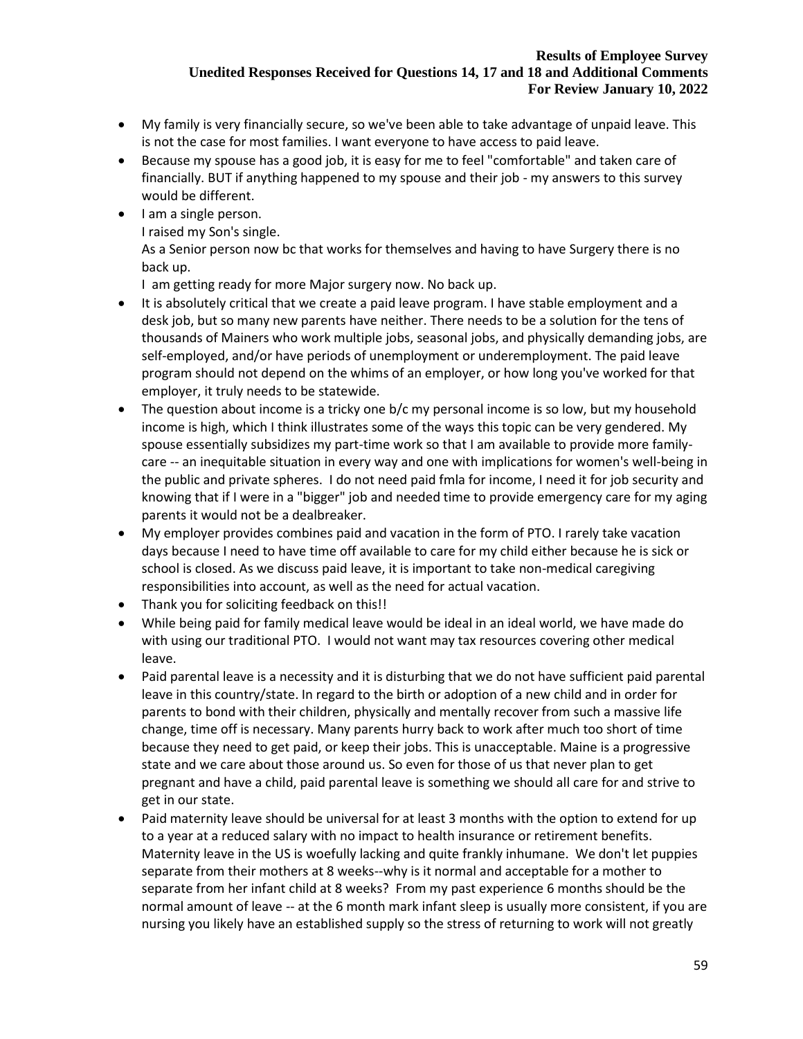- My family is very financially secure, so we've been able to take advantage of unpaid leave. This is not the case for most families. I want everyone to have access to paid leave.
- Because my spouse has a good job, it is easy for me to feel "comfortable" and taken care of financially. BUT if anything happened to my spouse and their job - my answers to this survey would be different.
- I am a single person.
	- I raised my Son's single.

As a Senior person now bc that works for themselves and having to have Surgery there is no back up.

I am getting ready for more Major surgery now. No back up.

- It is absolutely critical that we create a paid leave program. I have stable employment and a desk job, but so many new parents have neither. There needs to be a solution for the tens of thousands of Mainers who work multiple jobs, seasonal jobs, and physically demanding jobs, are self-employed, and/or have periods of unemployment or underemployment. The paid leave program should not depend on the whims of an employer, or how long you've worked for that employer, it truly needs to be statewide.
- The question about income is a tricky one b/c my personal income is so low, but my household income is high, which I think illustrates some of the ways this topic can be very gendered. My spouse essentially subsidizes my part-time work so that I am available to provide more familycare -- an inequitable situation in every way and one with implications for women's well-being in the public and private spheres. I do not need paid fmla for income, I need it for job security and knowing that if I were in a "bigger" job and needed time to provide emergency care for my aging parents it would not be a dealbreaker.
- My employer provides combines paid and vacation in the form of PTO. I rarely take vacation days because I need to have time off available to care for my child either because he is sick or school is closed. As we discuss paid leave, it is important to take non-medical caregiving responsibilities into account, as well as the need for actual vacation.
- Thank you for soliciting feedback on this!!
- While being paid for family medical leave would be ideal in an ideal world, we have made do with using our traditional PTO. I would not want may tax resources covering other medical leave.
- Paid parental leave is a necessity and it is disturbing that we do not have sufficient paid parental leave in this country/state. In regard to the birth or adoption of a new child and in order for parents to bond with their children, physically and mentally recover from such a massive life change, time off is necessary. Many parents hurry back to work after much too short of time because they need to get paid, or keep their jobs. This is unacceptable. Maine is a progressive state and we care about those around us. So even for those of us that never plan to get pregnant and have a child, paid parental leave is something we should all care for and strive to get in our state.
- Paid maternity leave should be universal for at least 3 months with the option to extend for up to a year at a reduced salary with no impact to health insurance or retirement benefits. Maternity leave in the US is woefully lacking and quite frankly inhumane. We don't let puppies separate from their mothers at 8 weeks--why is it normal and acceptable for a mother to separate from her infant child at 8 weeks? From my past experience 6 months should be the normal amount of leave -- at the 6 month mark infant sleep is usually more consistent, if you are nursing you likely have an established supply so the stress of returning to work will not greatly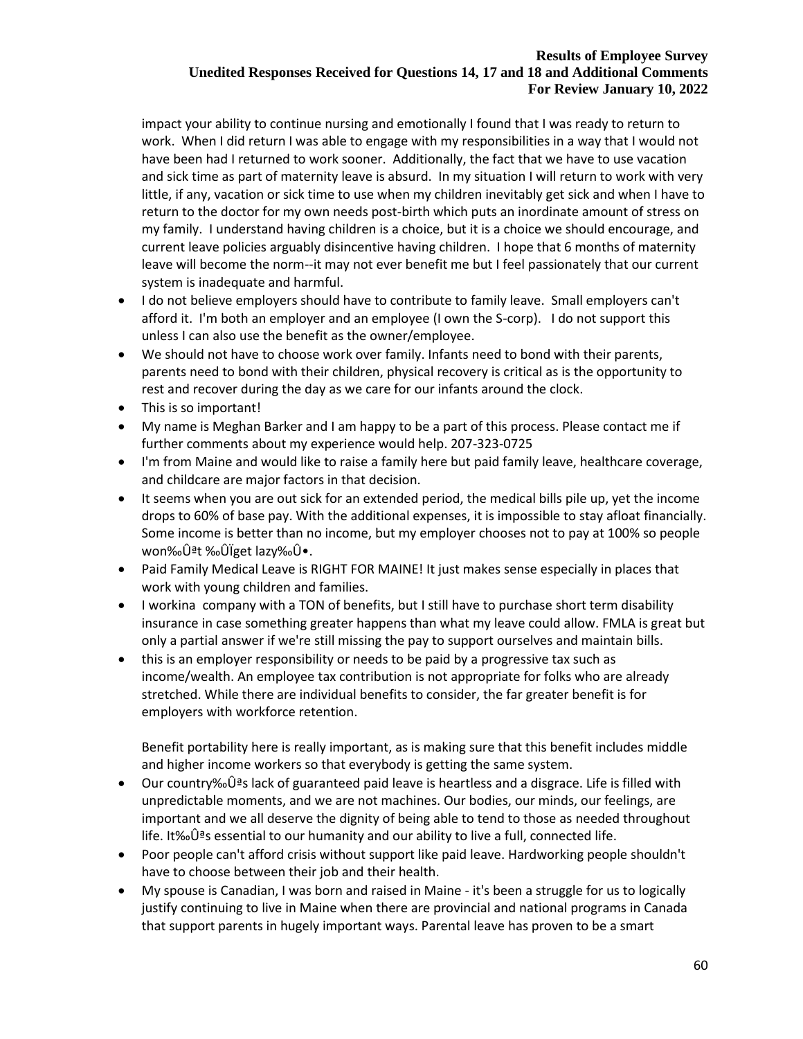impact your ability to continue nursing and emotionally I found that I was ready to return to work. When I did return I was able to engage with my responsibilities in a way that I would not have been had I returned to work sooner. Additionally, the fact that we have to use vacation and sick time as part of maternity leave is absurd. In my situation I will return to work with very little, if any, vacation or sick time to use when my children inevitably get sick and when I have to return to the doctor for my own needs post-birth which puts an inordinate amount of stress on my family. I understand having children is a choice, but it is a choice we should encourage, and current leave policies arguably disincentive having children. I hope that 6 months of maternity leave will become the norm--it may not ever benefit me but I feel passionately that our current system is inadequate and harmful.

- I do not believe employers should have to contribute to family leave. Small employers can't afford it. I'm both an employer and an employee (I own the S-corp). I do not support this unless I can also use the benefit as the owner/employee.
- We should not have to choose work over family. Infants need to bond with their parents, parents need to bond with their children, physical recovery is critical as is the opportunity to rest and recover during the day as we care for our infants around the clock.
- This is so important!
- My name is Meghan Barker and I am happy to be a part of this process. Please contact me if further comments about my experience would help. 207-323-0725
- I'm from Maine and would like to raise a family here but paid family leave, healthcare coverage, and childcare are major factors in that decision.
- It seems when you are out sick for an extended period, the medical bills pile up, yet the income drops to 60% of base pay. With the additional expenses, it is impossible to stay afloat financially. Some income is better than no income, but my employer chooses not to pay at 100% so people won‰Ûªt ‰ÛÏget lazy‰Û•.
- Paid Family Medical Leave is RIGHT FOR MAINE! It just makes sense especially in places that work with young children and families.
- I workina company with a TON of benefits, but I still have to purchase short term disability insurance in case something greater happens than what my leave could allow. FMLA is great but only a partial answer if we're still missing the pay to support ourselves and maintain bills.
- this is an employer responsibility or needs to be paid by a progressive tax such as income/wealth. An employee tax contribution is not appropriate for folks who are already stretched. While there are individual benefits to consider, the far greater benefit is for employers with workforce retention.

Benefit portability here is really important, as is making sure that this benefit includes middle and higher income workers so that everybody is getting the same system.

- Our country‰Ûªs lack of guaranteed paid leave is heartless and a disgrace. Life is filled with unpredictable moments, and we are not machines. Our bodies, our minds, our feelings, are important and we all deserve the dignity of being able to tend to those as needed throughout life. It‰Ûªs essential to our humanity and our ability to live a full, connected life.
- Poor people can't afford crisis without support like paid leave. Hardworking people shouldn't have to choose between their job and their health.
- My spouse is Canadian, I was born and raised in Maine it's been a struggle for us to logically justify continuing to live in Maine when there are provincial and national programs in Canada that support parents in hugely important ways. Parental leave has proven to be a smart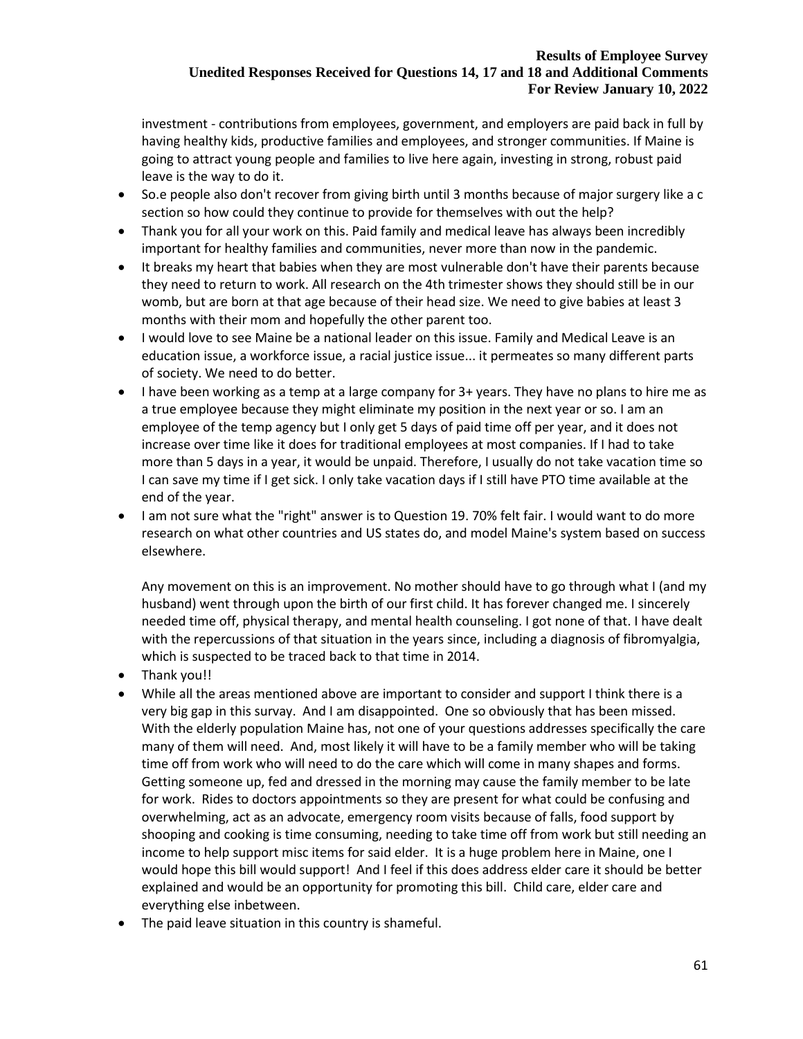investment - contributions from employees, government, and employers are paid back in full by having healthy kids, productive families and employees, and stronger communities. If Maine is going to attract young people and families to live here again, investing in strong, robust paid leave is the way to do it.

- So.e people also don't recover from giving birth until 3 months because of major surgery like a c section so how could they continue to provide for themselves with out the help?
- Thank you for all your work on this. Paid family and medical leave has always been incredibly important for healthy families and communities, never more than now in the pandemic.
- It breaks my heart that babies when they are most vulnerable don't have their parents because they need to return to work. All research on the 4th trimester shows they should still be in our womb, but are born at that age because of their head size. We need to give babies at least 3 months with their mom and hopefully the other parent too.
- I would love to see Maine be a national leader on this issue. Family and Medical Leave is an education issue, a workforce issue, a racial justice issue... it permeates so many different parts of society. We need to do better.
- I have been working as a temp at a large company for 3+ years. They have no plans to hire me as a true employee because they might eliminate my position in the next year or so. I am an employee of the temp agency but I only get 5 days of paid time off per year, and it does not increase over time like it does for traditional employees at most companies. If I had to take more than 5 days in a year, it would be unpaid. Therefore, I usually do not take vacation time so I can save my time if I get sick. I only take vacation days if I still have PTO time available at the end of the year.
- I am not sure what the "right" answer is to Question 19. 70% felt fair. I would want to do more research on what other countries and US states do, and model Maine's system based on success elsewhere.

Any movement on this is an improvement. No mother should have to go through what I (and my husband) went through upon the birth of our first child. It has forever changed me. I sincerely needed time off, physical therapy, and mental health counseling. I got none of that. I have dealt with the repercussions of that situation in the years since, including a diagnosis of fibromyalgia, which is suspected to be traced back to that time in 2014.

- Thank you!!
- While all the areas mentioned above are important to consider and support I think there is a very big gap in this survay. And I am disappointed. One so obviously that has been missed. With the elderly population Maine has, not one of your questions addresses specifically the care many of them will need. And, most likely it will have to be a family member who will be taking time off from work who will need to do the care which will come in many shapes and forms. Getting someone up, fed and dressed in the morning may cause the family member to be late for work. Rides to doctors appointments so they are present for what could be confusing and overwhelming, act as an advocate, emergency room visits because of falls, food support by shooping and cooking is time consuming, needing to take time off from work but still needing an income to help support misc items for said elder. It is a huge problem here in Maine, one I would hope this bill would support! And I feel if this does address elder care it should be better explained and would be an opportunity for promoting this bill. Child care, elder care and everything else inbetween.
- The paid leave situation in this country is shameful.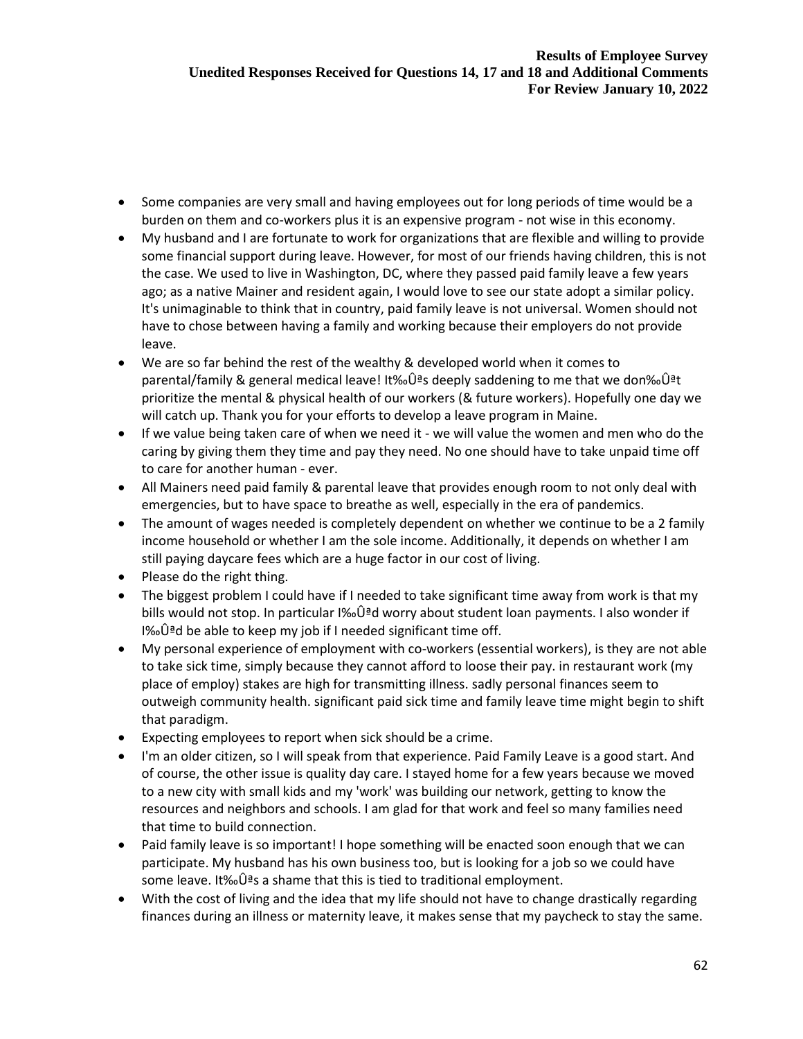- Some companies are very small and having employees out for long periods of time would be a burden on them and co-workers plus it is an expensive program - not wise in this economy.
- My husband and I are fortunate to work for organizations that are flexible and willing to provide some financial support during leave. However, for most of our friends having children, this is not the case. We used to live in Washington, DC, where they passed paid family leave a few years ago; as a native Mainer and resident again, I would love to see our state adopt a similar policy. It's unimaginable to think that in country, paid family leave is not universal. Women should not have to chose between having a family and working because their employers do not provide leave.
- We are so far behind the rest of the wealthy & developed world when it comes to parental/family & general medical leave! It‰Ûªs deeply saddening to me that we don‰Ûªt prioritize the mental & physical health of our workers (& future workers). Hopefully one day we will catch up. Thank you for your efforts to develop a leave program in Maine.
- If we value being taken care of when we need it we will value the women and men who do the caring by giving them they time and pay they need. No one should have to take unpaid time off to care for another human - ever.
- All Mainers need paid family & parental leave that provides enough room to not only deal with emergencies, but to have space to breathe as well, especially in the era of pandemics.
- The amount of wages needed is completely dependent on whether we continue to be a 2 family income household or whether I am the sole income. Additionally, it depends on whether I am still paying daycare fees which are a huge factor in our cost of living.
- Please do the right thing.
- The biggest problem I could have if I needed to take significant time away from work is that my bills would not stop. In particular I‰Ûªd worry about student loan payments. I also wonder if  $1\%$  $0$ <sup>a</sup>d be able to keep my job if I needed significant time off.
- My personal experience of employment with co-workers (essential workers), is they are not able to take sick time, simply because they cannot afford to loose their pay. in restaurant work (my place of employ) stakes are high for transmitting illness. sadly personal finances seem to outweigh community health. significant paid sick time and family leave time might begin to shift that paradigm.
- Expecting employees to report when sick should be a crime.
- I'm an older citizen, so I will speak from that experience. Paid Family Leave is a good start. And of course, the other issue is quality day care. I stayed home for a few years because we moved to a new city with small kids and my 'work' was building our network, getting to know the resources and neighbors and schools. I am glad for that work and feel so many families need that time to build connection.
- Paid family leave is so important! I hope something will be enacted soon enough that we can participate. My husband has his own business too, but is looking for a job so we could have some leave. It‰Ûªs a shame that this is tied to traditional employment.
- With the cost of living and the idea that my life should not have to change drastically regarding finances during an illness or maternity leave, it makes sense that my paycheck to stay the same.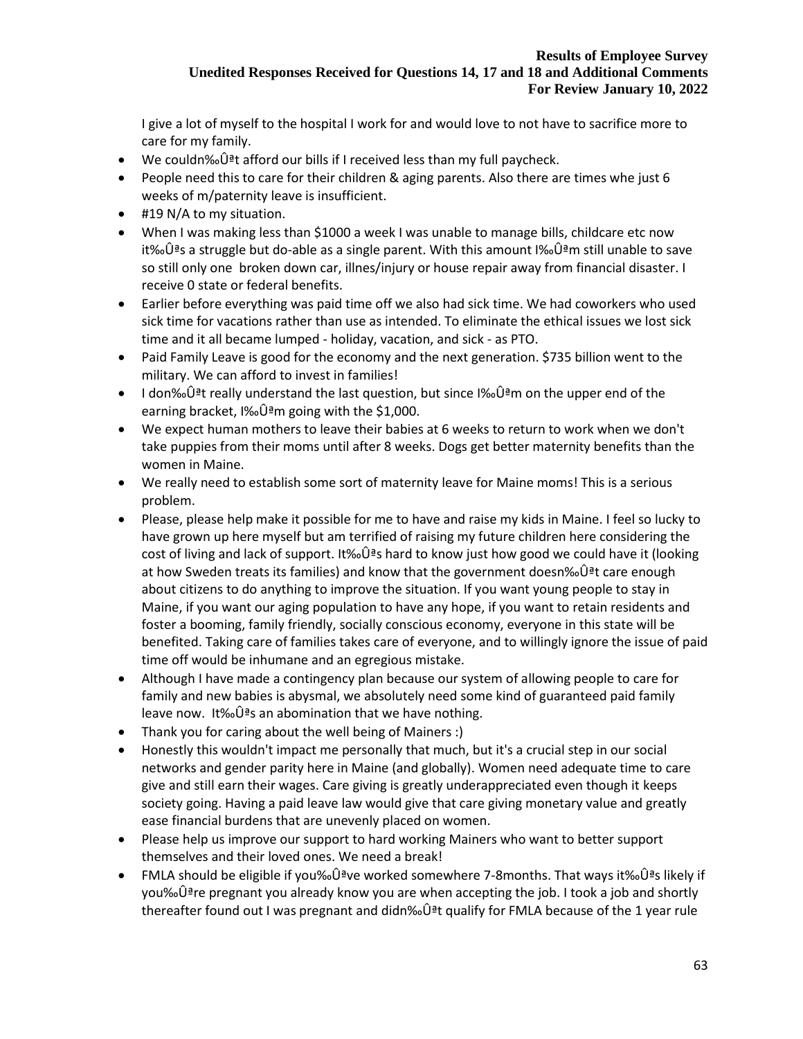I give a lot of myself to the hospital I work for and would love to not have to sacrifice more to care for my family.

- We couldn‰Ûªt afford our bills if I received less than my full paycheck.
- People need this to care for their children & aging parents. Also there are times whe just 6 weeks of m/paternity leave is insufficient.
- #19 N/A to my situation.
- When I was making less than \$1000 a week I was unable to manage bills, childcare etc now it‰Ûªs a struggle but do-able as a single parent. With this amount I‰Ûªm still unable to save so still only one broken down car, illnes/injury or house repair away from financial disaster. I receive 0 state or federal benefits.
- Earlier before everything was paid time off we also had sick time. We had coworkers who used sick time for vacations rather than use as intended. To eliminate the ethical issues we lost sick time and it all became lumped - holiday, vacation, and sick - as PTO.
- Paid Family Leave is good for the economy and the next generation. \$735 billion went to the military. We can afford to invest in families!
- I don‰Û<sup>ª</sup>t really understand the last question, but since I‰Û<sup>ª</sup>m on the upper end of the earning bracket, I‰Ûªm going with the \$1,000.
- We expect human mothers to leave their babies at 6 weeks to return to work when we don't take puppies from their moms until after 8 weeks. Dogs get better maternity benefits than the women in Maine.
- We really need to establish some sort of maternity leave for Maine moms! This is a serious problem.
- Please, please help make it possible for me to have and raise my kids in Maine. I feel so lucky to have grown up here myself but am terrified of raising my future children here considering the cost of living and lack of support. It‰Ûªs hard to know just how good we could have it (looking at how Sweden treats its families) and know that the government doesn‰Ûªt care enough about citizens to do anything to improve the situation. If you want young people to stay in Maine, if you want our aging population to have any hope, if you want to retain residents and foster a booming, family friendly, socially conscious economy, everyone in this state will be benefited. Taking care of families takes care of everyone, and to willingly ignore the issue of paid time off would be inhumane and an egregious mistake.
- Although I have made a contingency plan because our system of allowing people to care for family and new babies is abysmal, we absolutely need some kind of guaranteed paid family leave now. It‰Ûªs an abomination that we have nothing.
- Thank you for caring about the well being of Mainers :)
- Honestly this wouldn't impact me personally that much, but it's a crucial step in our social networks and gender parity here in Maine (and globally). Women need adequate time to care give and still earn their wages. Care giving is greatly underappreciated even though it keeps society going. Having a paid leave law would give that care giving monetary value and greatly ease financial burdens that are unevenly placed on women.
- Please help us improve our support to hard working Mainers who want to better support themselves and their loved ones. We need a break!
- FMLA should be eligible if you‰Ûªve worked somewhere 7-8months. That ways it‰Ûªs likely if you‰Ûªre pregnant you already know you are when accepting the job. I took a job and shortly thereafter found out I was pregnant and didn‰Û $\frac{d}{dx}$  qualify for FMLA because of the 1 year rule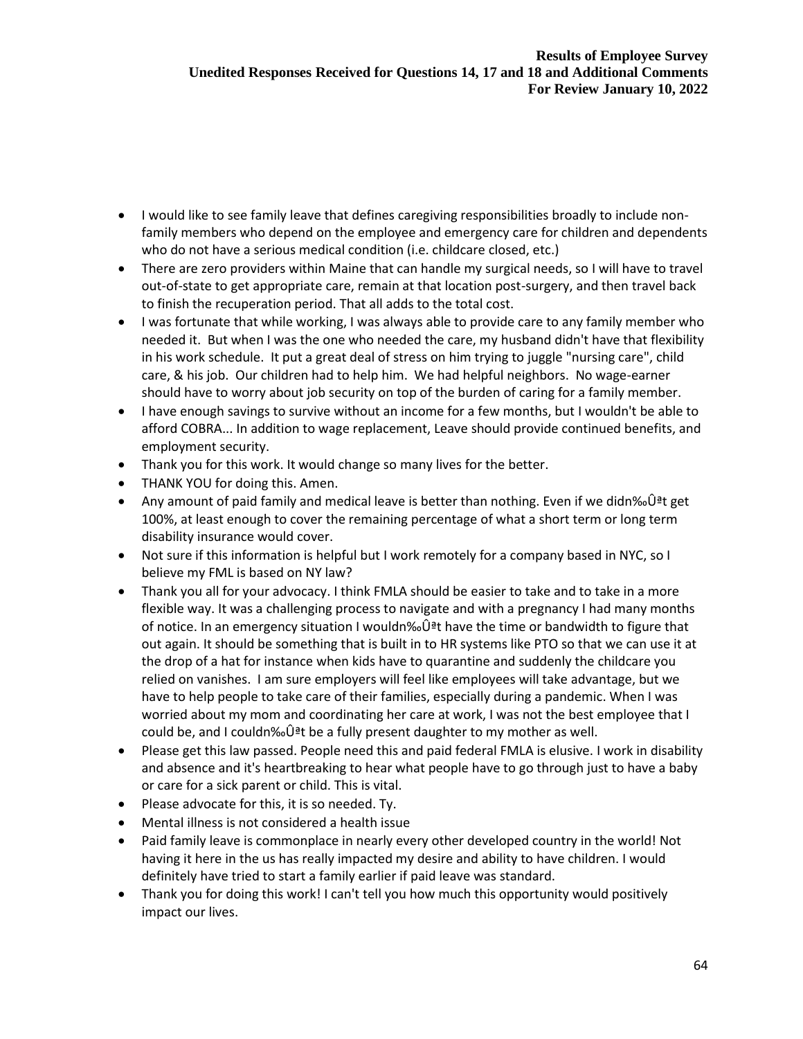- I would like to see family leave that defines caregiving responsibilities broadly to include nonfamily members who depend on the employee and emergency care for children and dependents who do not have a serious medical condition (i.e. childcare closed, etc.)
- There are zero providers within Maine that can handle my surgical needs, so I will have to travel out-of-state to get appropriate care, remain at that location post-surgery, and then travel back to finish the recuperation period. That all adds to the total cost.
- I was fortunate that while working, I was always able to provide care to any family member who needed it. But when I was the one who needed the care, my husband didn't have that flexibility in his work schedule. It put a great deal of stress on him trying to juggle "nursing care", child care, & his job. Our children had to help him. We had helpful neighbors. No wage-earner should have to worry about job security on top of the burden of caring for a family member.
- I have enough savings to survive without an income for a few months, but I wouldn't be able to afford COBRA... In addition to wage replacement, Leave should provide continued benefits, and employment security.
- Thank you for this work. It would change so many lives for the better.
- THANK YOU for doing this. Amen.
- Any amount of paid family and medical leave is better than nothing. Even if we didn‰Ûªt get 100%, at least enough to cover the remaining percentage of what a short term or long term disability insurance would cover.
- Not sure if this information is helpful but I work remotely for a company based in NYC, so I believe my FML is based on NY law?
- Thank you all for your advocacy. I think FMLA should be easier to take and to take in a more flexible way. It was a challenging process to navigate and with a pregnancy I had many months of notice. In an emergency situation I wouldn‰Ûªt have the time or bandwidth to figure that out again. It should be something that is built in to HR systems like PTO so that we can use it at the drop of a hat for instance when kids have to quarantine and suddenly the childcare you relied on vanishes. I am sure employers will feel like employees will take advantage, but we have to help people to take care of their families, especially during a pandemic. When I was worried about my mom and coordinating her care at work, I was not the best employee that I could be, and I couldn‰Ûªt be a fully present daughter to my mother as well.
- Please get this law passed. People need this and paid federal FMLA is elusive. I work in disability and absence and it's heartbreaking to hear what people have to go through just to have a baby or care for a sick parent or child. This is vital.
- Please advocate for this, it is so needed. Ty.
- Mental illness is not considered a health issue
- Paid family leave is commonplace in nearly every other developed country in the world! Not having it here in the us has really impacted my desire and ability to have children. I would definitely have tried to start a family earlier if paid leave was standard.
- Thank you for doing this work! I can't tell you how much this opportunity would positively impact our lives.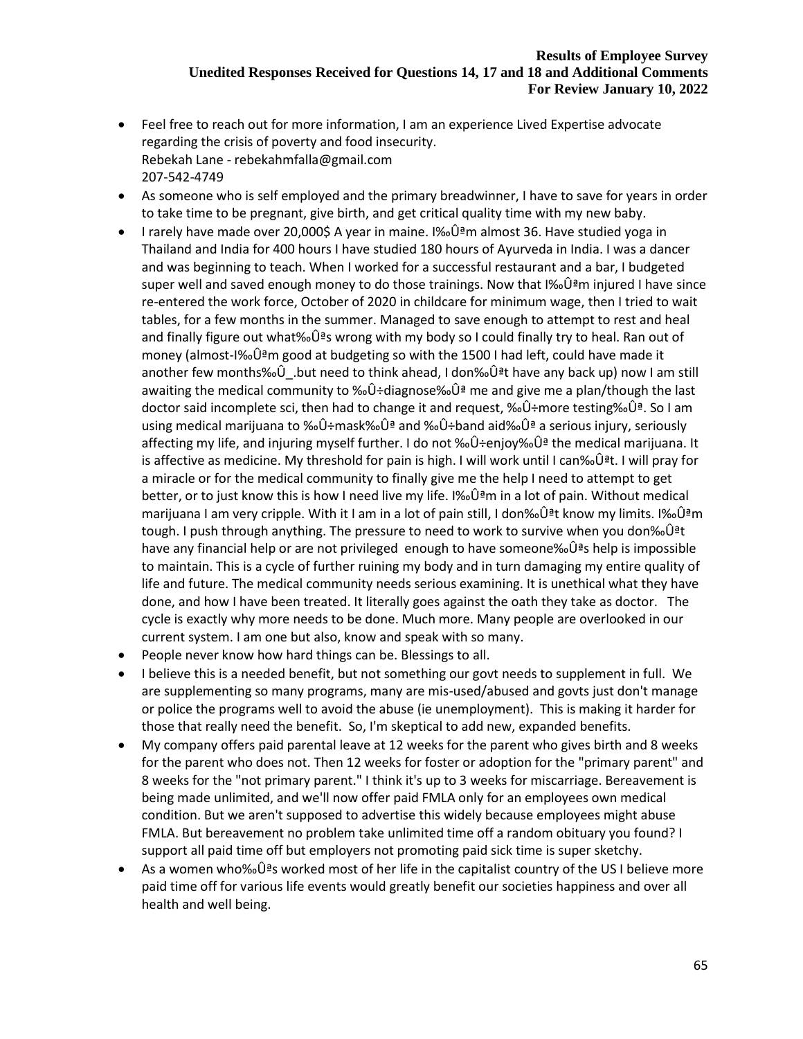- Feel free to reach out for more information, I am an experience Lived Expertise advocate regarding the crisis of poverty and food insecurity. Rebekah Lane - rebekahmfalla@gmail.com 207-542-4749
- As someone who is self employed and the primary breadwinner, I have to save for years in order to take time to be pregnant, give birth, and get critical quality time with my new baby.
- I rarely have made over 20,000\$ A year in maine. I‰Ûªm almost 36. Have studied yoga in Thailand and India for 400 hours I have studied 180 hours of Ayurveda in India. I was a dancer and was beginning to teach. When I worked for a successful restaurant and a bar, I budgeted super well and saved enough money to do those trainings. Now that  $\sim 0$ <sup>a</sup>m injured I have since re-entered the work force, October of 2020 in childcare for minimum wage, then I tried to wait tables, for a few months in the summer. Managed to save enough to attempt to rest and heal and finally figure out what‰Ûªs wrong with my body so I could finally try to heal. Ran out of money (almost-I‰Ûªm good at budgeting so with the 1500 I had left, could have made it another few months‰Û\_.but need to think ahead, I don‰Ûªt have any back up) now I am still awaiting the medical community to ‰Û÷diagnose‰Ûª me and give me a plan/though the last doctor said incomplete sci, then had to change it and request, ‰Û÷more testing‰Ûª. So I am using medical marijuana to ‰Û÷mask‰Ûª and ‰Û÷band aid‰Ûª a serious injury, seriously affecting my life, and injuring myself further. I do not ‰Û÷enjoy‰Ûª the medical marijuana. It is affective as medicine. My threshold for pain is high. I will work until I can‰Ûªt. I will pray for a miracle or for the medical community to finally give me the help I need to attempt to get better, or to just know this is how I need live my life. I‰Ûªm in a lot of pain. Without medical marijuana I am very cripple. With it I am in a lot of pain still, I don‰Ûªt know my limits. I‰Ûªm tough. I push through anything. The pressure to need to work to survive when you don‰Ûªt have any financial help or are not privileged enough to have someone‰Ûªs help is impossible to maintain. This is a cycle of further ruining my body and in turn damaging my entire quality of life and future. The medical community needs serious examining. It is unethical what they have done, and how I have been treated. It literally goes against the oath they take as doctor. The cycle is exactly why more needs to be done. Much more. Many people are overlooked in our current system. I am one but also, know and speak with so many.
- People never know how hard things can be. Blessings to all.
- I believe this is a needed benefit, but not something our govt needs to supplement in full. We are supplementing so many programs, many are mis-used/abused and govts just don't manage or police the programs well to avoid the abuse (ie unemployment). This is making it harder for those that really need the benefit. So, I'm skeptical to add new, expanded benefits.
- My company offers paid parental leave at 12 weeks for the parent who gives birth and 8 weeks for the parent who does not. Then 12 weeks for foster or adoption for the "primary parent" and 8 weeks for the "not primary parent." I think it's up to 3 weeks for miscarriage. Bereavement is being made unlimited, and we'll now offer paid FMLA only for an employees own medical condition. But we aren't supposed to advertise this widely because employees might abuse FMLA. But bereavement no problem take unlimited time off a random obituary you found? I support all paid time off but employers not promoting paid sick time is super sketchy.
- As a women who‰Ûªs worked most of her life in the capitalist country of the US I believe more paid time off for various life events would greatly benefit our societies happiness and over all health and well being.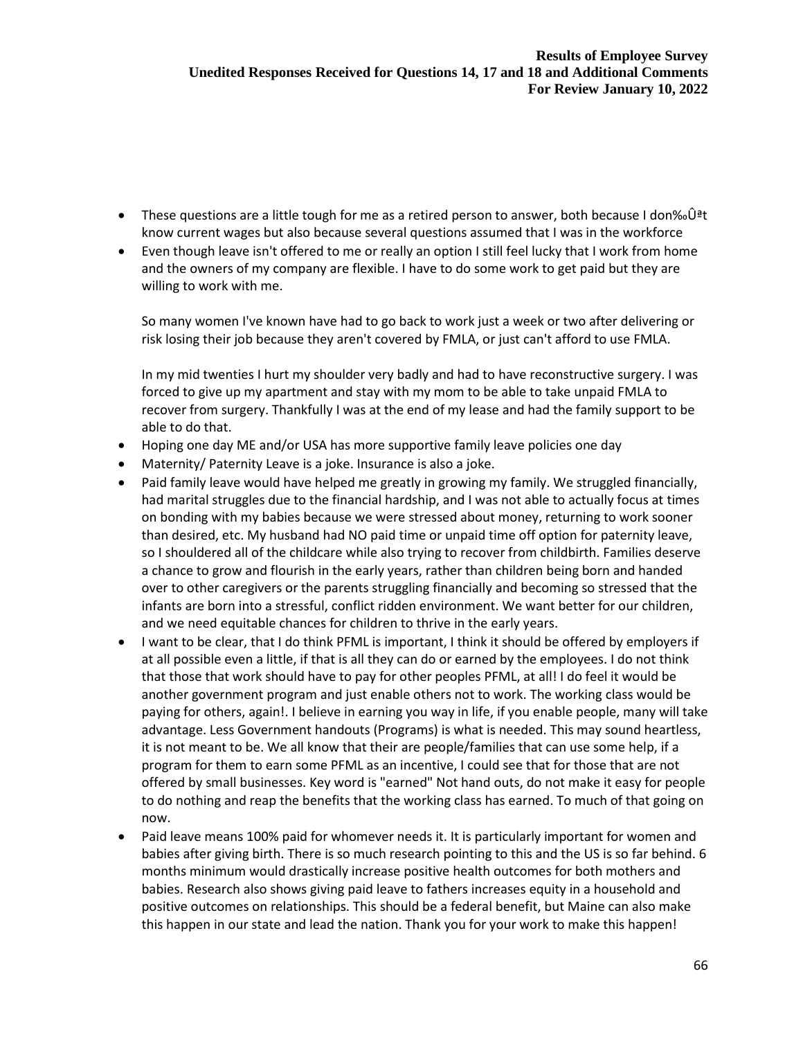- These questions are a little tough for me as a retired person to answer, both because I don‰Û<sup>a</sup>t know current wages but also because several questions assumed that I was in the workforce
- Even though leave isn't offered to me or really an option I still feel lucky that I work from home and the owners of my company are flexible. I have to do some work to get paid but they are willing to work with me.

So many women I've known have had to go back to work just a week or two after delivering or risk losing their job because they aren't covered by FMLA, or just can't afford to use FMLA.

In my mid twenties I hurt my shoulder very badly and had to have reconstructive surgery. I was forced to give up my apartment and stay with my mom to be able to take unpaid FMLA to recover from surgery. Thankfully I was at the end of my lease and had the family support to be able to do that.

- Hoping one day ME and/or USA has more supportive family leave policies one day
- Maternity/ Paternity Leave is a joke. Insurance is also a joke.
- Paid family leave would have helped me greatly in growing my family. We struggled financially, had marital struggles due to the financial hardship, and I was not able to actually focus at times on bonding with my babies because we were stressed about money, returning to work sooner than desired, etc. My husband had NO paid time or unpaid time off option for paternity leave, so I shouldered all of the childcare while also trying to recover from childbirth. Families deserve a chance to grow and flourish in the early years, rather than children being born and handed over to other caregivers or the parents struggling financially and becoming so stressed that the infants are born into a stressful, conflict ridden environment. We want better for our children, and we need equitable chances for children to thrive in the early years.
- I want to be clear, that I do think PFML is important, I think it should be offered by employers if at all possible even a little, if that is all they can do or earned by the employees. I do not think that those that work should have to pay for other peoples PFML, at all! I do feel it would be another government program and just enable others not to work. The working class would be paying for others, again!. I believe in earning you way in life, if you enable people, many will take advantage. Less Government handouts (Programs) is what is needed. This may sound heartless, it is not meant to be. We all know that their are people/families that can use some help, if a program for them to earn some PFML as an incentive, I could see that for those that are not offered by small businesses. Key word is "earned" Not hand outs, do not make it easy for people to do nothing and reap the benefits that the working class has earned. To much of that going on now.
- Paid leave means 100% paid for whomever needs it. It is particularly important for women and babies after giving birth. There is so much research pointing to this and the US is so far behind. 6 months minimum would drastically increase positive health outcomes for both mothers and babies. Research also shows giving paid leave to fathers increases equity in a household and positive outcomes on relationships. This should be a federal benefit, but Maine can also make this happen in our state and lead the nation. Thank you for your work to make this happen!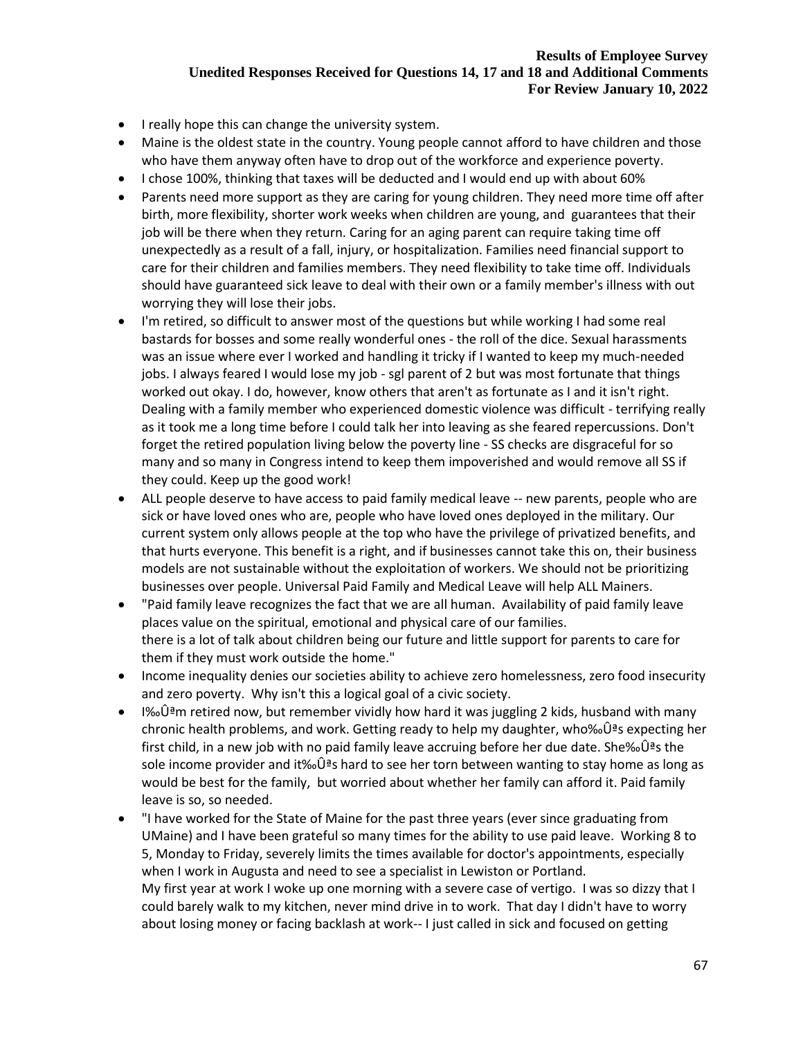- I really hope this can change the university system.
- Maine is the oldest state in the country. Young people cannot afford to have children and those who have them anyway often have to drop out of the workforce and experience poverty.
- I chose 100%, thinking that taxes will be deducted and I would end up with about 60%
- Parents need more support as they are caring for young children. They need more time off after birth, more flexibility, shorter work weeks when children are young, and guarantees that their job will be there when they return. Caring for an aging parent can require taking time off unexpectedly as a result of a fall, injury, or hospitalization. Families need financial support to care for their children and families members. They need flexibility to take time off. Individuals should have guaranteed sick leave to deal with their own or a family member's illness with out worrying they will lose their jobs.
- I'm retired, so difficult to answer most of the questions but while working I had some real bastards for bosses and some really wonderful ones - the roll of the dice. Sexual harassments was an issue where ever I worked and handling it tricky if I wanted to keep my much-needed jobs. I always feared I would lose my job - sgl parent of 2 but was most fortunate that things worked out okay. I do, however, know others that aren't as fortunate as I and it isn't right. Dealing with a family member who experienced domestic violence was difficult - terrifying really as it took me a long time before I could talk her into leaving as she feared repercussions. Don't forget the retired population living below the poverty line - SS checks are disgraceful for so many and so many in Congress intend to keep them impoverished and would remove all SS if they could. Keep up the good work!
- ALL people deserve to have access to paid family medical leave -- new parents, people who are sick or have loved ones who are, people who have loved ones deployed in the military. Our current system only allows people at the top who have the privilege of privatized benefits, and that hurts everyone. This benefit is a right, and if businesses cannot take this on, their business models are not sustainable without the exploitation of workers. We should not be prioritizing businesses over people. Universal Paid Family and Medical Leave will help ALL Mainers.
- "Paid family leave recognizes the fact that we are all human. Availability of paid family leave places value on the spiritual, emotional and physical care of our families. there is a lot of talk about children being our future and little support for parents to care for them if they must work outside the home."
- Income inequality denies our societies ability to achieve zero homelessness, zero food insecurity and zero poverty. Why isn't this a logical goal of a civic society.
- I‰Ûªm retired now, but remember vividly how hard it was juggling 2 kids, husband with many chronic health problems, and work. Getting ready to help my daughter, who‰Ûªs expecting her first child, in a new job with no paid family leave accruing before her due date. She‰Ûªs the sole income provider and it‰Û<sup>ª</sup>s hard to see her torn between wanting to stay home as long as would be best for the family, but worried about whether her family can afford it. Paid family leave is so, so needed.
- "I have worked for the State of Maine for the past three years (ever since graduating from UMaine) and I have been grateful so many times for the ability to use paid leave. Working 8 to 5, Monday to Friday, severely limits the times available for doctor's appointments, especially when I work in Augusta and need to see a specialist in Lewiston or Portland. My first year at work I woke up one morning with a severe case of vertigo. I was so dizzy that I could barely walk to my kitchen, never mind drive in to work. That day I didn't have to worry about losing money or facing backlash at work-- I just called in sick and focused on getting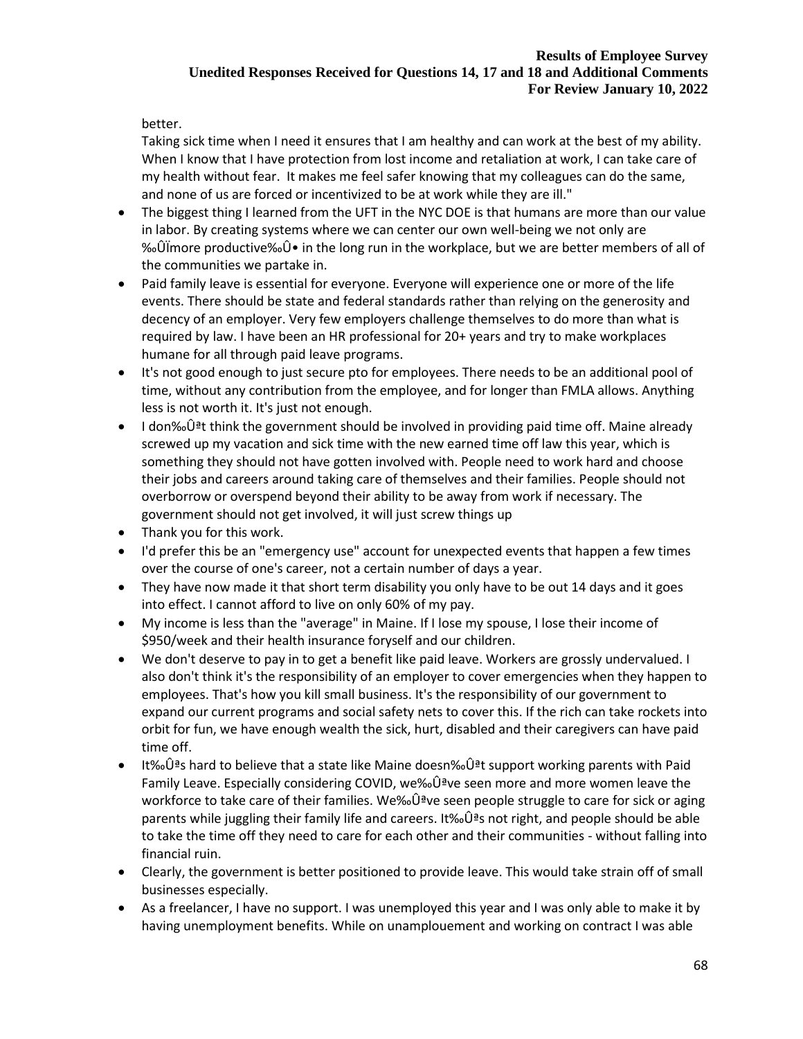better.

Taking sick time when I need it ensures that I am healthy and can work at the best of my ability. When I know that I have protection from lost income and retaliation at work, I can take care of my health without fear. It makes me feel safer knowing that my colleagues can do the same, and none of us are forced or incentivized to be at work while they are ill."

- The biggest thing I learned from the UFT in the NYC DOE is that humans are more than our value in labor. By creating systems where we can center our own well-being we not only are ‰ÛÏmore productive‰Û• in the long run in the workplace, but we are better members of all of the communities we partake in.
- Paid family leave is essential for everyone. Everyone will experience one or more of the life events. There should be state and federal standards rather than relying on the generosity and decency of an employer. Very few employers challenge themselves to do more than what is required by law. I have been an HR professional for 20+ years and try to make workplaces humane for all through paid leave programs.
- It's not good enough to just secure pto for employees. There needs to be an additional pool of time, without any contribution from the employee, and for longer than FMLA allows. Anything less is not worth it. It's just not enough.
- I don‰Ûªt think the government should be involved in providing paid time off. Maine already screwed up my vacation and sick time with the new earned time off law this year, which is something they should not have gotten involved with. People need to work hard and choose their jobs and careers around taking care of themselves and their families. People should not overborrow or overspend beyond their ability to be away from work if necessary. The government should not get involved, it will just screw things up
- Thank you for this work.
- I'd prefer this be an "emergency use" account for unexpected events that happen a few times over the course of one's career, not a certain number of days a year.
- They have now made it that short term disability you only have to be out 14 days and it goes into effect. I cannot afford to live on only 60% of my pay.
- My income is less than the "average" in Maine. If I lose my spouse, I lose their income of \$950/week and their health insurance foryself and our children.
- We don't deserve to pay in to get a benefit like paid leave. Workers are grossly undervalued. I also don't think it's the responsibility of an employer to cover emergencies when they happen to employees. That's how you kill small business. It's the responsibility of our government to expand our current programs and social safety nets to cover this. If the rich can take rockets into orbit for fun, we have enough wealth the sick, hurt, disabled and their caregivers can have paid time off.
- It‰Ûªs hard to believe that a state like Maine doesn‰Ûªt support working parents with Paid Family Leave. Especially considering COVID, we‰Ûªve seen more and more women leave the workforce to take care of their families. We‰Ûªve seen people struggle to care for sick or aging parents while juggling their family life and careers. It‰Ûªs not right, and people should be able to take the time off they need to care for each other and their communities - without falling into financial ruin.
- Clearly, the government is better positioned to provide leave. This would take strain off of small businesses especially.
- As a freelancer, I have no support. I was unemployed this year and I was only able to make it by having unemployment benefits. While on unamplouement and working on contract I was able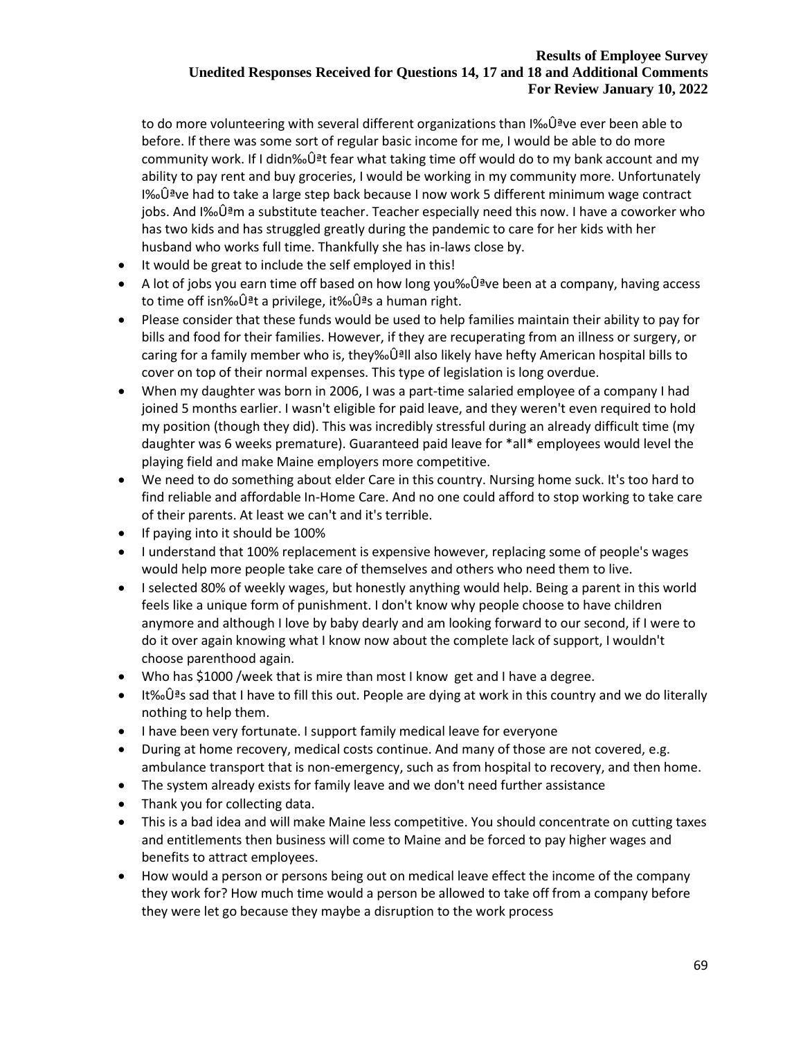to do more volunteering with several different organizations than I‰Ûªve ever been able to before. If there was some sort of regular basic income for me, I would be able to do more community work. If I didn‰Û<sup>ª</sup>t fear what taking time off would do to my bank account and my ability to pay rent and buy groceries, I would be working in my community more. Unfortunately  $1\%$ Û<sup>a</sup>ve had to take a large step back because I now work 5 different minimum wage contract jobs. And I‰Ûªm a substitute teacher. Teacher especially need this now. I have a coworker who has two kids and has struggled greatly during the pandemic to care for her kids with her husband who works full time. Thankfully she has in-laws close by.

- It would be great to include the self employed in this!
- A lot of jobs you earn time off based on how long you‰Û<sup>a</sup>ve been at a company, having access to time off isn‰Ûªt a privilege, it‰Ûªs a human right.
- Please consider that these funds would be used to help families maintain their ability to pay for bills and food for their families. However, if they are recuperating from an illness or surgery, or caring for a family member who is, they‰Ûªll also likely have hefty American hospital bills to cover on top of their normal expenses. This type of legislation is long overdue.
- When my daughter was born in 2006, I was a part-time salaried employee of a company I had joined 5 months earlier. I wasn't eligible for paid leave, and they weren't even required to hold my position (though they did). This was incredibly stressful during an already difficult time (my daughter was 6 weeks premature). Guaranteed paid leave for \*all\* employees would level the playing field and make Maine employers more competitive.
- We need to do something about elder Care in this country. Nursing home suck. It's too hard to find reliable and affordable In-Home Care. And no one could afford to stop working to take care of their parents. At least we can't and it's terrible.
- If paying into it should be 100%
- I understand that 100% replacement is expensive however, replacing some of people's wages would help more people take care of themselves and others who need them to live.
- I selected 80% of weekly wages, but honestly anything would help. Being a parent in this world feels like a unique form of punishment. I don't know why people choose to have children anymore and although I love by baby dearly and am looking forward to our second, if I were to do it over again knowing what I know now about the complete lack of support, I wouldn't choose parenthood again.
- Who has \$1000 /week that is mire than most I know get and I have a degree.
- It‰Û<sup>a</sup>s sad that I have to fill this out. People are dying at work in this country and we do literally nothing to help them.
- I have been very fortunate. I support family medical leave for everyone
- During at home recovery, medical costs continue. And many of those are not covered, e.g. ambulance transport that is non-emergency, such as from hospital to recovery, and then home.
- The system already exists for family leave and we don't need further assistance
- Thank you for collecting data.
- This is a bad idea and will make Maine less competitive. You should concentrate on cutting taxes and entitlements then business will come to Maine and be forced to pay higher wages and benefits to attract employees.
- How would a person or persons being out on medical leave effect the income of the company they work for? How much time would a person be allowed to take off from a company before they were let go because they maybe a disruption to the work process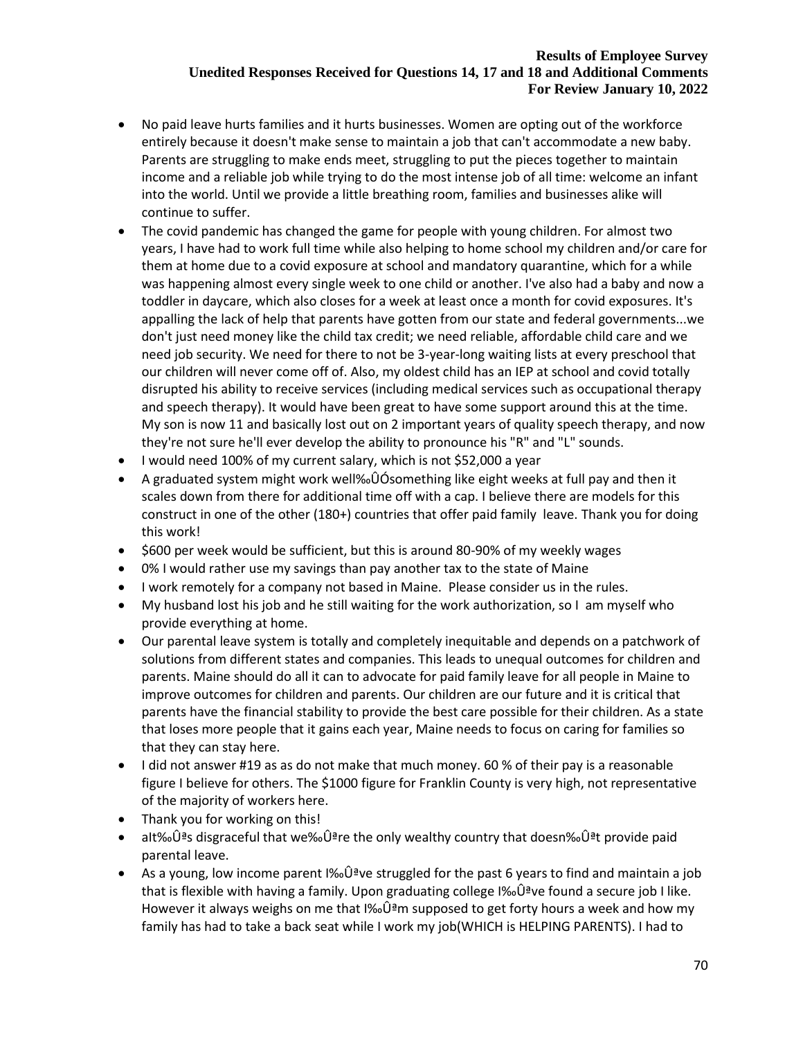- No paid leave hurts families and it hurts businesses. Women are opting out of the workforce entirely because it doesn't make sense to maintain a job that can't accommodate a new baby. Parents are struggling to make ends meet, struggling to put the pieces together to maintain income and a reliable job while trying to do the most intense job of all time: welcome an infant into the world. Until we provide a little breathing room, families and businesses alike will continue to suffer.
- The covid pandemic has changed the game for people with young children. For almost two years, I have had to work full time while also helping to home school my children and/or care for them at home due to a covid exposure at school and mandatory quarantine, which for a while was happening almost every single week to one child or another. I've also had a baby and now a toddler in daycare, which also closes for a week at least once a month for covid exposures. It's appalling the lack of help that parents have gotten from our state and federal governments...we don't just need money like the child tax credit; we need reliable, affordable child care and we need job security. We need for there to not be 3-year-long waiting lists at every preschool that our children will never come off of. Also, my oldest child has an IEP at school and covid totally disrupted his ability to receive services (including medical services such as occupational therapy and speech therapy). It would have been great to have some support around this at the time. My son is now 11 and basically lost out on 2 important years of quality speech therapy, and now they're not sure he'll ever develop the ability to pronounce his "R" and "L" sounds.
- I would need 100% of my current salary, which is not \$52,000 a year
- A graduated system might work well‰ÛÓsomething like eight weeks at full pay and then it scales down from there for additional time off with a cap. I believe there are models for this construct in one of the other (180+) countries that offer paid family leave. Thank you for doing this work!
- \$600 per week would be sufficient, but this is around 80-90% of my weekly wages
- 0% I would rather use my savings than pay another tax to the state of Maine
- I work remotely for a company not based in Maine. Please consider us in the rules.
- My husband lost his job and he still waiting for the work authorization, so I am myself who provide everything at home.
- Our parental leave system is totally and completely inequitable and depends on a patchwork of solutions from different states and companies. This leads to unequal outcomes for children and parents. Maine should do all it can to advocate for paid family leave for all people in Maine to improve outcomes for children and parents. Our children are our future and it is critical that parents have the financial stability to provide the best care possible for their children. As a state that loses more people that it gains each year, Maine needs to focus on caring for families so that they can stay here.
- I did not answer #19 as as do not make that much money. 60 % of their pay is a reasonable figure I believe for others. The \$1000 figure for Franklin County is very high, not representative of the majority of workers here.
- Thank you for working on this!
- alt‰Ûªs disgraceful that we‰Ûªre the only wealthy country that doesn‰Ûªt provide paid parental leave.
- As a young, low income parent  $1\%0^{\circ}$  are struggled for the past 6 years to find and maintain a job that is flexible with having a family. Upon graduating college I‰Ûªve found a secure job I like. However it always weighs on me that  $\sim 1\%$  and supposed to get forty hours a week and how my family has had to take a back seat while I work my job(WHICH is HELPING PARENTS). I had to